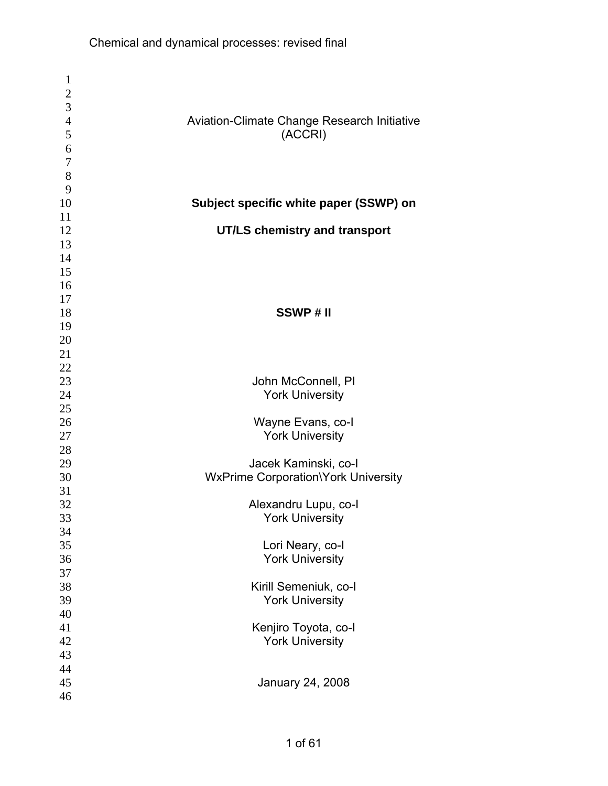| $\mathbf{1}$   |                                                    |
|----------------|----------------------------------------------------|
| $\overline{c}$ |                                                    |
| 3              |                                                    |
| $\overline{4}$ | <b>Aviation-Climate Change Research Initiative</b> |
| 5              | (ACCRI)                                            |
| 6              |                                                    |
| $\overline{7}$ |                                                    |
| 8              |                                                    |
| 9              |                                                    |
| 10             | Subject specific white paper (SSWP) on             |
| 11             |                                                    |
| 12             | UT/LS chemistry and transport                      |
| 13             |                                                    |
| 14             |                                                    |
| 15             |                                                    |
| 16             |                                                    |
| 17             |                                                    |
| 18             | SSWP#II                                            |
| 19             |                                                    |
| 20             |                                                    |
| 21             |                                                    |
| 22             |                                                    |
| 23             | John McConnell, PI                                 |
| 24             | <b>York University</b>                             |
| 25             |                                                    |
| 26             | Wayne Evans, co-I                                  |
| 27             | <b>York University</b>                             |
| 28             |                                                    |
| 29             | Jacek Kaminski, co-I                               |
| 30             | <b>WxPrime Corporation\York University</b>         |
| 31             |                                                    |
| 32             | Alexandru Lupu, co-l                               |
| 33             | <b>York University</b>                             |
| 34             |                                                    |
| 35             | Lori Neary, co-I                                   |
| 36             | <b>York University</b>                             |
| 37             |                                                    |
| 38             | Kirill Semeniuk, co-l                              |
| 39             | <b>York University</b>                             |
| 40             |                                                    |
| 41<br>42       | Kenjiro Toyota, co-l                               |
|                | <b>York University</b>                             |
| 43             |                                                    |
| 44             |                                                    |
| 45             | January 24, 2008                                   |
| 46             |                                                    |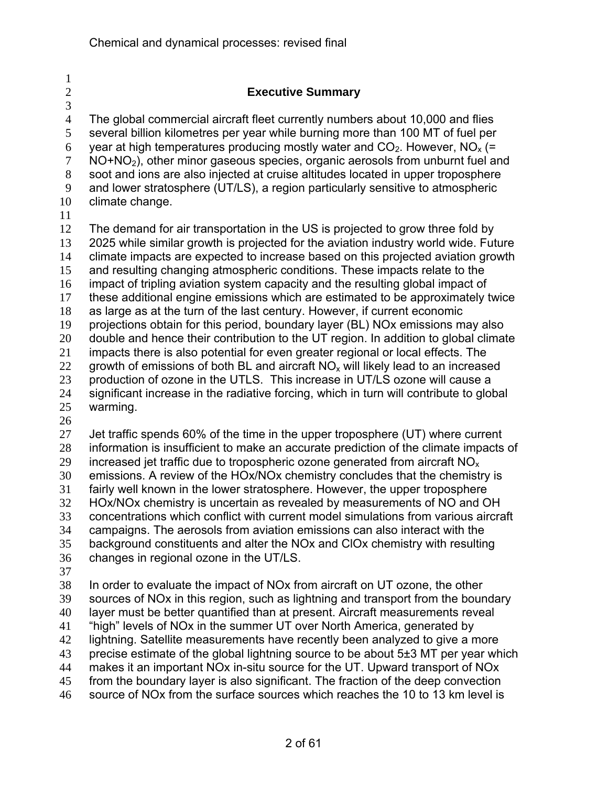| $\mathbf{1}$      |                                                                                                                                                                    |
|-------------------|--------------------------------------------------------------------------------------------------------------------------------------------------------------------|
| $\sqrt{2}$        | <b>Executive Summary</b>                                                                                                                                           |
| 3                 |                                                                                                                                                                    |
| $\overline{4}$    | The global commercial aircraft fleet currently numbers about 10,000 and flies                                                                                      |
| 5                 | several billion kilometres per year while burning more than 100 MT of fuel per                                                                                     |
| 6                 | year at high temperatures producing mostly water and $CO2$ . However, NO <sub>x</sub> (=                                                                           |
| $\overline{7}$    | $NO+NO2$ ), other minor gaseous species, organic aerosols from unburnt fuel and                                                                                    |
| 8<br>$\mathbf{9}$ | soot and ions are also injected at cruise altitudes located in upper troposphere<br>and lower stratosphere (UT/LS), a region particularly sensitive to atmospheric |
| 10                | climate change.                                                                                                                                                    |
| 11                |                                                                                                                                                                    |
| 12                | The demand for air transportation in the US is projected to grow three fold by                                                                                     |
| 13                | 2025 while similar growth is projected for the aviation industry world wide. Future                                                                                |
| 14                | climate impacts are expected to increase based on this projected aviation growth                                                                                   |
| 15                | and resulting changing atmospheric conditions. These impacts relate to the                                                                                         |
| 16                | impact of tripling aviation system capacity and the resulting global impact of                                                                                     |
| 17                | these additional engine emissions which are estimated to be approximately twice                                                                                    |
| 18                | as large as at the turn of the last century. However, if current economic                                                                                          |
| 19                | projections obtain for this period, boundary layer (BL) NOx emissions may also                                                                                     |
| 20                | double and hence their contribution to the UT region. In addition to global climate                                                                                |
| 21                | impacts there is also potential for even greater regional or local effects. The                                                                                    |
| 22                | growth of emissions of both BL and aircraft $NOx$ will likely lead to an increased<br>production of ozone in the UTLS. This increase in UT/LS ozone will cause a   |
| 23<br>24          | significant increase in the radiative forcing, which in turn will contribute to global                                                                             |
| 25                | warming.                                                                                                                                                           |
| 26                |                                                                                                                                                                    |
| 27                | Jet traffic spends 60% of the time in the upper troposphere (UT) where current                                                                                     |
| 28                | information is insufficient to make an accurate prediction of the climate impacts of                                                                               |
| 29                | increased jet traffic due to tropospheric ozone generated from aircraft $NOx$                                                                                      |
| 30                | emissions. A review of the HOx/NOx chemistry concludes that the chemistry is                                                                                       |
| 31                | fairly well known in the lower stratosphere. However, the upper troposphere                                                                                        |
| 32                | HOx/NOx chemistry is uncertain as revealed by measurements of NO and OH                                                                                            |
| 33                | concentrations which conflict with current model simulations from various aircraft                                                                                 |
| 34                | campaigns. The aerosols from aviation emissions can also interact with the                                                                                         |
| 35<br>36          | background constituents and alter the NO <sub>x</sub> and CIO <sub>x</sub> chemistry with resulting<br>changes in regional ozone in the UT/LS.                     |
| 37                |                                                                                                                                                                    |
| 38                | In order to evaluate the impact of NO <sub>x</sub> from aircraft on UT ozone, the other                                                                            |
| 39                | sources of NOx in this region, such as lightning and transport from the boundary                                                                                   |
| 40                | layer must be better quantified than at present. Aircraft measurements reveal                                                                                      |
| 41                | "high" levels of NOx in the summer UT over North America, generated by                                                                                             |
| 42                | lightning. Satellite measurements have recently been analyzed to give a more                                                                                       |
| 43                | precise estimate of the global lightning source to be about 5±3 MT per year which                                                                                  |
| 44                | makes it an important NOx in-situ source for the UT. Upward transport of NOx                                                                                       |
| 45                | from the boundary layer is also significant. The fraction of the deep convection                                                                                   |
| 46                | source of NOx from the surface sources which reaches the 10 to 13 km level is                                                                                      |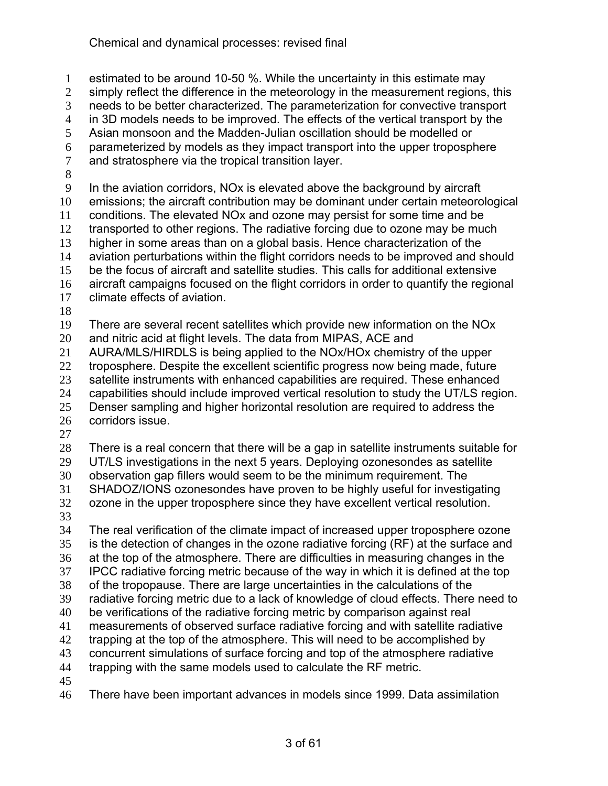estimated to be around 10-50 %. While the uncertainty in this estimate may 2 simply reflect the difference in the meteorology in the measurement regions, this needs to be better characterized. The parameterization for convective transport in 3D models needs to be improved. The effects of the vertical transport by the Asian monsoon and the Madden-Julian oscillation should be modelled or parameterized by models as they impact transport into the upper troposphere and stratosphere via the tropical transition layer. In the aviation corridors, NOx is elevated above the background by aircraft emissions; the aircraft contribution may be dominant under certain meteorological conditions. The elevated NOx and ozone may persist for some time and be transported to other regions. The radiative forcing due to ozone may be much higher in some areas than on a global basis. Hence characterization of the aviation perturbations within the flight corridors needs to be improved and should be the focus of aircraft and satellite studies. This calls for additional extensive aircraft campaigns focused on the flight corridors in order to quantify the regional climate effects of aviation. There are several recent satellites which provide new information on the NOx and nitric acid at flight levels. The data from MIPAS, ACE and AURA/MLS/HIRDLS is being applied to the NOx/HOx chemistry of the upper 22 troposphere. Despite the excellent scientific progress now being made, future satellite instruments with enhanced capabilities are required. These enhanced capabilities should include improved vertical resolution to study the UT/LS region. Denser sampling and higher horizontal resolution are required to address the corridors issue. There is a real concern that there will be a gap in satellite instruments suitable for UT/LS investigations in the next 5 years. Deploying ozonesondes as satellite observation gap fillers would seem to be the minimum requirement. The SHADOZ/IONS ozonesondes have proven to be highly useful for investigating ozone in the upper troposphere since they have excellent vertical resolution. The real verification of the climate impact of increased upper troposphere ozone is the detection of changes in the ozone radiative forcing (RF) at the surface and at the top of the atmosphere. There are difficulties in measuring changes in the IPCC radiative forcing metric because of the way in which it is defined at the top of the tropopause. There are large uncertainties in the calculations of the radiative forcing metric due to a lack of knowledge of cloud effects. There need to be verifications of the radiative forcing metric by comparison against real measurements of observed surface radiative forcing and with satellite radiative trapping at the top of the atmosphere. This will need to be accomplished by concurrent simulations of surface forcing and top of the atmosphere radiative trapping with the same models used to calculate the RF metric. 

There have been important advances in models since 1999. Data assimilation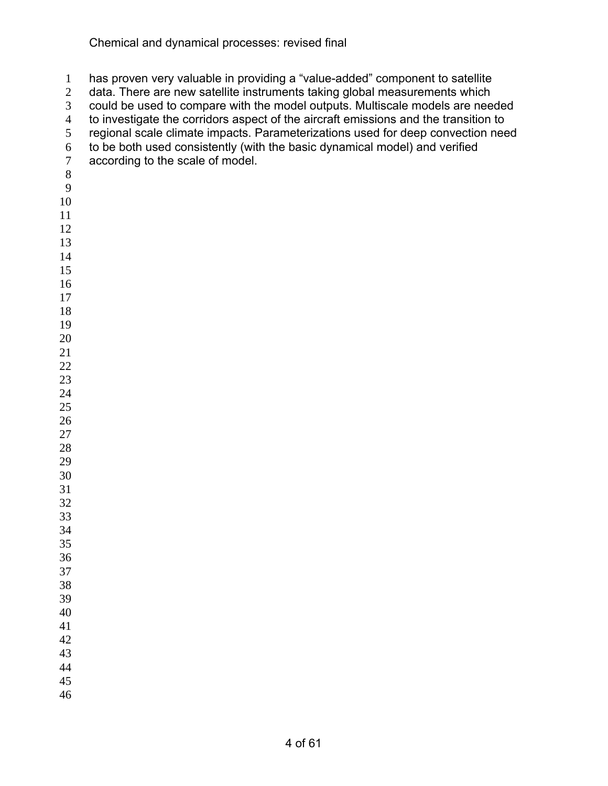has proven very valuable in providing a "value-added" component to satellite 2 data. There are new satellite instruments taking global measurements which could be used to compare with the model outputs. Multiscale models are needed to investigate the corridors aspect of the aircraft emissions and the transition to regional scale climate impacts. Parameterizations used for deep convection need to be both used consistently (with the basic dynamical model) and verified according to the scale of model. 

- 
-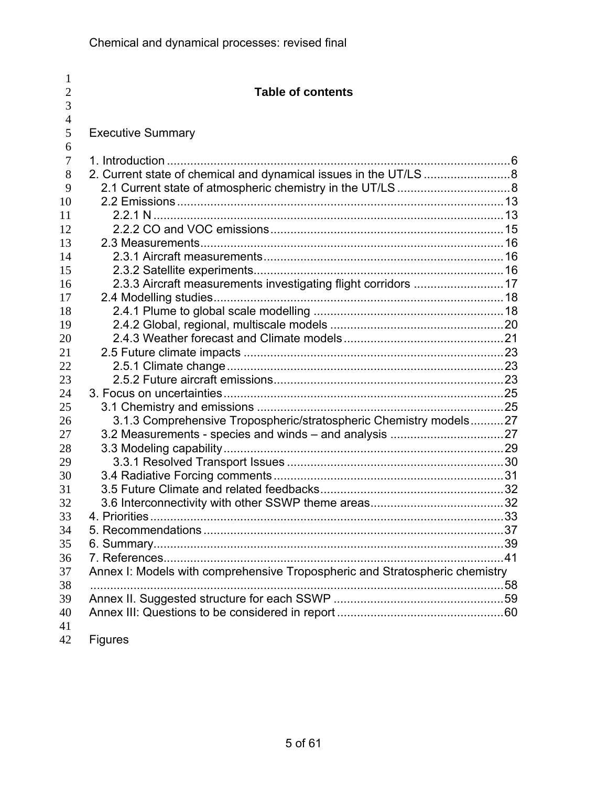| 1              |                                                                             |  |
|----------------|-----------------------------------------------------------------------------|--|
| $\overline{2}$ | <b>Table of contents</b>                                                    |  |
| 3              |                                                                             |  |
| $\overline{4}$ |                                                                             |  |
| 5              | <b>Executive Summary</b>                                                    |  |
| 6              |                                                                             |  |
| 7              |                                                                             |  |
| 8              | 2. Current state of chemical and dynamical issues in the UT/LS 8            |  |
| 9              |                                                                             |  |
| 10             |                                                                             |  |
| 11             |                                                                             |  |
| 12             |                                                                             |  |
| 13             |                                                                             |  |
| 14             |                                                                             |  |
| 15             |                                                                             |  |
| 16             | 2.3.3 Aircraft measurements investigating flight corridors  17              |  |
| 17             |                                                                             |  |
| 18             |                                                                             |  |
| 19             |                                                                             |  |
| 20             |                                                                             |  |
| 21             |                                                                             |  |
| 22             |                                                                             |  |
| 23             |                                                                             |  |
| 24             |                                                                             |  |
| 25             |                                                                             |  |
| 26             | 3.1.3 Comprehensive Tropospheric/stratospheric Chemistry models27           |  |
| 27             |                                                                             |  |
| 28             |                                                                             |  |
| 29<br>30       |                                                                             |  |
| 31             |                                                                             |  |
| 32             |                                                                             |  |
| 33             | 4. Priorities                                                               |  |
| 34             |                                                                             |  |
| 35             |                                                                             |  |
| 36             |                                                                             |  |
| 37             | Annex I: Models with comprehensive Tropospheric and Stratospheric chemistry |  |
| 38             |                                                                             |  |
| 39             |                                                                             |  |
| 40             |                                                                             |  |
| 41             |                                                                             |  |
| 42             | <b>Figures</b>                                                              |  |
|                |                                                                             |  |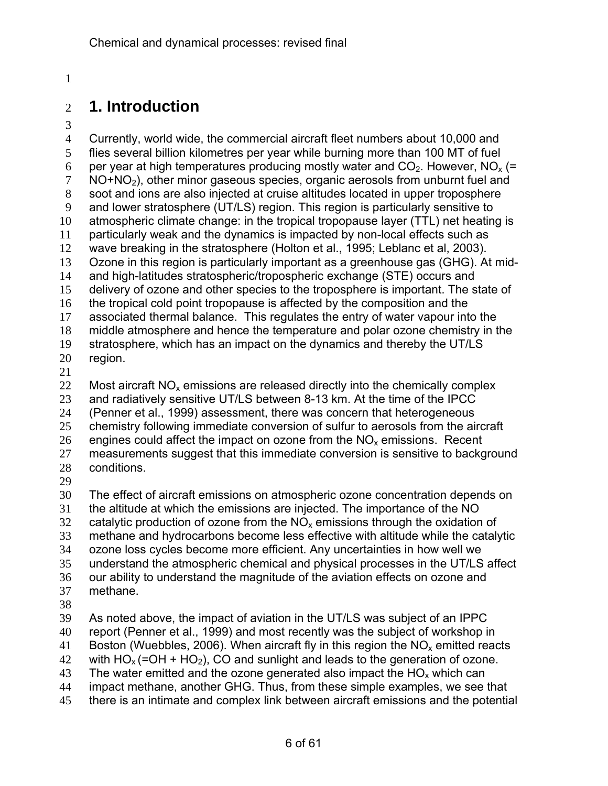## **1. Introduction**

Currently, world wide, the commercial aircraft fleet numbers about 10,000 and flies several billion kilometres per year while burning more than 100 MT of fuel 6 per year at high temperatures producing mostly water and  $CO<sub>2</sub>$ . However, NO<sub>x</sub> (= NO+NO2), other minor gaseous species, organic aerosols from unburnt fuel and soot and ions are also injected at cruise altitudes located in upper troposphere and lower stratosphere (UT/LS) region. This region is particularly sensitive to atmospheric climate change: in the tropical tropopause layer (TTL) net heating is particularly weak and the dynamics is impacted by non-local effects such as wave breaking in the stratosphere (Holton et al., 1995; Leblanc et al, 2003). Ozone in this region is particularly important as a greenhouse gas (GHG). At mid-and high-latitudes stratospheric/tropospheric exchange (STE) occurs and delivery of ozone and other species to the troposphere is important. The state of the tropical cold point tropopause is affected by the composition and the associated thermal balance. This regulates the entry of water vapour into the middle atmosphere and hence the temperature and polar ozone chemistry in the stratosphere, which has an impact on the dynamics and thereby the UT/LS region. 

22 Most aircraft  $NO<sub>x</sub>$  emissions are released directly into the chemically complex and radiatively sensitive UT/LS between 8-13 km. At the time of the IPCC (Penner et al., 1999) assessment, there was concern that heterogeneous chemistry following immediate conversion of sulfur to aerosols from the aircraft 26 engines could affect the impact on ozone from the  $NO<sub>x</sub>$  emissions. Recent measurements suggest that this immediate conversion is sensitive to background conditions.

The effect of aircraft emissions on atmospheric ozone concentration depends on the altitude at which the emissions are injected. The importance of the NO 32 catalytic production of ozone from the  $NO<sub>x</sub>$  emissions through the oxidation of methane and hydrocarbons become less effective with altitude while the catalytic ozone loss cycles become more efficient. Any uncertainties in how well we understand the atmospheric chemical and physical processes in the UT/LS affect our ability to understand the magnitude of the aviation effects on ozone and methane. As noted above, the impact of aviation in the UT/LS was subject of an IPPC

report (Penner et al., 1999) and most recently was the subject of workshop in

41 Boston (Wuebbles, 2006). When aircraft fly in this region the  $NO<sub>x</sub>$  emitted reacts

42 with  $HO_x$  (=OH + HO<sub>2</sub>), CO and sunlight and leads to the generation of ozone.

43 The water emitted and the ozone generated also impact the  $HO_x$  which can

impact methane, another GHG. Thus, from these simple examples, we see that

there is an intimate and complex link between aircraft emissions and the potential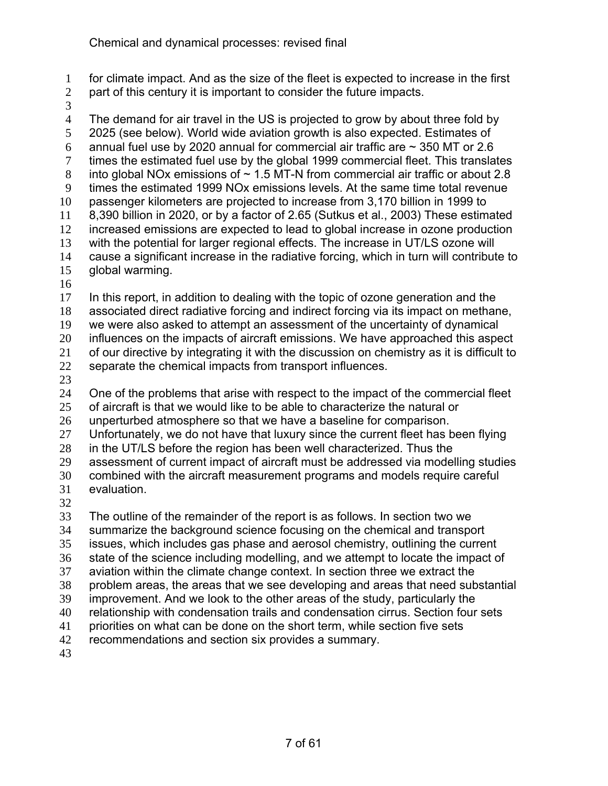for climate impact. And as the size of the fleet is expected to increase in the first

- part of this century it is important to consider the future impacts.
- 

The demand for air travel in the US is projected to grow by about three fold by 2025 (see below). World wide aviation growth is also expected. Estimates of 6 annual fuel use by 2020 annual for commercial air traffic are  $\sim$  350 MT or 2.6 times the estimated fuel use by the global 1999 commercial fleet. This translates 8 into global NOx emissions of  $\sim$  1.5 MT-N from commercial air traffic or about 2.8 times the estimated 1999 NOx emissions levels. At the same time total revenue passenger kilometers are projected to increase from 3,170 billion in 1999 to 8,390 billion in 2020, or by a factor of 2.65 (Sutkus et al., 2003) These estimated increased emissions are expected to lead to global increase in ozone production with the potential for larger regional effects. The increase in UT/LS ozone will cause a significant increase in the radiative forcing, which in turn will contribute to global warming.

In this report, in addition to dealing with the topic of ozone generation and the associated direct radiative forcing and indirect forcing via its impact on methane,

we were also asked to attempt an assessment of the uncertainty of dynamical

influences on the impacts of aircraft emissions. We have approached this aspect of our directive by integrating it with the discussion on chemistry as it is difficult to

separate the chemical impacts from transport influences.

One of the problems that arise with respect to the impact of the commercial fleet of aircraft is that we would like to be able to characterize the natural or

unperturbed atmosphere so that we have a baseline for comparison.

Unfortunately, we do not have that luxury since the current fleet has been flying

in the UT/LS before the region has been well characterized. Thus the

assessment of current impact of aircraft must be addressed via modelling studies

combined with the aircraft measurement programs and models require careful evaluation.

The outline of the remainder of the report is as follows. In section two we

summarize the background science focusing on the chemical and transport

issues, which includes gas phase and aerosol chemistry, outlining the current

state of the science including modelling, and we attempt to locate the impact of

aviation within the climate change context. In section three we extract the

problem areas, the areas that we see developing and areas that need substantial

improvement. And we look to the other areas of the study, particularly the

relationship with condensation trails and condensation cirrus. Section four sets

priorities on what can be done on the short term, while section five sets

recommendations and section six provides a summary.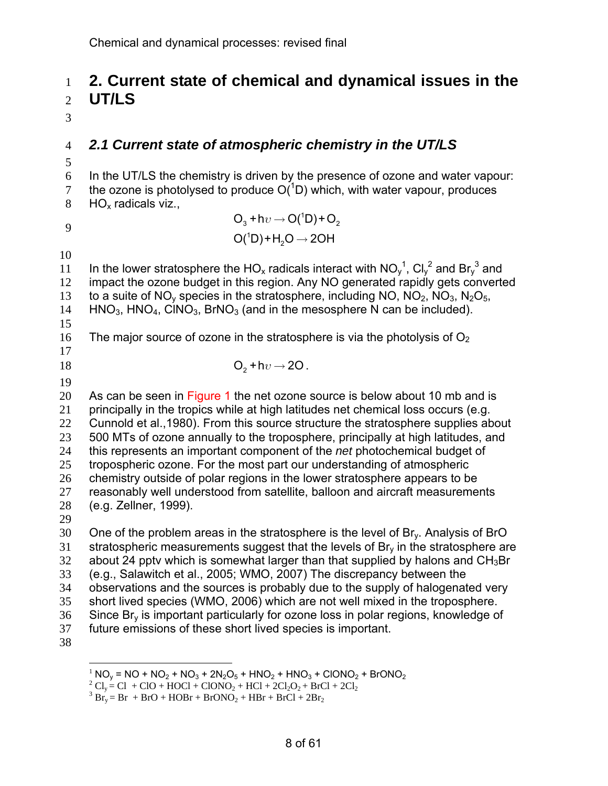## 1 **2. Current state of chemical and dynamical issues in the**  2 **UT/LS**

3

## 4 *2.1 Current state of atmospheric chemistry in the UT/LS*

5 6 In the UT/LS the chemistry is driven by the presence of ozone and water vapour: 7 the ozone is photolysed to produce  $O(^1D)$  which, with water vapour, produces

 $8$  HO<sub>x</sub> radicals viz.,

| $O_3$ + h $v \to O(^1D)$ + $O_2$ |
|----------------------------------|
| $O(^{1}D) + H2O \rightarrow 2OH$ |

9

10 11 In the lower stratosphere the HO<sub>x</sub> radicals interact with NO<sub>y</sub><sup>1</sup>, Cl<sub>y</sub><sup>2</sup> and Br<sub>y</sub><sup>3</sup> and 12 impact the ozone budget in this region. Any NO generated rapidly gets converted 13 to a suite of  $NO_v$  species in the stratosphere, including  $NO$ ,  $NO_2$ ,  $NO_3$ ,  $N_2O_5$ , 14 HNO<sub>3</sub>, HNO<sub>4</sub>, CINO<sub>3</sub>, BrNO<sub>3</sub> (and in the mesosphere N can be included). 15

16 The major source of ozone in the stratosphere is via the photolysis of  $O<sub>2</sub>$ 

- 17
- 18  $O_2 + h v \rightarrow 2O$ .
- 19

20 As can be seen in Figure 1 the net ozone source is below about 10 mb and is principally in the tropics while at high latitudes net chemical loss occurs (e.g. Cunnold et al.,1980). From this source structure the stratosphere supplies about 500 MTs of ozone annually to the troposphere, principally at high latitudes, and this represents an important component of the *net* photochemical budget of tropospheric ozone. For the most part our understanding of atmospheric chemistry outside of polar regions in the lower stratosphere appears to be reasonably well understood from satellite, balloon and aircraft measurements (e.g. Zellner, 1999). 29 30 One of the problem areas in the stratosphere is the level of  $\text{Br}_y$ . Analysis of BrO

31 stratospheric measurements suggest that the levels of  $\text{Br}_v$  in the stratosphere are 32 about 24 ppty which is somewhat larger than that supplied by halons and  $CH_3Br$ (e.g., Salawitch et al., 2005; WMO, 2007) The discrepancy between the observations and the sources is probably due to the supply of halogenated very short lived species (WMO, 2006) which are not well mixed in the troposphere. Since Br<sub>y</sub> is important particularly for ozone loss in polar regions, knowledge of future emissions of these short lived species is important.

 $\overline{a}$  $1 \text{ NO}_y = \text{NO} + \text{NO}_2 + \text{NO}_3 + 2\text{N}_2\text{O}_5 + \text{HNO}_2 + \text{HNO}_3 + \text{CIONO}_2 + \text{BronO}_2$ 

 $C_1^2$  Cl<sub>y</sub> = Cl + ClO + HOCl + ClONO<sub>2</sub> + HCl + 2Cl<sub>2</sub>O<sub>2</sub> + BrCl + 2Cl<sub>2</sub>

 $B^3$  Br<sub>y</sub> = Br + BrO + HOBr + BrONO<sub>2</sub> + HBr + BrCl + 2Br<sub>2</sub>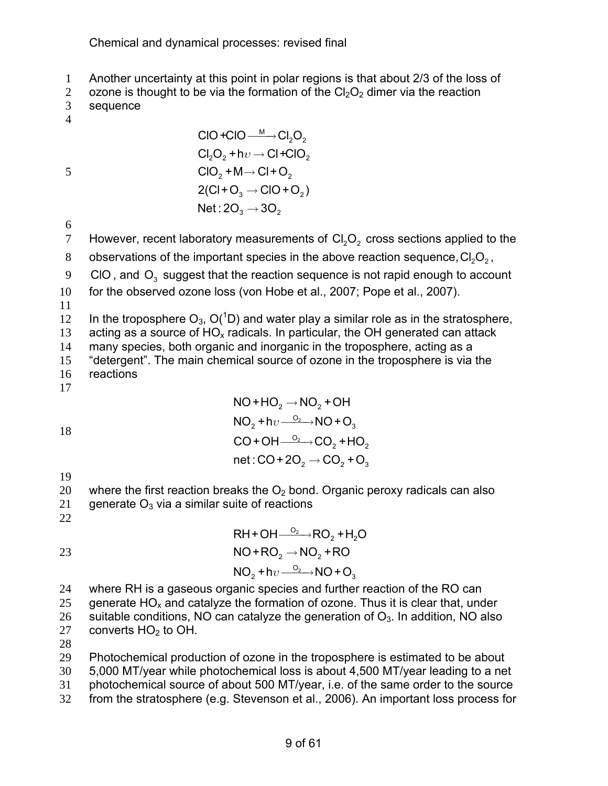- 1 Another uncertainty at this point in polar regions is that about 2/3 of the loss of
- 2 ozone is thought to be via the formation of the  $Cl<sub>2</sub>O<sub>2</sub>$  dimer via the reaction
- 3 sequence
- 4

$$
ClO + ClO \xrightarrow{M} Cl2O2
$$
  
\n
$$
Cl2O2 + hU \rightarrow Cl + ClO2
$$
  
\n
$$
ClO2 + M \rightarrow Cl + O2
$$
  
\n
$$
2(Cl + O3 \rightarrow ClO + O2)
$$
  
\nNet : 2O<sub>3</sub> \rightarrow 3O<sub>2</sub>

6

5

 $\sigma$  However, recent laboratory measurements of Cl<sub>2</sub>O<sub>2</sub> cross sections applied to the

8 observations of the important species in the above reaction sequence,  $Cl_2O_2$ ,

9 CIO, and  $O_3$  suggest that the reaction sequence is not rapid enough to account

10 for the observed ozone loss (von Hobe et al., 2007; Pope et al., 2007).

11

12 In the troposphere  $O_3$ ,  $O(^1D)$  and water play a similar role as in the stratosphere,

- 13 acting as a source of  $HO_x$  radicals. In particular, the OH generated can attack
- 14 many species, both organic and inorganic in the troposphere, acting as a
- 15 "detergent". The main chemical source of ozone in the troposphere is via the
- 16 reactions 17

|    | $NO+HO_2 \rightarrow NO_2 + OH$         |
|----|-----------------------------------------|
| 18 | $NO_2 + h v \xrightarrow{O_2} NO + O_2$ |
|    | $CO + OH \xrightarrow{O_2} CO_2 + HO_2$ |
|    | net: $CO+2O_2 \rightarrow CO_2 + O_3$   |

19

| -- |                                                                                    |
|----|------------------------------------------------------------------------------------|
|    | 20 where the first reaction breaks the $O2$ bond. Organic peroxy radicals can also |
|    | At the second A researchers to the change of the second                            |

- 21 generate  $O_3$  via a similar suite of reactions 22
- $v \xrightarrow{0_2}$  $\longrightarrow$  $NO+RO<sub>2</sub> \rightarrow NO<sub>2</sub> + RO$  $RH$  + OH  $\stackrel{\circ}{\longrightarrow}$   $RO_{2}$  + H<sub>2</sub>O  $NO_2 + h\upsilon \xrightarrow{O_2} NO + O_3$ 23

24 where RH is a gaseous organic species and further reaction of the RO can 25 generate  $HO_x$  and catalyze the formation of ozone. Thus it is clear that, under 26 suitable conditions, NO can catalyze the generation of  $O<sub>3</sub>$ . In addition, NO also 27 converts  $HO<sub>2</sub>$  to OH.

28

29 Photochemical production of ozone in the troposphere is estimated to be about 30 5,000 MT/year while photochemical loss is about 4,500 MT/year leading to a net 31 photochemical source of about 500 MT/year, i.e. of the same order to the source

32 from the stratosphere (e.g. Stevenson et al., 2006). An important loss process for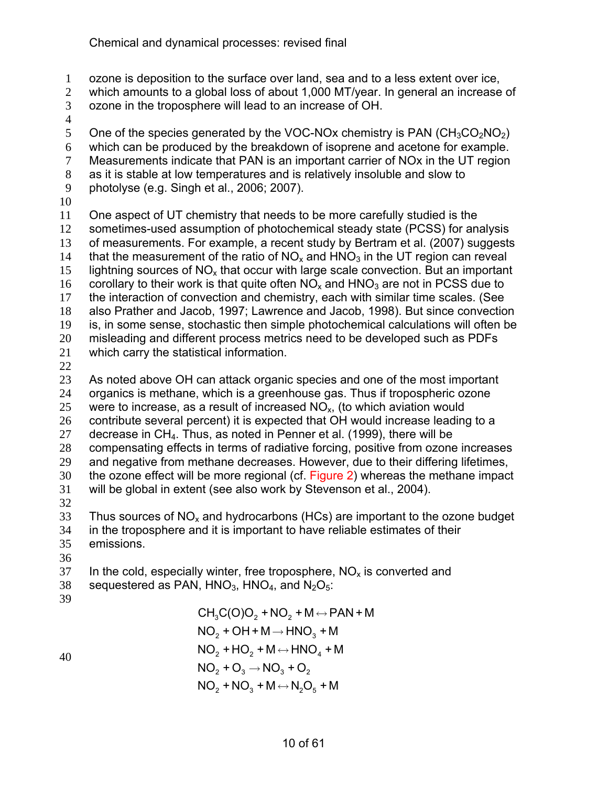- ozone is deposition to the surface over land, sea and to a less extent over ice,
- which amounts to a global loss of about 1,000 MT/year. In general an increase of
- ozone in the troposphere will lead to an increase of OH.
- 
- 5 One of the species generated by the VOC-NOx chemistry is PAN  $(CH_3CO_2NO_2)$
- which can be produced by the breakdown of isoprene and acetone for example.
- Measurements indicate that PAN is an important carrier of NOx in the UT region
- as it is stable at low temperatures and is relatively insoluble and slow to
- photolyse (e.g. Singh et al., 2006; 2007).
- 

One aspect of UT chemistry that needs to be more carefully studied is the sometimes-used assumption of photochemical steady state (PCSS) for analysis of measurements. For example, a recent study by Bertram et al. (2007) suggests

- 14 that the measurement of the ratio of  $NO<sub>x</sub>$  and  $HNO<sub>3</sub>$  in the UT region can reveal
- 15 lightning sources of  $NO<sub>x</sub>$  that occur with large scale convection. But an important
- 16 corollary to their work is that quite often  $NO<sub>x</sub>$  and  $HNO<sub>3</sub>$  are not in PCSS due to
- the interaction of convection and chemistry, each with similar time scales. (See
- also Prather and Jacob, 1997; Lawrence and Jacob, 1998). But since convection
- is, in some sense, stochastic then simple photochemical calculations will often be
- misleading and different process metrics need to be developed such as PDFs
- which carry the statistical information.
- 

As noted above OH can attack organic species and one of the most important organics is methane, which is a greenhouse gas. Thus if tropospheric ozone 25 were to increase, as a result of increased  $NO<sub>x</sub>$ , (to which aviation would contribute several percent) it is expected that OH would increase leading to a 27 decrease in CH<sub>4</sub>. Thus, as noted in Penner et al. (1999), there will be compensating effects in terms of radiative forcing, positive from ozone increases

and negative from methane decreases. However, due to their differing lifetimes,

- the ozone effect will be more regional (cf. Figure 2) whereas the methane impact will be global in extent (see also work by Stevenson et al., 2004).
- 

33 Thus sources of  $NO<sub>x</sub>$  and hydrocarbons (HCs) are important to the ozone budget in the troposphere and it is important to have reliable estimates of their

- emissions.
- 
- 37 In the cold, especially winter, free troposphere,  $NO<sub>x</sub>$  is converted and
- 38 sequestered as PAN,  $HNO<sub>3</sub>$ ,  $HNO<sub>4</sub>$ , and  $N<sub>2</sub>O<sub>5</sub>$ :
- 

 $\mathsf{CH}_{3}\mathsf{C}(\mathsf{O})\mathsf{O}_{2}$  + NO<sub>2</sub> + M  $\leftrightarrow$  PAN + M  $NO_2 + OH + M \rightarrow HNO_3 + M$  $NO_2 + HO_2 + M \leftrightarrow HNO_4 + M$  $NO_2 + O_3 \rightarrow NO_3 + O_2$  $NO_2 + NO_3 + M \leftrightarrow N_2O_5 + M$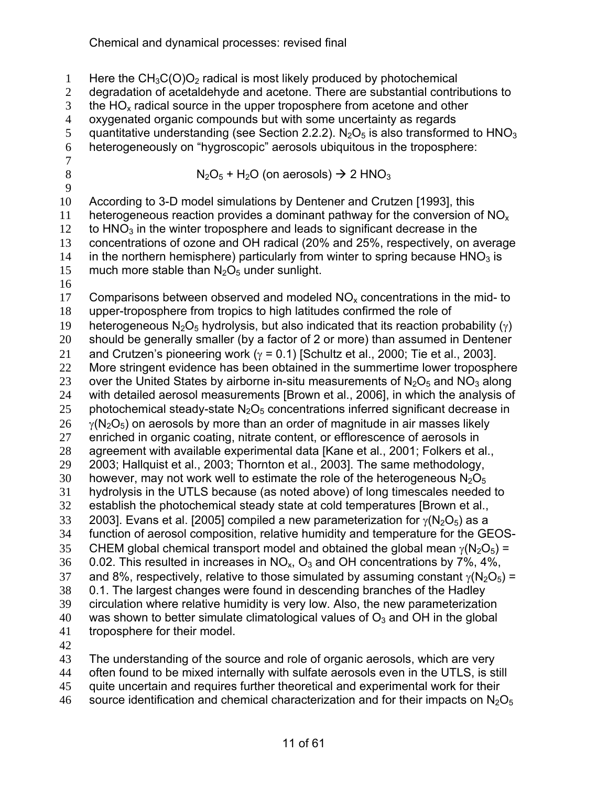1 Here the  $CH_3C(O)O_2$  radical is most likely produced by photochemical 2 degradation of acetaldehyde and acetone. There are substantial contributions to  $3$  the HO<sub>x</sub> radical source in the upper troposphere from acetone and other 4 oxygenated organic compounds but with some uncertainty as regards 5 quantitative understanding (see Section 2.2.2). N<sub>2</sub>O<sub>5</sub> is also transformed to HNO<sub>3</sub> 6 heterogeneously on "hygroscopic" aerosols ubiquitous in the troposphere: 7 8  $N_2O_5 + H_2O$  (on aerosols)  $\rightarrow$  2 HNO<sub>3</sub> 9 10 According to 3-D model simulations by Dentener and Crutzen [1993], this 11 heterogeneous reaction provides a dominant pathway for the conversion of  $NO<sub>x</sub>$  $12$  to HNO<sub>3</sub> in the winter troposphere and leads to significant decrease in the 13 concentrations of ozone and OH radical (20% and 25%, respectively, on average 14 in the northern hemisphere) particularly from winter to spring because  $HNO<sub>3</sub>$  is 15 much more stable than  $N_2O_5$  under sunlight. 16 17 Comparisons between observed and modeled  $NO<sub>x</sub>$  concentrations in the mid- to 18 upper-troposphere from tropics to high latitudes confirmed the role of 19 heterogeneous N<sub>2</sub>O<sub>5</sub> hydrolysis, but also indicated that its reaction probability ( $\gamma$ ) 20 should be generally smaller (by a factor of 2 or more) than assumed in Dentener 21 and Crutzen's pioneering work ( $\gamma$  = 0.1) [Schultz et al., 2000; Tie et al., 2003]. 22 More stringent evidence has been obtained in the summertime lower troposphere 23 over the United States by airborne in-situ measurements of  $N_2O_5$  and  $NO_3$  along 24 with detailed aerosol measurements [Brown et al., 2006], in which the analysis of 25 photochemical steady-state  $N_2O_5$  concentrations inferred significant decrease in  $26 \gamma(N_2O_5)$  on aerosols by more than an order of magnitude in air masses likely 27 enriched in organic coating, nitrate content, or efflorescence of aerosols in 28 agreement with available experimental data [Kane et al., 2001; Folkers et al., 29 2003; Hallquist et al., 2003; Thornton et al., 2003]. The same methodology, 30 however, may not work well to estimate the role of the heterogeneous  $N_2O_5$ <br>31 hydrolysis in the UTLS because (as noted above) of long timescales needed hydrolysis in the UTLS because (as noted above) of long timescales needed to 32 establish the photochemical steady state at cold temperatures [Brown et al., 33 2003]. Evans et al. [2005] compiled a new parameterization for  $\gamma(N_2O_5)$  as a 34 function of aerosol composition, relative humidity and temperature for the GEOS-35 CHEM global chemical transport model and obtained the global mean  $\gamma(N_2O_5)$  = 36 0.02. This resulted in increases in  $NO_x$ ,  $O_3$  and OH concentrations by 7%, 4%, 37 and 8%, respectively, relative to those simulated by assuming constant  $\gamma(N_2O_5)$  = 38 0.1. The largest changes were found in descending branches of the Hadley 39 circulation where relative humidity is very low. Also, the new parameterization 40 was shown to better simulate climatological values of  $O_3$  and OH in the global 41 troposphere for their model. 42

The understanding of the source and role of organic aerosols, which are very often found to be mixed internally with sulfate aerosols even in the UTLS, is still quite uncertain and requires further theoretical and experimental work for their 46 source identification and chemical characterization and for their impacts on  $N_2O_5$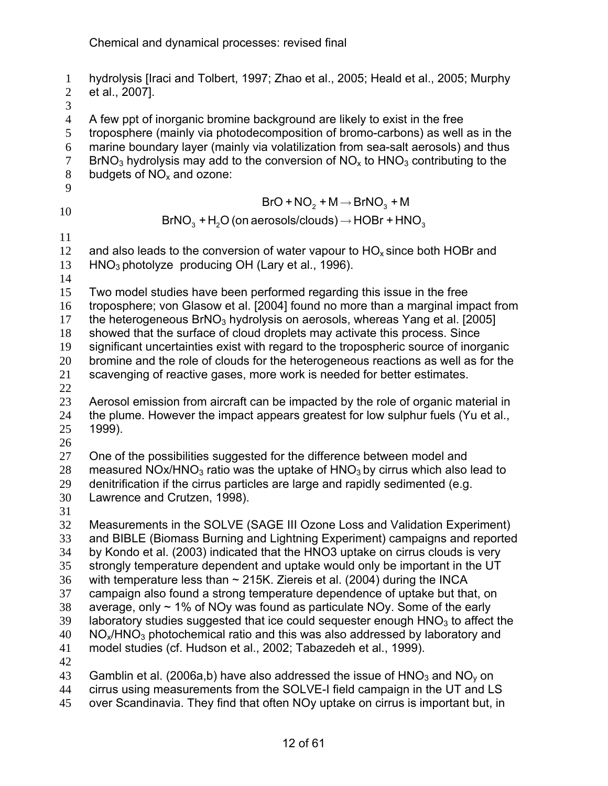hydrolysis [Iraci and Tolbert, 1997; Zhao et al., 2005; Heald et al., 2005; Murphy et al., 2007]. A few ppt of inorganic bromine background are likely to exist in the free troposphere (mainly via photodecomposition of bromo-carbons) as well as in the marine boundary layer (mainly via volatilization from sea-salt aerosols) and thus 7 BrNO<sub>3</sub> hydrolysis may add to the conversion of  $NO<sub>x</sub>$  to HNO<sub>3</sub> contributing to the 8 budgets of  $NO<sub>x</sub>$  and ozone:  $\text{BrO} + \text{NO}_2 + \text{M} \rightarrow \text{BrNO}_3 + \text{M}$ BrNO $_3$  + H $_2$ O (on aerosols/clouds)  $\rightarrow$  HOBr + HNO $_3$  12 and also leads to the conversion of water vapour to  $HO_x$  since both HOBr and HNO<sub>3</sub> photolyze producing OH (Lary et al., 1996). Two model studies have been performed regarding this issue in the free troposphere; von Glasow et al. [2004] found no more than a marginal impact from 17 the heterogeneous  $BrNO<sub>3</sub>$  hydrolysis on aerosols, whereas Yang et al. [2005] showed that the surface of cloud droplets may activate this process. Since significant uncertainties exist with regard to the tropospheric source of inorganic bromine and the role of clouds for the heterogeneous reactions as well as for the scavenging of reactive gases, more work is needed for better estimates. Aerosol emission from aircraft can be impacted by the role of organic material in the plume. However the impact appears greatest for low sulphur fuels (Yu et al., 1999). 27 One of the possibilities suggested for the difference between model and 28 measured NOx/HNO<sub>3</sub> ratio was the uptake of HNO<sub>3</sub> by cirrus which also lead to denitrification if the cirrus particles are large and rapidly sedimented (e.g. Lawrence and Crutzen, 1998). Measurements in the SOLVE (SAGE III Ozone Loss and Validation Experiment) and BIBLE (Biomass Burning and Lightning Experiment) campaigns and reported by Kondo et al. (2003) indicated that the HNO3 uptake on cirrus clouds is very strongly temperature dependent and uptake would only be important in the UT with temperature less than ~ 215K. Ziereis et al. (2004) during the INCA campaign also found a strong temperature dependence of uptake but that, on 38 average, only  $\sim$  1% of NOy was found as particulate NOy. Some of the early 39 laboratory studies suggested that ice could sequester enough  $HNO<sub>3</sub>$  to affect the NO<sub>x</sub>/HNO<sub>3</sub> photochemical ratio and this was also addressed by laboratory and model studies (cf. Hudson et al., 2002; Tabazedeh et al., 1999). 43 Gamblin et al. (2006a,b) have also addressed the issue of  $HNO<sub>3</sub>$  and  $NO<sub>v</sub>$  on cirrus using measurements from the SOLVE-I field campaign in the UT and LS over Scandinavia. They find that often NOy uptake on cirrus is important but, in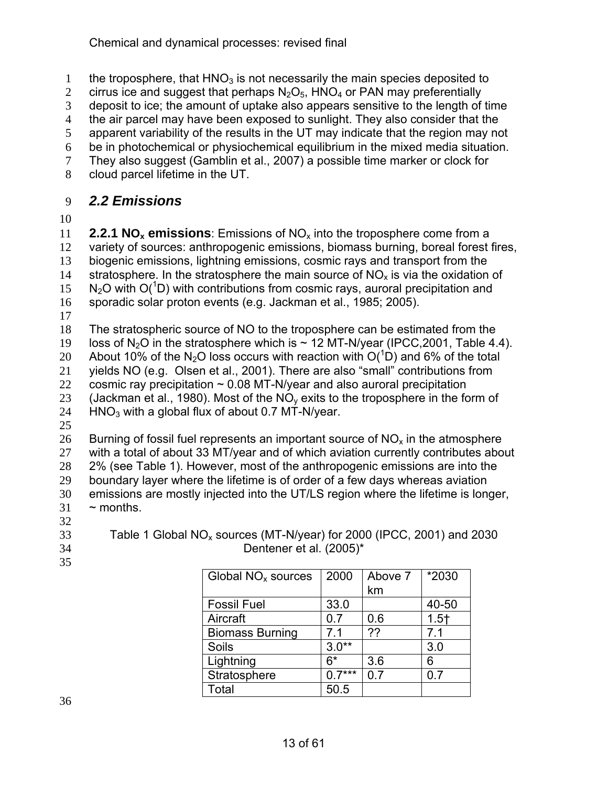1 the troposphere, that  $HNO<sub>3</sub>$  is not necessarily the main species deposited to

2 cirrus ice and suggest that perhaps  $N_2O_5$ , HNO<sub>4</sub> or PAN may preferentially

3 deposit to ice; the amount of uptake also appears sensitive to the length of time

4 the air parcel may have been exposed to sunlight. They also consider that the

5 apparent variability of the results in the UT may indicate that the region may not

6 be in photochemical or physiochemical equilibrium in the mixed media situation.

7 They also suggest (Gamblin et al., 2007) a possible time marker or clock for

8 cloud parcel lifetime in the UT.

## 9 *2.2 Emissions*

10

**2.2.1 NO<sub>x</sub> emissions**: Emissions of NO<sub>x</sub> into the troposphere come from a variety of sources: anthropogenic emissions, biomass burning, boreal forest fires, biogenic emissions, lightning emissions, cosmic rays and transport from the 14 stratosphere. In the stratosphere the main source of  $NO<sub>x</sub>$  is via the oxidation of N<sub>2</sub>O with O( $1$ <sup>D</sup>) with contributions from cosmic rays, auroral precipitation and sporadic solar proton events (e.g. Jackman et al., 1985; 2005).

17

18 The stratospheric source of NO to the troposphere can be estimated from the 19 loss of N<sub>2</sub>O in the stratosphere which is  $\sim$  12 MT-N/year (IPCC, 2001, Table 4.4). 20 About 10% of the N<sub>2</sub>O loss occurs with reaction with  $O(^1D)$  and 6% of the total 21 yields NO (e.g. Olsen et al., 2001). There are also "small" contributions from 22 cosmic ray precipitation  $\sim$  0.08 MT-N/year and also auroral precipitation 23 (Jackman et al., 1980). Most of the  $NO<sub>v</sub>$  exits to the troposphere in the form of 24 HNO<sub>3</sub> with a global flux of about 0.7 MT-N/year.

25

26 Burning of fossil fuel represents an important source of  $NO<sub>x</sub>$  in the atmosphere with a total of about 33 MT/year and of which aviation currently contributes about 2% (see Table 1). However, most of the anthropogenic emissions are into the boundary layer where the lifetime is of order of a few days whereas aviation emissions are mostly injected into the UT/LS region where the lifetime is longer,  $31 \sim$  months.

- 32
- 

33 Table 1 Global  $NO<sub>x</sub>$  sources (MT-N/year) for 2000 (IPCC, 2001) and 2030 34 Dentener et al. (2005)\*

35

| Global $NOx$ sources   | 2000     | Above 7 | *2030  |
|------------------------|----------|---------|--------|
|                        |          | km      |        |
| <b>Fossil Fuel</b>     | 33.0     |         | 40-50  |
| Aircraft               | 0.7      | 0.6     | $1.5+$ |
| <b>Biomass Burning</b> | 7.1      | ??      | 7.1    |
| <b>Soils</b>           | $3.0**$  |         | 3.0    |
| Lightning              | 6*       | 3.6     | 6      |
| Stratosphere           | $0.7***$ | 0.7     | 0.7    |
| Total                  | 50.5     |         |        |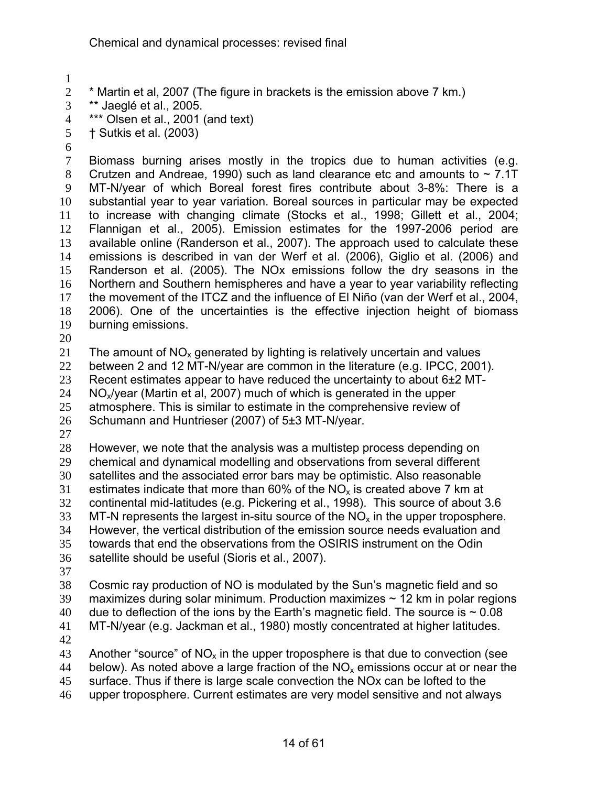- \* Martin et al, 2007 (The figure in brackets is the emission above 7 km.)
- \*\* Jaeglé et al., 2005.
- \*\*\* Olsen et al., 2001 (and text)
- † Sutkis et al. (2003)
- 

Biomass burning arises mostly in the tropics due to human activities (e.g. 8 Crutzen and Andreae, 1990) such as land clearance etc and amounts to  $\sim 7.1$ T MT-N/year of which Boreal forest fires contribute about 3-8%: There is a substantial year to year variation. Boreal sources in particular may be expected to increase with changing climate (Stocks et al., 1998; Gillett et al., 2004; Flannigan et al., 2005). Emission estimates for the 1997-2006 period are available online (Randerson et al., 2007). The approach used to calculate these emissions is described in van der Werf et al. (2006), Giglio et al. (2006) and Randerson et al. (2005). The NOx emissions follow the dry seasons in the Northern and Southern hemispheres and have a year to year variability reflecting the movement of the ITCZ and the influence of El Niño (van der Werf et al., 2004, 2006). One of the uncertainties is the effective injection height of biomass burning emissions.

21 The amount of  $NO_x$  generated by lighting is relatively uncertain and values

between 2 and 12 MT-N/year are common in the literature (e.g. IPCC, 2001).

Recent estimates appear to have reduced the uncertainty to about 6±2 MT-

NO<sub>x</sub>/year (Martin et al, 2007) much of which is generated in the upper

atmosphere. This is similar to estimate in the comprehensive review of

- Schumann and Huntrieser (2007) of 5±3 MT-N/year.
- 

However, we note that the analysis was a multistep process depending on chemical and dynamical modelling and observations from several different satellites and the associated error bars may be optimistic. Also reasonable 31 estimates indicate that more than 60% of the  $NO<sub>x</sub>$  is created above 7 km at continental mid-latitudes (e.g. Pickering et al., 1998). This source of about 3.6 MT-N represents the largest in-situ source of the NO<sub>x</sub> in the upper troposphere. However, the vertical distribution of the emission source needs evaluation and towards that end the observations from the OSIRIS instrument on the Odin satellite should be useful (Sioris et al., 2007).

Cosmic ray production of NO is modulated by the Sun's magnetic field and so 39 maximizes during solar minimum. Production maximizes  $\sim$  12 km in polar regions 40 due to deflection of the ions by the Earth's magnetic field. The source is  $\sim 0.08$ MT-N/year (e.g. Jackman et al., 1980) mostly concentrated at higher latitudes. 

43 Another "source" of  $NO_x$  in the upper troposphere is that due to convection (see 44 below). As noted above a large fraction of the  $NO<sub>x</sub>$  emissions occur at or near the

surface. Thus if there is large scale convection the NOx can be lofted to the

upper troposphere. Current estimates are very model sensitive and not always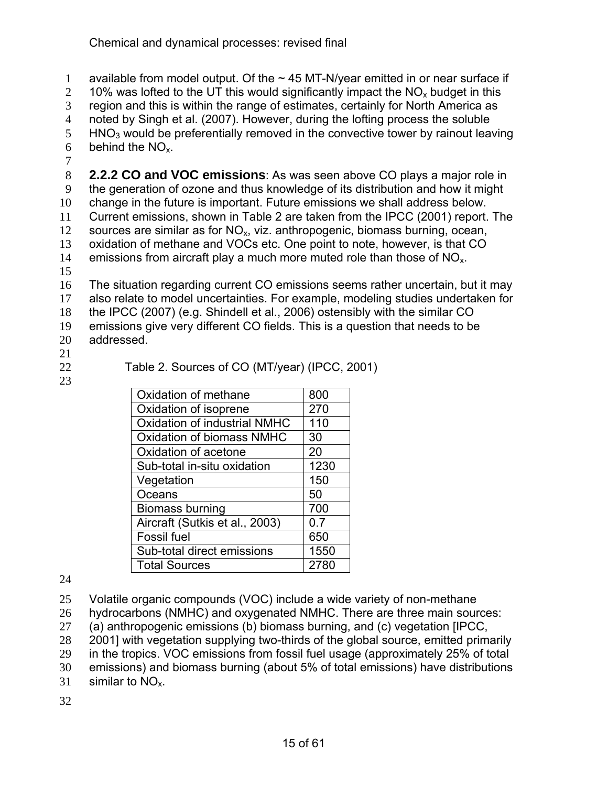available from model output. Of the ~ 45 MT-N/year emitted in or near surface if 2 10% was lofted to the UT this would significantly impact the  $NO_x$  budget in this region and this is within the range of estimates, certainly for North America as noted by Singh et al. (2007). However, during the lofting process the soluble HNO<sub>3</sub> would be preferentially removed in the convective tower by rainout leaving 6 behind the  $NO<sub>x</sub>$ . 7 **2.2.2 CO and VOC emissions**: As was seen above CO plays a major role in

9 the generation of ozone and thus knowledge of its distribution and how it might 10 change in the future is important. Future emissions we shall address below. 11 Current emissions, shown in Table 2 are taken from the IPCC (2001) report. The

12 sources are similar as for  $NO<sub>x</sub>$ , viz. anthropogenic, biomass burning, ocean,

13 oxidation of methane and VOCs etc. One point to note, however, is that CO

14 emissions from aircraft play a much more muted role than those of  $NO<sub>x</sub>$ .

15

The situation regarding current CO emissions seems rather uncertain, but it may also relate to model uncertainties. For example, modeling studies undertaken for the IPCC (2007) (e.g. Shindell et al., 2006) ostensibly with the similar CO emissions give very different CO fields. This is a question that needs to be addressed.

21

23

22 Table 2. Sources of CO (MT/year) (IPCC, 2001)

| Oxidation of methane           | 800  |
|--------------------------------|------|
| Oxidation of isoprene          | 270  |
| Oxidation of industrial NMHC   | 110  |
| Oxidation of biomass NMHC      | 30   |
| Oxidation of acetone           | 20   |
| Sub-total in-situ oxidation    | 1230 |
| Vegetation                     | 150  |
| Oceans                         | 50   |
| Biomass burning                | 700  |
| Aircraft (Sutkis et al., 2003) | 0.7  |
| <b>Fossil fuel</b>             | 650  |
| Sub-total direct emissions     | 1550 |
| <b>Total Sources</b>           | 2780 |

24

25 Volatile organic compounds (VOC) include a wide variety of non-methane

26 hydrocarbons (NMHC) and oxygenated NMHC. There are three main sources:

27 (a) anthropogenic emissions (b) biomass burning, and (c) vegetation [IPCC,

28 2001] with vegetation supplying two-thirds of the global source, emitted primarily

29 in the tropics. VOC emissions from fossil fuel usage (approximately 25% of total

30 emissions) and biomass burning (about 5% of total emissions) have distributions

31 similar to  $NO<sub>x</sub>$ .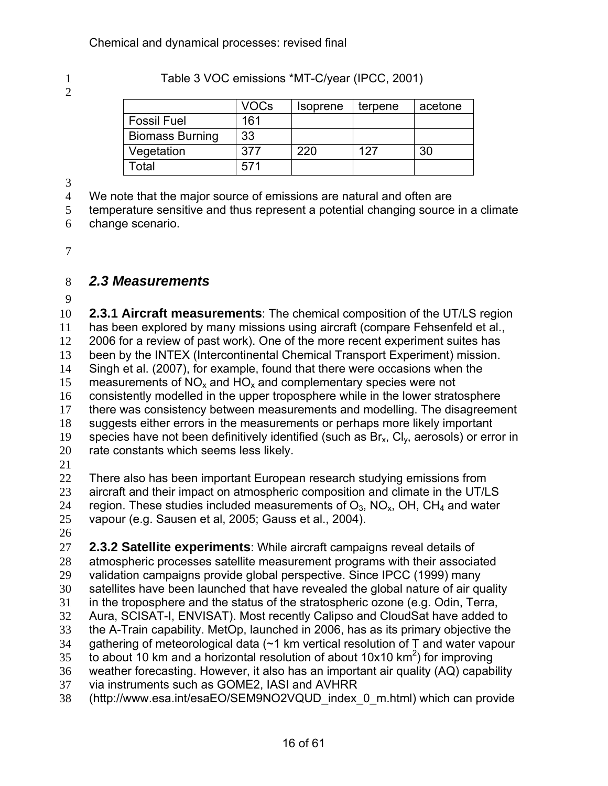Table 3 VOC emissions \*MT-C/year (IPCC, 2001)

| VOCs | <b>Isoprene</b> | terpene | acetone |
|------|-----------------|---------|---------|
| 161  |                 |         |         |
| 33   |                 |         |         |
| 377  | 220             | 127     | 30      |
| 571  |                 |         |         |
|      |                 |         |         |

We note that the major source of emissions are natural and often are

temperature sensitive and thus represent a potential changing source in a climate

change scenario.

#### *2.3 Measurements*

**2.3.1 Aircraft measurements**: The chemical composition of the UT/LS region has been explored by many missions using aircraft (compare Fehsenfeld et al., 2006 for a review of past work). One of the more recent experiment suites has been by the INTEX (Intercontinental Chemical Transport Experiment) mission. Singh et al. (2007), for example, found that there were occasions when the 15 measurements of  $NO<sub>x</sub>$  and H $O<sub>x</sub>$  and complementary species were not consistently modelled in the upper troposphere while in the lower stratosphere there was consistency between measurements and modelling. The disagreement suggests either errors in the measurements or perhaps more likely important 19 species have not been definitively identified (such as  $\text{Br}_x$ ,  $\text{Cl}_y$ , aerosols) or error in rate constants which seems less likely. There also has been important European research studying emissions from 23 aircraft and their impact on atmospheric composition and climate in the UT/LS 24 region. These studies included measurements of  $O_3$ , NO<sub>x</sub>, OH, CH<sub>4</sub> and water vapour (e.g. Sausen et al, 2005; Gauss et al., 2004). **2.3.2 Satellite experiments**: While aircraft campaigns reveal details of

atmospheric processes satellite measurement programs with their associated validation campaigns provide global perspective. Since IPCC (1999) many satellites have been launched that have revealed the global nature of air quality in the troposphere and the status of the stratospheric ozone (e.g. Odin, Terra, Aura, SCISAT-I, ENVISAT). Most recently Calipso and CloudSat have added to the A-Train capability. MetOp, launched in 2006, has as its primary objective the gathering of meteorological data (~1 km vertical resolution of T and water vapour 35 to about 10 km and a horizontal resolution of about 10x10 km<sup>2</sup>) for improving weather forecasting. However, it also has an important air quality (AQ) capability via instruments such as GOME2, IASI and AVHRR (http://www.esa.int/esaEO/SEM9NO2VQUD\_index\_0\_m.html) which can provide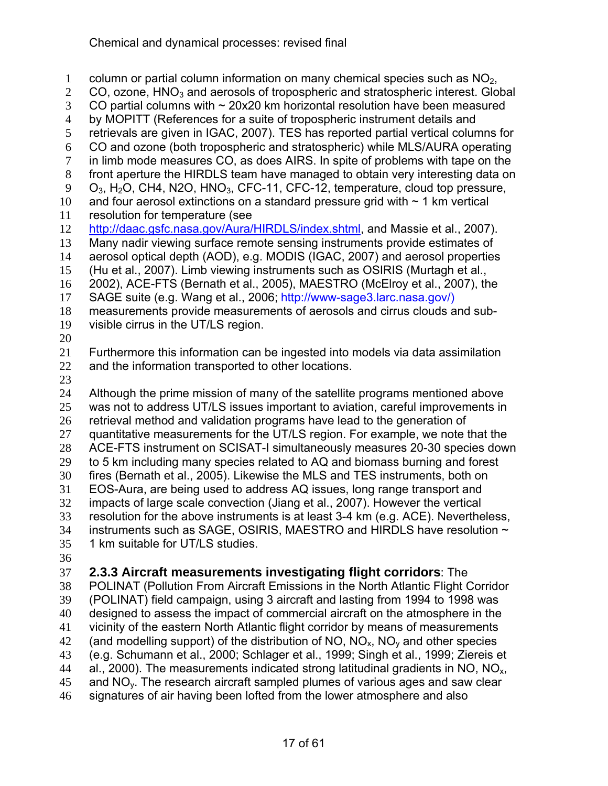1 column or partial column information on many chemical species such as  $NO<sub>2</sub>$ ,  $CO$ , ozone, HNO<sub>3</sub> and aerosols of tropospheric and stratospheric interest. Global CO partial columns with ~ 20x20 km horizontal resolution have been measured by MOPITT (References for a suite of tropospheric instrument details and retrievals are given in IGAC, 2007). TES has reported partial vertical columns for CO and ozone (both tropospheric and stratospheric) while MLS/AURA operating in limb mode measures CO, as does AIRS. In spite of problems with tape on the front aperture the HIRDLS team have managed to obtain very interesting data on O<sub>3</sub>, H<sub>2</sub>O, CH4, N2O, HNO<sub>3</sub>, CFC-11, CFC-12, temperature, cloud top pressure, 10 and four aerosol extinctions on a standard pressure grid with  $\sim$  1 km vertical resolution for temperature (see 12 http://daac.gsfc.nasa.gov/Aura/HIRDLS/index.shtml, and Massie et al., 2007). Many nadir viewing surface remote sensing instruments provide estimates of aerosol optical depth (AOD), e.g. MODIS (IGAC, 2007) and aerosol properties (Hu et al., 2007). Limb viewing instruments such as OSIRIS (Murtagh et al., 2002), ACE-FTS (Bernath et al., 2005), MAESTRO (McElroy et al., 2007), the SAGE suite (e.g. Wang et al., 2006; http://www-sage3.larc.nasa.gov/) measurements provide measurements of aerosols and cirrus clouds and sub-visible cirrus in the UT/LS region. Furthermore this information can be ingested into models via data assimilation and the information transported to other locations. Although the prime mission of many of the satellite programs mentioned above was not to address UT/LS issues important to aviation, careful improvements in retrieval method and validation programs have lead to the generation of 27 quantitative measurements for the UT/LS region. For example, we note that the ACE-FTS instrument on SCISAT-I simultaneously measures 20-30 species down to 5 km including many species related to AQ and biomass burning and forest fires (Bernath et al., 2005). Likewise the MLS and TES instruments, both on EOS-Aura, are being used to address AQ issues, long range transport and impacts of large scale convection (Jiang et al., 2007). However the vertical resolution for the above instruments is at least 3-4 km (e.g. ACE). Nevertheless, instruments such as SAGE, OSIRIS, MAESTRO and HIRDLS have resolution ~ 1 km suitable for UT/LS studies. **2.3.3 Aircraft measurements investigating flight corridors**: The POLINAT (Pollution From Aircraft Emissions in the North Atlantic Flight Corridor (POLINAT) field campaign, using 3 aircraft and lasting from 1994 to 1998 was designed to assess the impact of commercial aircraft on the atmosphere in the vicinity of the eastern North Atlantic flight corridor by means of measurements

42 (and modelling support) of the distribution of NO,  $NO<sub>x</sub>$ , NO<sub>y</sub> and other species

(e.g. Schumann et al., 2000; Schlager et al., 1999; Singh et al., 1999; Ziereis et

44 al., 2000). The measurements indicated strong latitudinal gradients in NO,  $NO_{x}$ ,

and NO<sub>y</sub>. The research aircraft sampled plumes of various ages and saw clear

signatures of air having been lofted from the lower atmosphere and also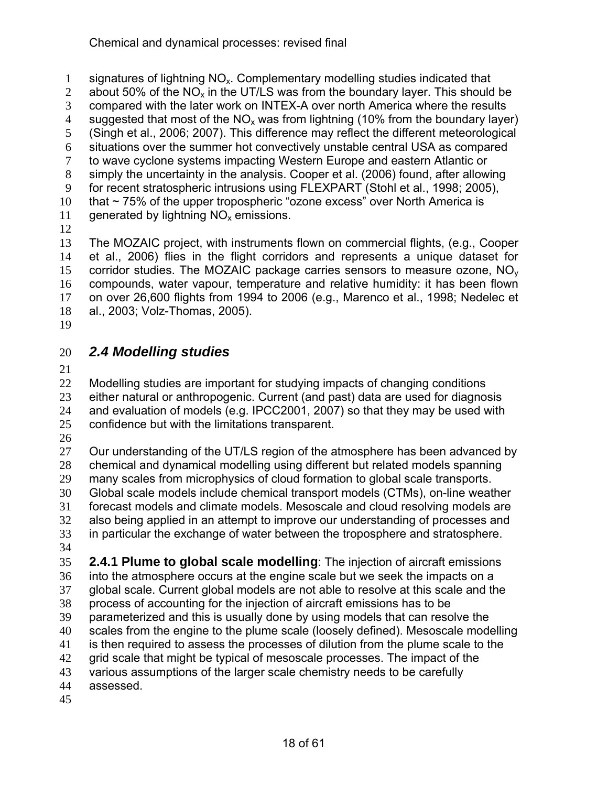signatures of lightning NOx. Complementary modelling studies indicated that 2 about 50% of the  $NO<sub>x</sub>$  in the UT/LS was from the boundary layer. This should be compared with the later work on INTEX-A over north America where the results 4 suggested that most of the  $NO<sub>x</sub>$  was from lightning (10% from the boundary layer) (Singh et al., 2006; 2007). This difference may reflect the different meteorological situations over the summer hot convectively unstable central USA as compared to wave cyclone systems impacting Western Europe and eastern Atlantic or simply the uncertainty in the analysis. Cooper et al. (2006) found, after allowing for recent stratospheric intrusions using FLEXPART (Stohl et al., 1998; 2005), 10 that  $\sim$  75% of the upper tropospheric "ozone excess" over North America is 11 generated by lightning  $NO<sub>x</sub>$  emissions. The MOZAIC project, with instruments flown on commercial flights, (e.g., Cooper

et al., 2006) flies in the flight corridors and represents a unique dataset for 15 corridor studies. The MOZAIC package carries sensors to measure ozone,  $NO<sub>v</sub>$ compounds, water vapour, temperature and relative humidity: it has been flown on over 26,600 flights from 1994 to 2006 (e.g., Marenco et al., 1998; Nedelec et al., 2003; Volz-Thomas, 2005).

### *2.4 Modelling studies*

Modelling studies are important for studying impacts of changing conditions either natural or anthropogenic. Current (and past) data are used for diagnosis and evaluation of models (e.g. IPCC2001, 2007) so that they may be used with confidence but with the limitations transparent.

Our understanding of the UT/LS region of the atmosphere has been advanced by chemical and dynamical modelling using different but related models spanning many scales from microphysics of cloud formation to global scale transports. Global scale models include chemical transport models (CTMs), on-line weather forecast models and climate models. Mesoscale and cloud resolving models are also being applied in an attempt to improve our understanding of processes and in particular the exchange of water between the troposphere and stratosphere. 

**2.4.1 Plume to global scale modelling**: The injection of aircraft emissions into the atmosphere occurs at the engine scale but we seek the impacts on a global scale. Current global models are not able to resolve at this scale and the process of accounting for the injection of aircraft emissions has to be parameterized and this is usually done by using models that can resolve the scales from the engine to the plume scale (loosely defined). Mesoscale modelling is then required to assess the processes of dilution from the plume scale to the grid scale that might be typical of mesoscale processes. The impact of the various assumptions of the larger scale chemistry needs to be carefully assessed.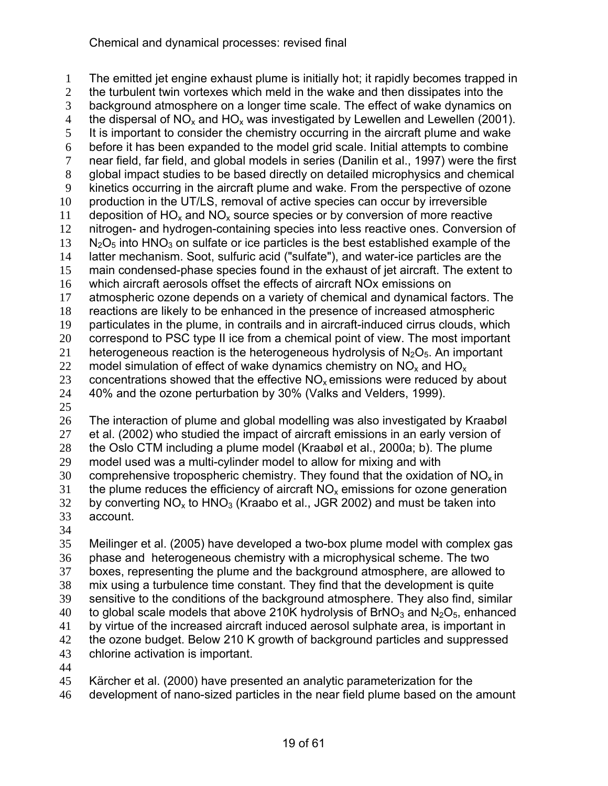The emitted jet engine exhaust plume is initially hot; it rapidly becomes trapped in 2 the turbulent twin vortexes which meld in the wake and then dissipates into the background atmosphere on a longer time scale. The effect of wake dynamics on 4 the dispersal of  $NO_x$  and  $HO_x$  was investigated by Lewellen and Lewellen (2001). It is important to consider the chemistry occurring in the aircraft plume and wake before it has been expanded to the model grid scale. Initial attempts to combine near field, far field, and global models in series (Danilin et al., 1997) were the first global impact studies to be based directly on detailed microphysics and chemical kinetics occurring in the aircraft plume and wake. From the perspective of ozone production in the UT/LS, removal of active species can occur by irreversible 11 deposition of  $HO_x$  and  $NO_x$  source species or by conversion of more reactive nitrogen- and hydrogen-containing species into less reactive ones. Conversion of N<sub>2</sub>O<sub>5</sub> into HNO<sub>3</sub> on sulfate or ice particles is the best established example of the latter mechanism. Soot, sulfuric acid ("sulfate"), and water-ice particles are the main condensed-phase species found in the exhaust of jet aircraft. The extent to which aircraft aerosols offset the effects of aircraft NOx emissions on atmospheric ozone depends on a variety of chemical and dynamical factors. The reactions are likely to be enhanced in the presence of increased atmospheric particulates in the plume, in contrails and in aircraft-induced cirrus clouds, which 20 correspond to PSC type II ice from a chemical point of view. The most important 21 heterogeneous reaction is the heterogeneous hydrolysis of  $N_2O_5$ . An important 22 model simulation of effect of wake dynamics chemistry on  $NO_x$  and  $HO_x$ 23 concentrations showed that the effective  $NO<sub>x</sub>$  emissions were reduced by about 40% and the ozone perturbation by 30% (Valks and Velders, 1999). The interaction of plume and global modelling was also investigated by Kraabøl et al. (2002) who studied the impact of aircraft emissions in an early version of the Oslo CTM including a plume model (Kraabøl et al., 2000a; b). The plume model used was a multi-cylinder model to allow for mixing and with 30 comprehensive tropospheric chemistry. They found that the oxidation of  $NO<sub>x</sub>$  in 31 the plume reduces the efficiency of aircraft  $NO<sub>x</sub>$  emissions for ozone generation by converting NO<sub>x</sub> to HNO<sub>3</sub> (Kraabo et al., JGR 2002) and must be taken into account.

Meilinger et al. (2005) have developed a two-box plume model with complex gas phase and heterogeneous chemistry with a microphysical scheme. The two boxes, representing the plume and the background atmosphere, are allowed to mix using a turbulence time constant. They find that the development is quite sensitive to the conditions of the background atmosphere. They also find, similar 40 to global scale models that above 210K hydrolysis of BrNO<sub>3</sub> and N<sub>2</sub>O<sub>5</sub>, enhanced by virtue of the increased aircraft induced aerosol sulphate area, is important in the ozone budget. Below 210 K growth of background particles and suppressed chlorine activation is important. 

Kärcher et al. (2000) have presented an analytic parameterization for the

development of nano-sized particles in the near field plume based on the amount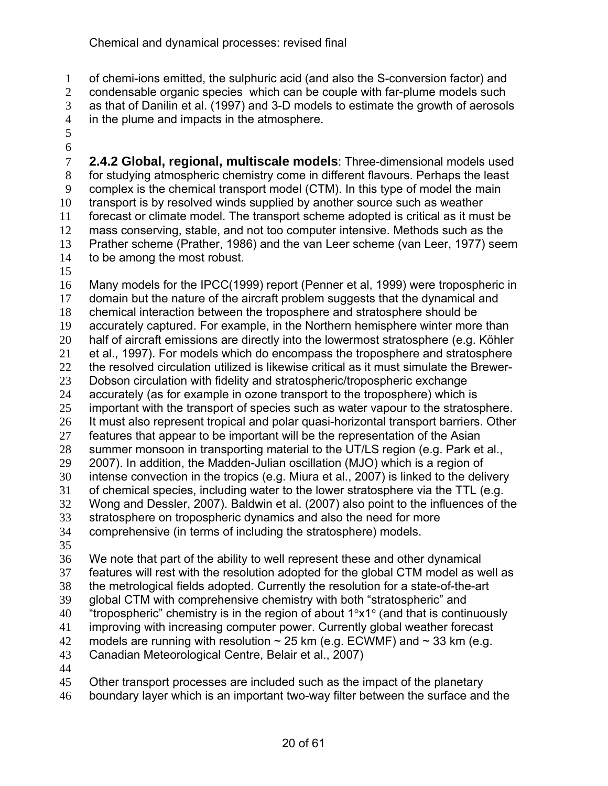of chemi-ions emitted, the sulphuric acid (and also the S-conversion factor) and

2 condensable organic species which can be couple with far-plume models such

as that of Danilin et al. (1997) and 3-D models to estimate the growth of aerosols

in the plume and impacts in the atmosphere.

 

**2.4.2 Global, regional, multiscale models**: Three-dimensional models used for studying atmospheric chemistry come in different flavours. Perhaps the least complex is the chemical transport model (CTM). In this type of model the main transport is by resolved winds supplied by another source such as weather forecast or climate model. The transport scheme adopted is critical as it must be mass conserving, stable, and not too computer intensive. Methods such as the Prather scheme (Prather, 1986) and the van Leer scheme (van Leer, 1977) seem to be among the most robust.

Many models for the IPCC(1999) report (Penner et al, 1999) were tropospheric in domain but the nature of the aircraft problem suggests that the dynamical and chemical interaction between the troposphere and stratosphere should be accurately captured. For example, in the Northern hemisphere winter more than half of aircraft emissions are directly into the lowermost stratosphere (e.g. Köhler et al., 1997). For models which do encompass the troposphere and stratosphere the resolved circulation utilized is likewise critical as it must simulate the Brewer-Dobson circulation with fidelity and stratospheric/tropospheric exchange accurately (as for example in ozone transport to the troposphere) which is important with the transport of species such as water vapour to the stratosphere. It must also represent tropical and polar quasi-horizontal transport barriers. Other features that appear to be important will be the representation of the Asian summer monsoon in transporting material to the UT/LS region (e.g. Park et al., 2007). In addition, the Madden-Julian oscillation (MJO) which is a region of intense convection in the tropics (e.g. Miura et al., 2007) is linked to the delivery of chemical species, including water to the lower stratosphere via the TTL (e.g. Wong and Dessler, 2007). Baldwin et al. (2007) also point to the influences of the stratosphere on tropospheric dynamics and also the need for more comprehensive (in terms of including the stratosphere) models. We note that part of the ability to well represent these and other dynamical features will rest with the resolution adopted for the global CTM model as well as the metrological fields adopted. Currently the resolution for a state-of-the-art global CTM with comprehensive chemistry with both "stratospheric" and 40 "tropospheric" chemistry is in the region of about  $1^{\circ}x1^{\circ}$  (and that is continuously improving with increasing computer power. Currently global weather forecast 42 models are running with resolution  $\sim$  25 km (e.g. ECWMF) and  $\sim$  33 km (e.g. Canadian Meteorological Centre, Belair et al., 2007)

Other transport processes are included such as the impact of the planetary

boundary layer which is an important two-way filter between the surface and the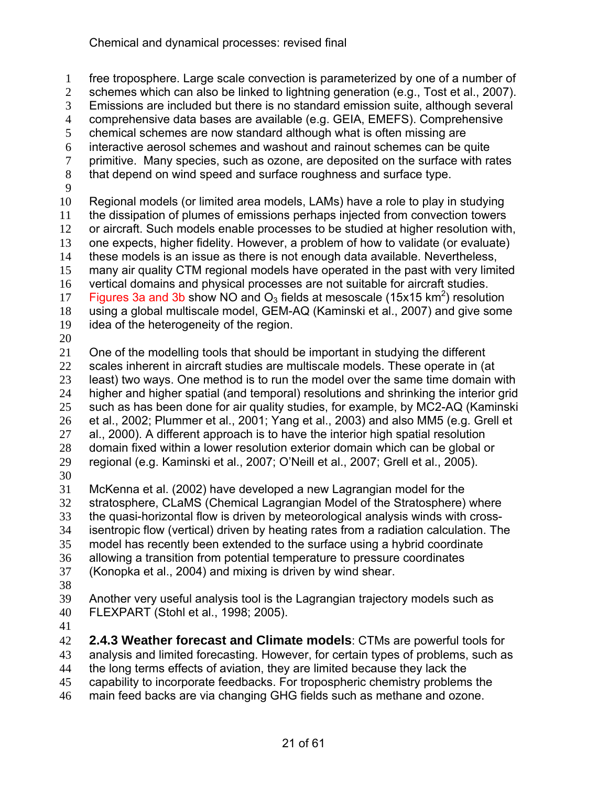free troposphere. Large scale convection is parameterized by one of a number of schemes which can also be linked to lightning generation (e.g., Tost et al., 2007). Emissions are included but there is no standard emission suite, although several comprehensive data bases are available (e.g. GEIA, EMEFS). Comprehensive chemical schemes are now standard although what is often missing are interactive aerosol schemes and washout and rainout schemes can be quite primitive. Many species, such as ozone, are deposited on the surface with rates that depend on wind speed and surface roughness and surface type. Regional models (or limited area models, LAMs) have a role to play in studying the dissipation of plumes of emissions perhaps injected from convection towers or aircraft. Such models enable processes to be studied at higher resolution with, one expects, higher fidelity. However, a problem of how to validate (or evaluate) these models is an issue as there is not enough data available. Nevertheless, many air quality CTM regional models have operated in the past with very limited vertical domains and physical processes are not suitable for aircraft studies. 17 Figures 3a and 3b show NO and  $O_3$  fields at mesoscale (15x15 km<sup>2</sup>) resolution using a global multiscale model, GEM-AQ (Kaminski et al., 2007) and give some idea of the heterogeneity of the region. One of the modelling tools that should be important in studying the different scales inherent in aircraft studies are multiscale models. These operate in (at least) two ways. One method is to run the model over the same time domain with higher and higher spatial (and temporal) resolutions and shrinking the interior grid such as has been done for air quality studies, for example, by MC2-AQ (Kaminski et al., 2002; Plummer et al., 2001; Yang et al., 2003) and also MM5 (e.g. Grell et al., 2000). A different approach is to have the interior high spatial resolution domain fixed within a lower resolution exterior domain which can be global or regional (e.g. Kaminski et al., 2007; O'Neill et al., 2007; Grell et al., 2005). McKenna et al. (2002) have developed a new Lagrangian model for the stratosphere, CLaMS (Chemical Lagrangian Model of the Stratosphere) where the quasi-horizontal flow is driven by meteorological analysis winds with cross-

- isentropic flow (vertical) driven by heating rates from a radiation calculation. The model has recently been extended to the surface using a hybrid coordinate allowing a transition from potential temperature to pressure coordinates (Konopka et al., 2004) and mixing is driven by wind shear.
- 

Another very useful analysis tool is the Lagrangian trajectory models such as FLEXPART (Stohl et al., 1998; 2005).

**2.4.3 Weather forecast and Climate models**: CTMs are powerful tools for analysis and limited forecasting. However, for certain types of problems, such as the long terms effects of aviation, they are limited because they lack the capability to incorporate feedbacks. For tropospheric chemistry problems the main feed backs are via changing GHG fields such as methane and ozone.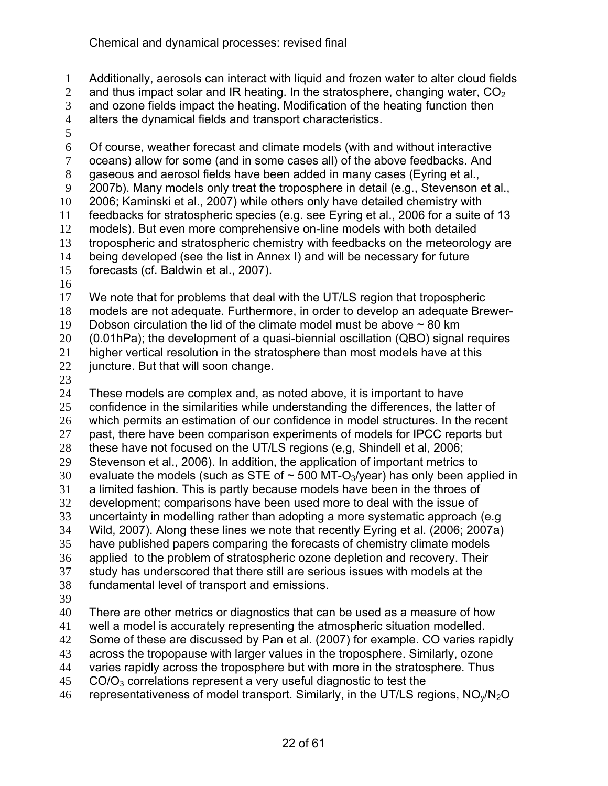Additionally, aerosols can interact with liquid and frozen water to alter cloud fields

2 and thus impact solar and IR heating. In the stratosphere, changing water,  $CO<sub>2</sub>$ 

and ozone fields impact the heating. Modification of the heating function then

- alters the dynamical fields and transport characteristics.
- 

Of course, weather forecast and climate models (with and without interactive oceans) allow for some (and in some cases all) of the above feedbacks. And gaseous and aerosol fields have been added in many cases (Eyring et al., 2007b). Many models only treat the troposphere in detail (e.g., Stevenson et al., 2006; Kaminski et al., 2007) while others only have detailed chemistry with feedbacks for stratospheric species (e.g. see Eyring et al., 2006 for a suite of 13 models). But even more comprehensive on-line models with both detailed tropospheric and stratospheric chemistry with feedbacks on the meteorology are being developed (see the list in Annex I) and will be necessary for future forecasts (cf. Baldwin et al., 2007).

We note that for problems that deal with the UT/LS region that tropospheric models are not adequate. Furthermore, in order to develop an adequate Brewer-

19 Dobson circulation the lid of the climate model must be above  $\sim$  80 km

(0.01hPa); the development of a quasi-biennial oscillation (QBO) signal requires

higher vertical resolution in the stratosphere than most models have at this

22 juncture. But that will soon change.

These models are complex and, as noted above, it is important to have confidence in the similarities while understanding the differences, the latter of which permits an estimation of our confidence in model structures. In the recent past, there have been comparison experiments of models for IPCC reports but these have not focused on the UT/LS regions (e,g, Shindell et al, 2006; Stevenson et al., 2006). In addition, the application of important metrics to 30 evaluate the models (such as STE of  $\sim$  500 MT-O<sub>3</sub>/year) has only been applied in a limited fashion. This is partly because models have been in the throes of development; comparisons have been used more to deal with the issue of uncertainty in modelling rather than adopting a more systematic approach (e.g Wild, 2007). Along these lines we note that recently Eyring et al. (2006; 2007a) have published papers comparing the forecasts of chemistry climate models applied to the problem of stratospheric ozone depletion and recovery. Their study has underscored that there still are serious issues with models at the fundamental level of transport and emissions. There are other metrics or diagnostics that can be used as a measure of how

well a model is accurately representing the atmospheric situation modelled.

Some of these are discussed by Pan et al. (2007) for example. CO varies rapidly

across the tropopause with larger values in the troposphere. Similarly, ozone

varies rapidly across the troposphere but with more in the stratosphere. Thus

- CO/O<sub>3</sub> correlations represent a very useful diagnostic to test the
- 46 representativeness of model transport. Similarly, in the UT/LS regions,  $NO<sub>v</sub>/N<sub>2</sub>O$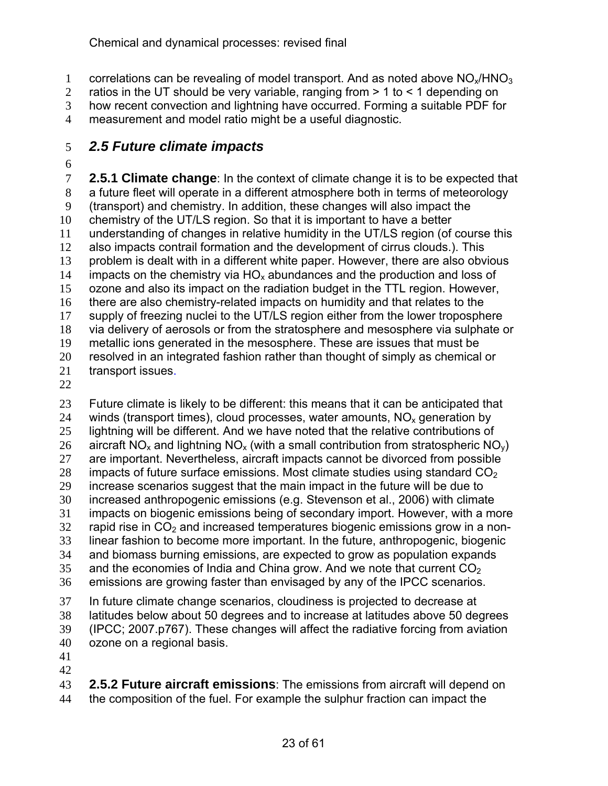1 correlations can be revealing of model transport. And as noted above  $NO<sub>x</sub>/HNO<sub>3</sub>$ 

ratios in the UT should be very variable, ranging from > 1 to < 1 depending on

how recent convection and lightning have occurred. Forming a suitable PDF for

measurement and model ratio might be a useful diagnostic.

### *2.5 Future climate impacts*

**2.5.1 Climate change**: In the context of climate change it is to be expected that a future fleet will operate in a different atmosphere both in terms of meteorology (transport) and chemistry. In addition, these changes will also impact the chemistry of the UT/LS region. So that it is important to have a better understanding of changes in relative humidity in the UT/LS region (of course this also impacts contrail formation and the development of cirrus clouds.). This problem is dealt with in a different white paper. However, there are also obvious 14 impacts on the chemistry via  $HO_x$  abundances and the production and loss of ozone and also its impact on the radiation budget in the TTL region. However, there are also chemistry-related impacts on humidity and that relates to the supply of freezing nuclei to the UT/LS region either from the lower troposphere via delivery of aerosols or from the stratosphere and mesosphere via sulphate or metallic ions generated in the mesosphere. These are issues that must be resolved in an integrated fashion rather than thought of simply as chemical or transport issues.

Future climate is likely to be different: this means that it can be anticipated that 24 winds (transport times), cloud processes, water amounts,  $NO<sub>x</sub>$  generation by lightning will be different. And we have noted that the relative contributions of 26 aircraft NO<sub>x</sub> and lightning NO<sub>x</sub> (with a small contribution from stratospheric NO<sub>v</sub>) are important. Nevertheless, aircraft impacts cannot be divorced from possible 28 impacts of future surface emissions. Most climate studies using standard  $CO<sub>2</sub>$ increase scenarios suggest that the main impact in the future will be due to increased anthropogenic emissions (e.g. Stevenson et al., 2006) with climate impacts on biogenic emissions being of secondary import. However, with a more rapid rise in CO<sub>2</sub> and increased temperatures biogenic emissions grow in a non-linear fashion to become more important. In the future, anthropogenic, biogenic and biomass burning emissions, are expected to grow as population expands 35 and the economies of India and China grow. And we note that current  $CO<sub>2</sub>$ emissions are growing faster than envisaged by any of the IPCC scenarios.

In future climate change scenarios, cloudiness is projected to decrease at latitudes below about 50 degrees and to increase at latitudes above 50 degrees (IPCC; 2007.p767). These changes will affect the radiative forcing from aviation ozone on a regional basis.

**2.5.2 Future aircraft emissions**: The emissions from aircraft will depend on 44 the composition of the fuel. For example the sulphur fraction can impact the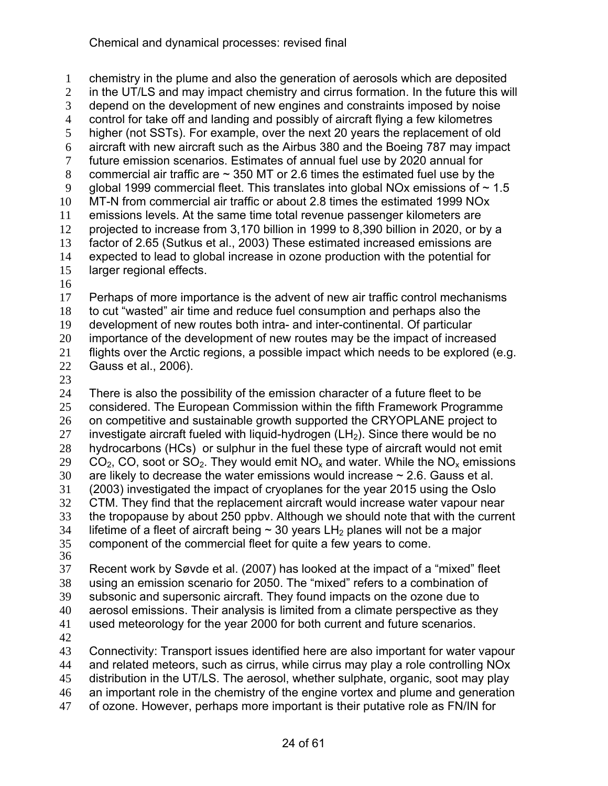chemistry in the plume and also the generation of aerosols which are deposited in the UT/LS and may impact chemistry and cirrus formation. In the future this will depend on the development of new engines and constraints imposed by noise control for take off and landing and possibly of aircraft flying a few kilometres higher (not SSTs). For example, over the next 20 years the replacement of old aircraft with new aircraft such as the Airbus 380 and the Boeing 787 may impact future emission scenarios. Estimates of annual fuel use by 2020 annual for 8 commercial air traffic are  $\sim$  350 MT or 2.6 times the estimated fuel use by the 9 global 1999 commercial fleet. This translates into global NOx emissions of  $\sim$  1.5 MT-N from commercial air traffic or about 2.8 times the estimated 1999 NOx emissions levels. At the same time total revenue passenger kilometers are projected to increase from 3,170 billion in 1999 to 8,390 billion in 2020, or by a factor of 2.65 (Sutkus et al., 2003) These estimated increased emissions are expected to lead to global increase in ozone production with the potential for larger regional effects.

Perhaps of more importance is the advent of new air traffic control mechanisms to cut "wasted" air time and reduce fuel consumption and perhaps also the development of new routes both intra- and inter-continental. Of particular importance of the development of new routes may be the impact of increased flights over the Arctic regions, a possible impact which needs to be explored (e.g. Gauss et al., 2006).

There is also the possibility of the emission character of a future fleet to be considered. The European Commission within the fifth Framework Programme 26 on competitive and sustainable growth supported the CRYOPLANE project to 27 investigate aircraft fueled with liquid-hydrogen  $(LH_2)$ . Since there would be no hydrocarbons (HCs) or sulphur in the fuel these type of aircraft would not emit  $CO<sub>2</sub>$ , CO, soot or SO<sub>2</sub>. They would emit NO<sub>x</sub> and water. While the NO<sub>x</sub> emissions 30 are likely to decrease the water emissions would increase  $\sim$  2.6. Gauss et al. (2003) investigated the impact of cryoplanes for the year 2015 using the Oslo CTM. They find that the replacement aircraft would increase water vapour near the tropopause by about 250 ppbv. Although we should note that with the current 34 lifetime of a fleet of aircraft being  $\sim$  30 years LH<sub>2</sub> planes will not be a major component of the commercial fleet for quite a few years to come.

Recent work by Søvde et al. (2007) has looked at the impact of a "mixed" fleet using an emission scenario for 2050. The "mixed" refers to a combination of subsonic and supersonic aircraft. They found impacts on the ozone due to aerosol emissions. Their analysis is limited from a climate perspective as they used meteorology for the year 2000 for both current and future scenarios.

Connectivity: Transport issues identified here are also important for water vapour and related meteors, such as cirrus, while cirrus may play a role controlling NOx distribution in the UT/LS. The aerosol, whether sulphate, organic, soot may play an important role in the chemistry of the engine vortex and plume and generation of ozone. However, perhaps more important is their putative role as FN/IN for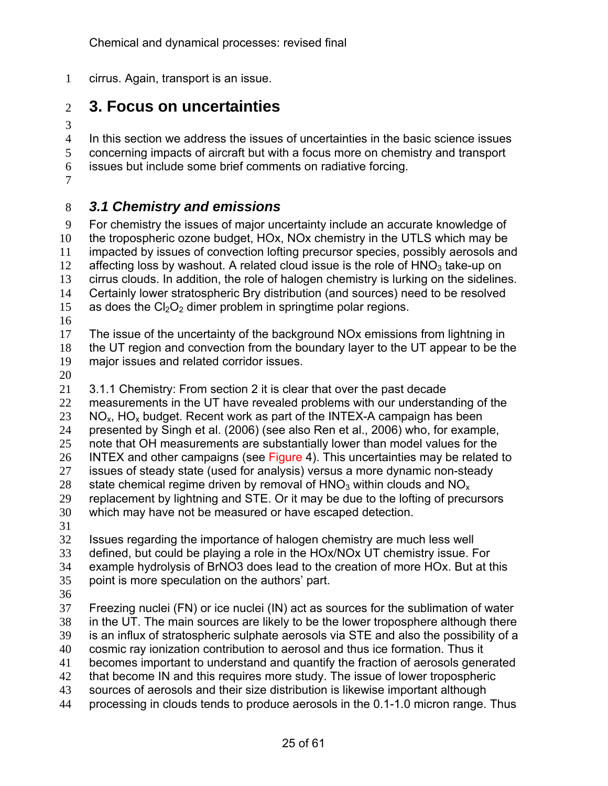- cirrus. Again, transport is an issue.
- **3. Focus on uncertainties**
- 

In this section we address the issues of uncertainties in the basic science issues concerning impacts of aircraft but with a focus more on chemistry and transport issues but include some brief comments on radiative forcing. 

### *3.1 Chemistry and emissions*

For chemistry the issues of major uncertainty include an accurate knowledge of the tropospheric ozone budget, HOx, NOx chemistry in the UTLS which may be impacted by issues of convection lofting precursor species, possibly aerosols and 12 affecting loss by washout. A related cloud issue is the role of  $HNO<sub>3</sub>$  take-up on cirrus clouds. In addition, the role of halogen chemistry is lurking on the sidelines. Certainly lower stratospheric Bry distribution (and sources) need to be resolved 15 as does the  $Cl<sub>2</sub>O<sub>2</sub>$  dimer problem in springtime polar regions. 

The issue of the uncertainty of the background NOx emissions from lightning in the UT region and convection from the boundary layer to the UT appear to be the major issues and related corridor issues.

3.1.1 Chemistry: From section 2 it is clear that over the past decade

measurements in the UT have revealed problems with our understanding of the

NO<sub>x</sub>. HO<sub>x</sub> budget. Recent work as part of the INTEX-A campaign has been

presented by Singh et al. (2006) (see also Ren et al., 2006) who, for example,

note that OH measurements are substantially lower than model values for the

INTEX and other campaigns (see Figure 4). This uncertainties may be related to

issues of steady state (used for analysis) versus a more dynamic non-steady 28 state chemical regime driven by removal of  $HNO<sub>3</sub>$  within clouds and  $NO<sub>x</sub>$ 

replacement by lightning and STE. Or it may be due to the lofting of precursors

- which may have not be measured or have escaped detection.
- 

Issues regarding the importance of halogen chemistry are much less well

defined, but could be playing a role in the HOx/NOx UT chemistry issue. For

example hydrolysis of BrNO3 does lead to the creation of more HOx. But at this point is more speculation on the authors' part.

Freezing nuclei (FN) or ice nuclei (IN) act as sources for the sublimation of water in the UT. The main sources are likely to be the lower troposphere although there is an influx of stratospheric sulphate aerosols via STE and also the possibility of a cosmic ray ionization contribution to aerosol and thus ice formation. Thus it becomes important to understand and quantify the fraction of aerosols generated that become IN and this requires more study. The issue of lower tropospheric sources of aerosols and their size distribution is likewise important although processing in clouds tends to produce aerosols in the 0.1-1.0 micron range. Thus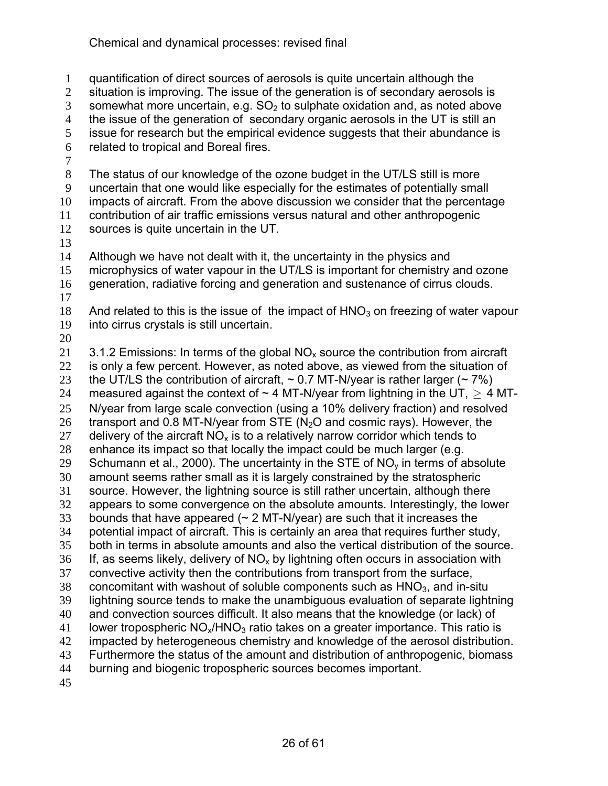quantification of direct sources of aerosols is quite uncertain although the

situation is improving. The issue of the generation is of secondary aerosols is

3 somewhat more uncertain, e.g.  $SO<sub>2</sub>$  to sulphate oxidation and, as noted above

the issue of the generation of secondary organic aerosols in the UT is still an

issue for research but the empirical evidence suggests that their abundance is

related to tropical and Boreal fires.

The status of our knowledge of the ozone budget in the UT/LS still is more

uncertain that one would like especially for the estimates of potentially small

impacts of aircraft. From the above discussion we consider that the percentage

contribution of air traffic emissions versus natural and other anthropogenic sources is quite uncertain in the UT.

Although we have not dealt with it, the uncertainty in the physics and

microphysics of water vapour in the UT/LS is important for chemistry and ozone

generation, radiative forcing and generation and sustenance of cirrus clouds.

18 And related to this is the issue of the impact of  $HNO<sub>3</sub>$  on freezing of water vapour into cirrus crystals is still uncertain.

21 3.1.2 Emissions: In terms of the global  $NO<sub>x</sub>$  source the contribution from aircraft is only a few percent. However, as noted above, as viewed from the situation of 23 the UT/LS the contribution of aircraft,  $\sim$  0.7 MT-N/year is rather larger ( $\sim$  7%) 24 measured against the context of  $\sim$  4 MT-N/year from lightning in the UT,  $>$  4 MT-N/year from large scale convection (using a 10% delivery fraction) and resolved 26 transport and 0.8 MT-N/year from STE  $(N_2O)$  and cosmic rays). However, the 27 delivery of the aircraft  $NO<sub>x</sub>$  is to a relatively narrow corridor which tends to enhance its impact so that locally the impact could be much larger (e.g. 29 Schumann et al., 2000). The uncertainty in the STE of  $NO<sub>v</sub>$  in terms of absolute amount seems rather small as it is largely constrained by the stratospheric source. However, the lightning source is still rather uncertain, although there appears to some convergence on the absolute amounts. Interestingly, the lower 33 bounds that have appeared  $(2 MT-N/year)$  are such that it increases the potential impact of aircraft. This is certainly an area that requires further study, both in terms in absolute amounts and also the vertical distribution of the source. 36 If, as seems likely, delivery of  $NO_x$  by lightning often occurs in association with convective activity then the contributions from transport from the surface, 38 concomitant with washout of soluble components such as  $HNO<sub>3</sub>$ , and in-situ lightning source tends to make the unambiguous evaluation of separate lightning and convection sources difficult. It also means that the knowledge (or lack) of 41 lower tropospheric  $NO_x/HNO_3$  ratio takes on a greater importance. This ratio is impacted by heterogeneous chemistry and knowledge of the aerosol distribution. Furthermore the status of the amount and distribution of anthropogenic, biomass burning and biogenic tropospheric sources becomes important.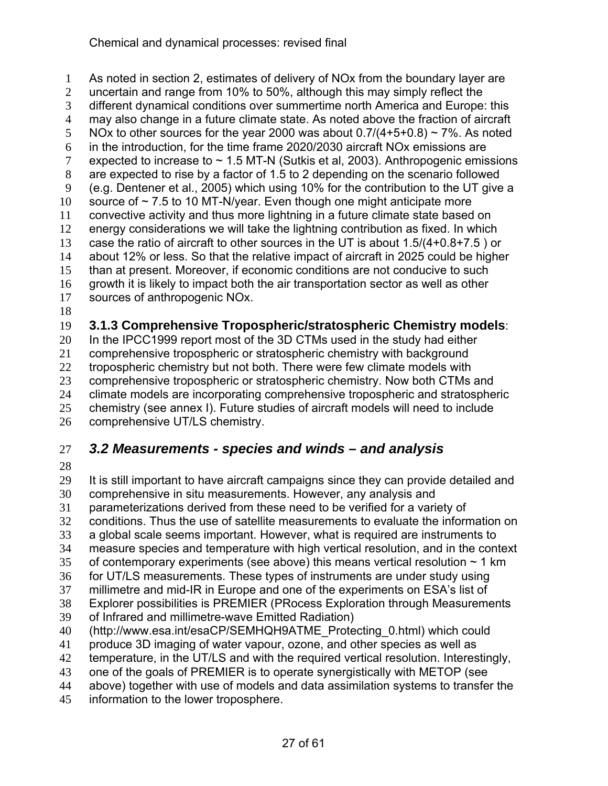As noted in section 2, estimates of delivery of NOx from the boundary layer are uncertain and range from 10% to 50%, although this may simply reflect the different dynamical conditions over summertime north America and Europe: this may also change in a future climate state. As noted above the fraction of aircraft 5 NOx to other sources for the year 2000 was about  $0.7/(4+5+0.8) \sim 7\%$ . As noted in the introduction, for the time frame 2020/2030 aircraft NOx emissions are 7 expected to increase to  $\sim$  1.5 MT-N (Sutkis et al, 2003). Anthropogenic emissions are expected to rise by a factor of 1.5 to 2 depending on the scenario followed (e.g. Dentener et al., 2005) which using 10% for the contribution to the UT give a 10 source of  $\sim$  7.5 to 10 MT-N/year. Even though one might anticipate more convective activity and thus more lightning in a future climate state based on energy considerations we will take the lightning contribution as fixed. In which case the ratio of aircraft to other sources in the UT is about 1.5/(4+0.8+7.5 ) or about 12% or less. So that the relative impact of aircraft in 2025 could be higher than at present. Moreover, if economic conditions are not conducive to such growth it is likely to impact both the air transportation sector as well as other sources of anthropogenic NOx. 

#### **3.1.3 Comprehensive Tropospheric/stratospheric Chemistry models**:

In the IPCC1999 report most of the 3D CTMs used in the study had either comprehensive tropospheric or stratospheric chemistry with background 22 tropospheric chemistry but not both. There were few climate models with comprehensive tropospheric or stratospheric chemistry. Now both CTMs and climate models are incorporating comprehensive tropospheric and stratospheric chemistry (see annex I). Future studies of aircraft models will need to include comprehensive UT/LS chemistry.

### *3.2 Measurements - species and winds – and analysis*

29 It is still important to have aircraft campaigns since they can provide detailed and comprehensive in situ measurements. However, any analysis and parameterizations derived from these need to be verified for a variety of conditions. Thus the use of satellite measurements to evaluate the information on a global scale seems important. However, what is required are instruments to measure species and temperature with high vertical resolution, and in the context 35 of contemporary experiments (see above) this means vertical resolution  $\sim$  1 km for UT/LS measurements. These types of instruments are under study using millimetre and mid-IR in Europe and one of the experiments on ESA's list of Explorer possibilities is PREMIER (PRocess Exploration through Measurements of Infrared and millimetre-wave Emitted Radiation) (http://www.esa.int/esaCP/SEMHQH9ATME\_Protecting\_0.html) which could produce 3D imaging of water vapour, ozone, and other species as well as temperature, in the UT/LS and with the required vertical resolution. Interestingly, one of the goals of PREMIER is to operate synergistically with METOP (see above) together with use of models and data assimilation systems to transfer the information to the lower troposphere.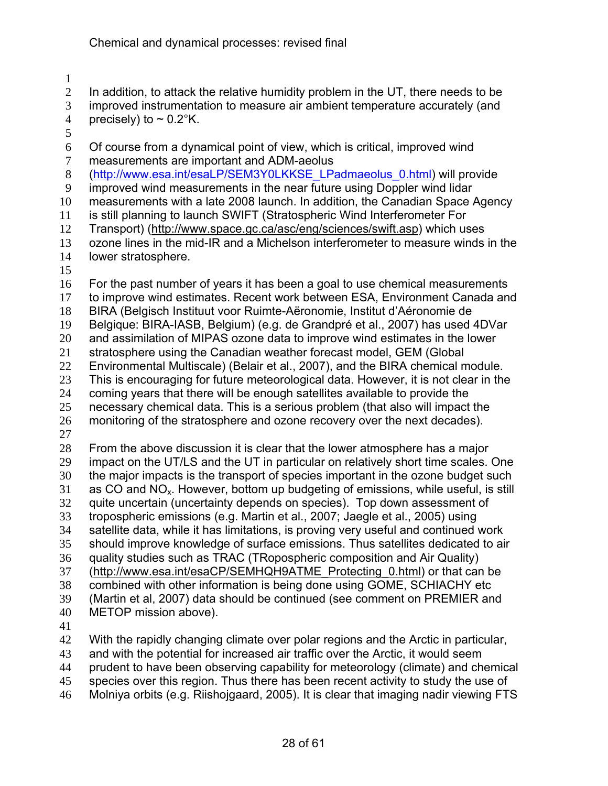2 In addition, to attack the relative humidity problem in the UT, there needs to be improved instrumentation to measure air ambient temperature accurately (and 4 precisely) to  $\sim 0.2$ °K. Of course from a dynamical point of view, which is critical, improved wind measurements are important and ADM-aeolus (http://www.esa.int/esaLP/SEM3Y0LKKSE\_LPadmaeolus\_0.html) will provide improved wind measurements in the near future using Doppler wind lidar measurements with a late 2008 launch. In addition, the Canadian Space Agency is still planning to launch SWIFT (Stratospheric Wind Interferometer For Transport) (http://www.space.gc.ca/asc/eng/sciences/swift.asp) which uses ozone lines in the mid-IR and a Michelson interferometer to measure winds in the lower stratosphere. For the past number of years it has been a goal to use chemical measurements to improve wind estimates. Recent work between ESA, Environment Canada and BIRA (Belgisch Instituut voor Ruimte-Aëronomie, Institut d'Aéronomie de Belgique: BIRA-IASB, Belgium) (e.g. de Grandpré et al., 2007) has used 4DVar and assimilation of MIPAS ozone data to improve wind estimates in the lower stratosphere using the Canadian weather forecast model, GEM (Global Environmental Multiscale) (Belair et al., 2007), and the BIRA chemical module. This is encouraging for future meteorological data. However, it is not clear in the coming years that there will be enough satellites available to provide the necessary chemical data. This is a serious problem (that also will impact the monitoring of the stratosphere and ozone recovery over the next decades). From the above discussion it is clear that the lower atmosphere has a major impact on the UT/LS and the UT in particular on relatively short time scales. One the major impacts is the transport of species important in the ozone budget such as CO and NO<sub>x</sub>. However, bottom up budgeting of emissions, while useful, is still quite uncertain (uncertainty depends on species). Top down assessment of tropospheric emissions (e.g. Martin et al., 2007; Jaegle et al., 2005) using satellite data, while it has limitations, is proving very useful and continued work should improve knowledge of surface emissions. Thus satellites dedicated to air quality studies such as TRAC (TRopospheric composition and Air Quality) 37 (http://www.esa.int/esaCP/SEMHQH9ATME\_Protecting\_0.html) or that can be combined with other information is being done using GOME, SCHIACHY etc (Martin et al, 2007) data should be continued (see comment on PREMIER and METOP mission above). With the rapidly changing climate over polar regions and the Arctic in particular, and with the potential for increased air traffic over the Arctic, it would seem

- prudent to have been observing capability for meteorology (climate) and chemical
- species over this region. Thus there has been recent activity to study the use of Molniya orbits (e.g. Riishojgaard, 2005). It is clear that imaging nadir viewing FTS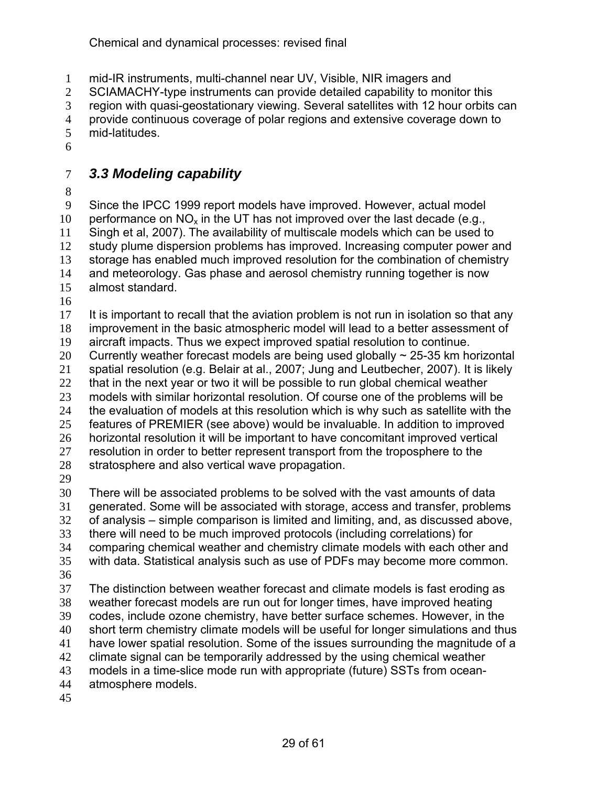mid-IR instruments, multi-channel near UV, Visible, NIR imagers and

SCIAMACHY-type instruments can provide detailed capability to monitor this

region with quasi-geostationary viewing. Several satellites with 12 hour orbits can

provide continuous coverage of polar regions and extensive coverage down to

mid-latitudes.

## *3.3 Modeling capability*

Since the IPCC 1999 report models have improved. However, actual model 10 performance on  $NO_x$  in the UT has not improved over the last decade (e.g., Singh et al, 2007). The availability of multiscale models which can be used to study plume dispersion problems has improved. Increasing computer power and storage has enabled much improved resolution for the combination of chemistry and meteorology. Gas phase and aerosol chemistry running together is now almost standard.

It is important to recall that the aviation problem is not run in isolation so that any improvement in the basic atmospheric model will lead to a better assessment of aircraft impacts. Thus we expect improved spatial resolution to continue. 20 Currently weather forecast models are being used globally  $\sim$  25-35 km horizontal spatial resolution (e.g. Belair at al., 2007; Jung and Leutbecher, 2007). It is likely that in the next year or two it will be possible to run global chemical weather models with similar horizontal resolution. Of course one of the problems will be the evaluation of models at this resolution which is why such as satellite with the features of PREMIER (see above) would be invaluable. In addition to improved horizontal resolution it will be important to have concomitant improved vertical resolution in order to better represent transport from the troposphere to the stratosphere and also vertical wave propagation. There will be associated problems to be solved with the vast amounts of data generated. Some will be associated with storage, access and transfer, problems of analysis – simple comparison is limited and limiting, and, as discussed above, there will need to be much improved protocols (including correlations) for comparing chemical weather and chemistry climate models with each other and

- with data. Statistical analysis such as use of PDFs may become more common.
- The distinction between weather forecast and climate models is fast eroding as weather forecast models are run out for longer times, have improved heating codes, include ozone chemistry, have better surface schemes. However, in the short term chemistry climate models will be useful for longer simulations and thus have lower spatial resolution. Some of the issues surrounding the magnitude of a climate signal can be temporarily addressed by the using chemical weather models in a time-slice mode run with appropriate (future) SSTs from ocean-atmosphere models.
-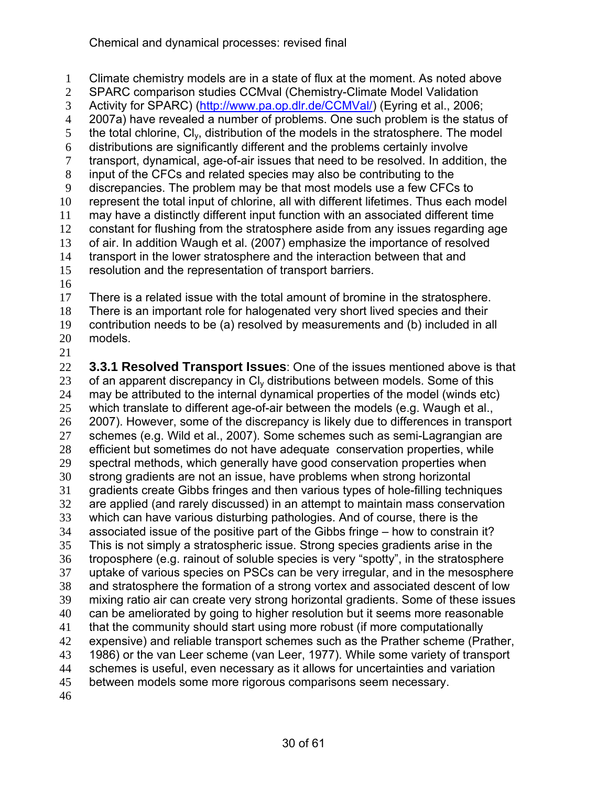- Climate chemistry models are in a state of flux at the moment. As noted above
- SPARC comparison studies CCMval (Chemistry-Climate Model Validation
- Activity for SPARC) (http://www.pa.op.dlr.de/CCMVal/) (Eyring et al., 2006;
- 2007a) have revealed a number of problems. One such problem is the status of
- the total chlorine, Cly, distribution of the models in the stratosphere. The model
- distributions are significantly different and the problems certainly involve
- transport, dynamical, age-of-air issues that need to be resolved. In addition, the
- input of the CFCs and related species may also be contributing to the
- discrepancies. The problem may be that most models use a few CFCs to
- represent the total input of chlorine, all with different lifetimes. Thus each model
- may have a distinctly different input function with an associated different time
- constant for flushing from the stratosphere aside from any issues regarding age
- of air. In addition Waugh et al. (2007) emphasize the importance of resolved
- transport in the lower stratosphere and the interaction between that and
- resolution and the representation of transport barriers.
- 
- There is a related issue with the total amount of bromine in the stratosphere.
- There is an important role for halogenated very short lived species and their contribution needs to be (a) resolved by measurements and (b) included in all models.
- 

**3.3.1 Resolved Transport Issues**: One of the issues mentioned above is that 23 of an apparent discrepancy in  $Cl_v$  distributions between models. Some of this may be attributed to the internal dynamical properties of the model (winds etc) which translate to different age-of-air between the models (e.g. Waugh et al., 2007). However, some of the discrepancy is likely due to differences in transport schemes (e.g. Wild et al., 2007). Some schemes such as semi-Lagrangian are efficient but sometimes do not have adequate conservation properties, while spectral methods, which generally have good conservation properties when strong gradients are not an issue, have problems when strong horizontal gradients create Gibbs fringes and then various types of hole-filling techniques are applied (and rarely discussed) in an attempt to maintain mass conservation which can have various disturbing pathologies. And of course, there is the associated issue of the positive part of the Gibbs fringe – how to constrain it? This is not simply a stratospheric issue. Strong species gradients arise in the troposphere (e.g. rainout of soluble species is very "spotty", in the stratosphere uptake of various species on PSCs can be very irregular, and in the mesosphere and stratosphere the formation of a strong vortex and associated descent of low mixing ratio air can create very strong horizontal gradients. Some of these issues can be ameliorated by going to higher resolution but it seems more reasonable that the community should start using more robust (if more computationally expensive) and reliable transport schemes such as the Prather scheme (Prather, 1986) or the van Leer scheme (van Leer, 1977). While some variety of transport schemes is useful, even necessary as it allows for uncertainties and variation between models some more rigorous comparisons seem necessary. 

30 of 61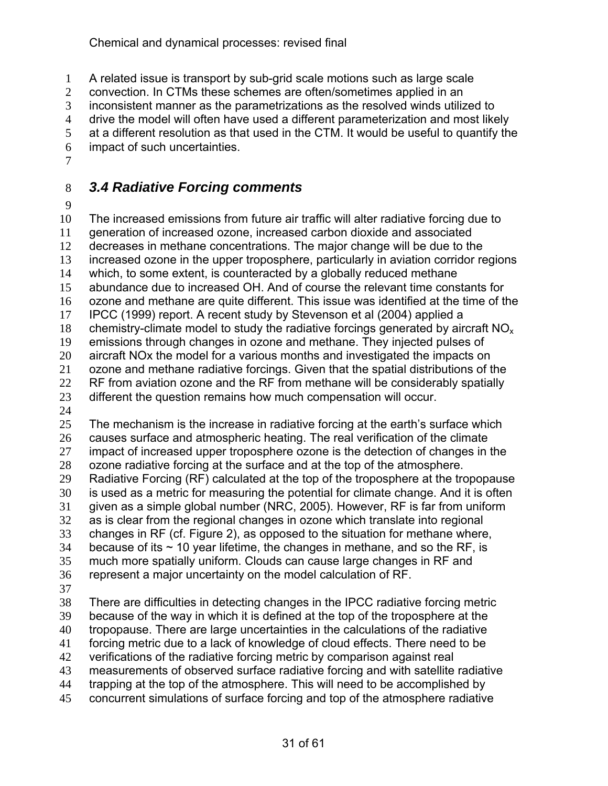A related issue is transport by sub-grid scale motions such as large scale

convection. In CTMs these schemes are often/sometimes applied in an

inconsistent manner as the parametrizations as the resolved winds utilized to

drive the model will often have used a different parameterization and most likely

at a different resolution as that used in the CTM. It would be useful to quantify the

impact of such uncertainties.

## *3.4 Radiative Forcing comments*

The increased emissions from future air traffic will alter radiative forcing due to generation of increased ozone, increased carbon dioxide and associated 12 decreases in methane concentrations. The major change will be due to the increased ozone in the upper troposphere, particularly in aviation corridor regions which, to some extent, is counteracted by a globally reduced methane abundance due to increased OH. And of course the relevant time constants for ozone and methane are quite different. This issue was identified at the time of the IPCC (1999) report. A recent study by Stevenson et al (2004) applied a 18 chemistry-climate model to study the radiative forcings generated by aircraft  $NO<sub>x</sub>$ emissions through changes in ozone and methane. They injected pulses of aircraft NOx the model for a various months and investigated the impacts on ozone and methane radiative forcings. Given that the spatial distributions of the 22 RF from aviation ozone and the RF from methane will be considerably spatially different the question remains how much compensation will occur. The mechanism is the increase in radiative forcing at the earth's surface which causes surface and atmospheric heating. The real verification of the climate impact of increased upper troposphere ozone is the detection of changes in the ozone radiative forcing at the surface and at the top of the atmosphere. Radiative Forcing (RF) calculated at the top of the troposphere at the tropopause is used as a metric for measuring the potential for climate change. And it is often given as a simple global number (NRC, 2005). However, RF is far from uniform as is clear from the regional changes in ozone which translate into regional changes in RF (cf. Figure 2), as opposed to the situation for methane where, 34 because of its  $\sim$  10 year lifetime, the changes in methane, and so the RF, is much more spatially uniform. Clouds can cause large changes in RF and represent a major uncertainty on the model calculation of RF. There are difficulties in detecting changes in the IPCC radiative forcing metric because of the way in which it is defined at the top of the troposphere at the tropopause. There are large uncertainties in the calculations of the radiative forcing metric due to a lack of knowledge of cloud effects. There need to be verifications of the radiative forcing metric by comparison against real

measurements of observed surface radiative forcing and with satellite radiative

trapping at the top of the atmosphere. This will need to be accomplished by

concurrent simulations of surface forcing and top of the atmosphere radiative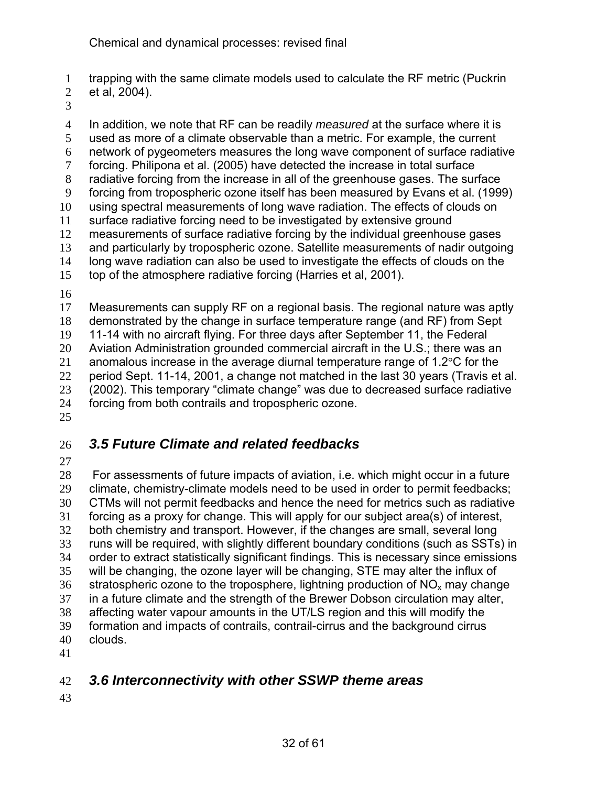trapping with the same climate models used to calculate the RF metric (Puckrin

- et al, 2004).
- 

In addition, we note that RF can be readily *measured* at the surface where it is used as more of a climate observable than a metric. For example, the current network of pygeometers measures the long wave component of surface radiative forcing. Philipona et al. (2005) have detected the increase in total surface radiative forcing from the increase in all of the greenhouse gases. The surface forcing from tropospheric ozone itself has been measured by Evans et al. (1999) using spectral measurements of long wave radiation. The effects of clouds on surface radiative forcing need to be investigated by extensive ground measurements of surface radiative forcing by the individual greenhouse gases and particularly by tropospheric ozone. Satellite measurements of nadir outgoing long wave radiation can also be used to investigate the effects of clouds on the top of the atmosphere radiative forcing (Harries et al, 2001).

Measurements can supply RF on a regional basis. The regional nature was aptly demonstrated by the change in surface temperature range (and RF) from Sept 11-14 with no aircraft flying. For three days after September 11, the Federal Aviation Administration grounded commercial aircraft in the U.S.; there was an 21 anomalous increase in the average diurnal temperature range of 1.2 $\degree$ C for the period Sept. 11-14, 2001, a change not matched in the last 30 years (Travis et al. (2002). This temporary "climate change" was due to decreased surface radiative forcing from both contrails and tropospheric ozone.

### *3.5 Future Climate and related feedbacks*

For assessments of future impacts of aviation, i.e. which might occur in a future climate, chemistry-climate models need to be used in order to permit feedbacks; CTMs will not permit feedbacks and hence the need for metrics such as radiative forcing as a proxy for change. This will apply for our subject area(s) of interest, both chemistry and transport. However, if the changes are small, several long runs will be required, with slightly different boundary conditions (such as SSTs) in order to extract statistically significant findings. This is necessary since emissions will be changing, the ozone layer will be changing, STE may alter the influx of 36 stratospheric ozone to the troposphere, lightning production of  $NO<sub>x</sub>$  may change in a future climate and the strength of the Brewer Dobson circulation may alter, affecting water vapour amounts in the UT/LS region and this will modify the formation and impacts of contrails, contrail-cirrus and the background cirrus clouds.

## *3.6 Interconnectivity with other SSWP theme areas*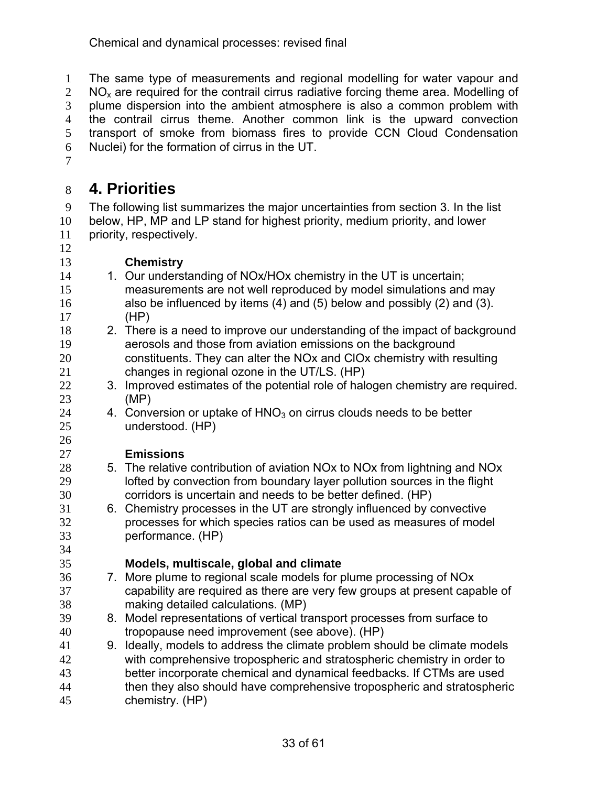The same type of measurements and regional modelling for water vapour and NO<sub>x</sub> are required for the contrail cirrus radiative forcing theme area. Modelling of plume dispersion into the ambient atmosphere is also a common problem with the contrail cirrus theme. Another common link is the upward convection transport of smoke from biomass fires to provide CCN Cloud Condensation Nuclei) for the formation of cirrus in the UT. 

## **4. Priorities**

The following list summarizes the major uncertainties from section 3. In the list below, HP, MP and LP stand for highest priority, medium priority, and lower priority, respectively.

| 13 | <b>Chemistry</b>                                                                               |
|----|------------------------------------------------------------------------------------------------|
| 14 | 1. Our understanding of NOx/HOx chemistry in the UT is uncertain;                              |
| 15 | measurements are not well reproduced by model simulations and may                              |
| 16 | also be influenced by items (4) and (5) below and possibly (2) and (3).                        |
| 17 | (HP)                                                                                           |
| 18 | 2. There is a need to improve our understanding of the impact of background                    |
| 19 | aerosols and those from aviation emissions on the background                                   |
| 20 | constituents. They can alter the NO <sub>x</sub> and CIO <sub>x</sub> chemistry with resulting |
| 21 | changes in regional ozone in the UT/LS. (HP)                                                   |
| 22 | 3. Improved estimates of the potential role of halogen chemistry are required.                 |
| 23 | (MP)                                                                                           |
| 24 | 4. Conversion or uptake of $HNO3$ on cirrus clouds needs to be better                          |
| 25 | understood. (HP)                                                                               |
| 26 |                                                                                                |
| 27 | <b>Emissions</b>                                                                               |
| 28 | 5. The relative contribution of aviation NOx to NOx from lightning and NOx                     |
| 29 | lofted by convection from boundary layer pollution sources in the flight                       |
| 30 | corridors is uncertain and needs to be better defined. (HP)                                    |
| 31 | 6. Chemistry processes in the UT are strongly influenced by convective                         |
| 32 | processes for which species ratios can be used as measures of model                            |
| 33 | performance. (HP)                                                                              |
| 34 |                                                                                                |
| 35 | Models, multiscale, global and climate                                                         |
| 36 | 7. More plume to regional scale models for plume processing of NOx                             |
| 37 | capability are required as there are very few groups at present capable of                     |
| 38 | making detailed calculations. (MP)                                                             |
| 39 | 8. Model representations of vertical transport processes from surface to                       |
| 40 | tropopause need improvement (see above). (HP)                                                  |
| 41 | 9. Ideally, models to address the climate problem should be climate models                     |
| 42 | with comprehensive tropospheric and stratospheric chemistry in order to                        |
| 43 | better incorporate chemical and dynamical feedbacks. If CTMs are used                          |
| 44 | then they also should have comprehensive tropospheric and stratospheric                        |
| 45 | chemistry. (HP)                                                                                |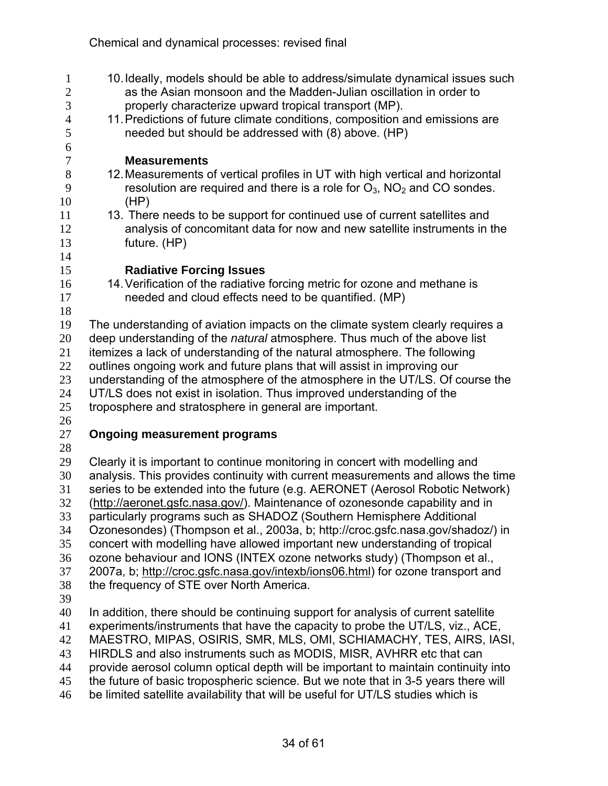| $\mathbf{1}$<br>$\overline{c}$   | 10. Ideally, models should be able to address/simulate dynamical issues such<br>as the Asian monsoon and the Madden-Julian oscillation in order to                       |
|----------------------------------|--------------------------------------------------------------------------------------------------------------------------------------------------------------------------|
| $\overline{3}$<br>$\overline{4}$ | properly characterize upward tropical transport (MP).                                                                                                                    |
| 5                                | 11. Predictions of future climate conditions, composition and emissions are<br>needed but should be addressed with (8) above. (HP)                                       |
| 6                                |                                                                                                                                                                          |
| $\tau$                           | <b>Measurements</b>                                                                                                                                                      |
| $8\,$                            | 12. Measurements of vertical profiles in UT with high vertical and horizontal                                                                                            |
| 9                                | resolution are required and there is a role for $O_3$ , $NO_2$ and CO sondes.                                                                                            |
| 10                               | (HP)                                                                                                                                                                     |
| 11                               | 13. There needs to be support for continued use of current satellites and                                                                                                |
| 12                               | analysis of concomitant data for now and new satellite instruments in the                                                                                                |
| 13<br>14                         | future. (HP)                                                                                                                                                             |
| 15                               | <b>Radiative Forcing Issues</b>                                                                                                                                          |
| 16                               | 14. Verification of the radiative forcing metric for ozone and methane is                                                                                                |
| 17                               | needed and cloud effects need to be quantified. (MP)                                                                                                                     |
| 18                               |                                                                                                                                                                          |
| 19                               | The understanding of aviation impacts on the climate system clearly requires a                                                                                           |
| 20                               | deep understanding of the natural atmosphere. Thus much of the above list                                                                                                |
| 21                               | itemizes a lack of understanding of the natural atmosphere. The following                                                                                                |
| 22                               | outlines ongoing work and future plans that will assist in improving our                                                                                                 |
| 23                               | understanding of the atmosphere of the atmosphere in the UT/LS. Of course the                                                                                            |
| 24<br>25                         | UT/LS does not exist in isolation. Thus improved understanding of the<br>troposphere and stratosphere in general are important.                                          |
| 26                               |                                                                                                                                                                          |
| 27                               | <b>Ongoing measurement programs</b>                                                                                                                                      |
| 28                               |                                                                                                                                                                          |
| 29                               | Clearly it is important to continue monitoring in concert with modelling and                                                                                             |
| 30                               | analysis. This provides continuity with current measurements and allows the time                                                                                         |
| 31                               | series to be extended into the future (e.g. AERONET (Aerosol Robotic Network)                                                                                            |
| 32                               | (http://aeronet.gsfc.nasa.gov/). Maintenance of ozonesonde capability and in                                                                                             |
| 33<br>34                         | particularly programs such as SHADOZ (Southern Hemisphere Additional<br>Ozonesondes) (Thompson et al., 2003a, b; http://croc.gsfc.nasa.gov/shadoz/) in                   |
| 35                               | concert with modelling have allowed important new understanding of tropical                                                                                              |
| 36                               | ozone behaviour and IONS (INTEX ozone networks study) (Thompson et al.,                                                                                                  |
| 37                               | 2007a, b; http://croc.gsfc.nasa.gov/intexb/ions06.html) for ozone transport and                                                                                          |
| 38                               | the frequency of STE over North America.                                                                                                                                 |
| 39                               |                                                                                                                                                                          |
| 40                               | In addition, there should be continuing support for analysis of current satellite                                                                                        |
| 41                               | experiments/instruments that have the capacity to probe the UT/LS, viz., ACE,                                                                                            |
| 42                               | MAESTRO, MIPAS, OSIRIS, SMR, MLS, OMI, SCHIAMACHY, TES, AIRS, IASI,                                                                                                      |
| 43<br>44                         | HIRDLS and also instruments such as MODIS, MISR, AVHRR etc that can                                                                                                      |
| 45                               | provide aerosol column optical depth will be important to maintain continuity into<br>the future of basic tropospheric science. But we note that in 3-5 years there will |
| 46                               | be limited satellite availability that will be useful for UT/LS studies which is                                                                                         |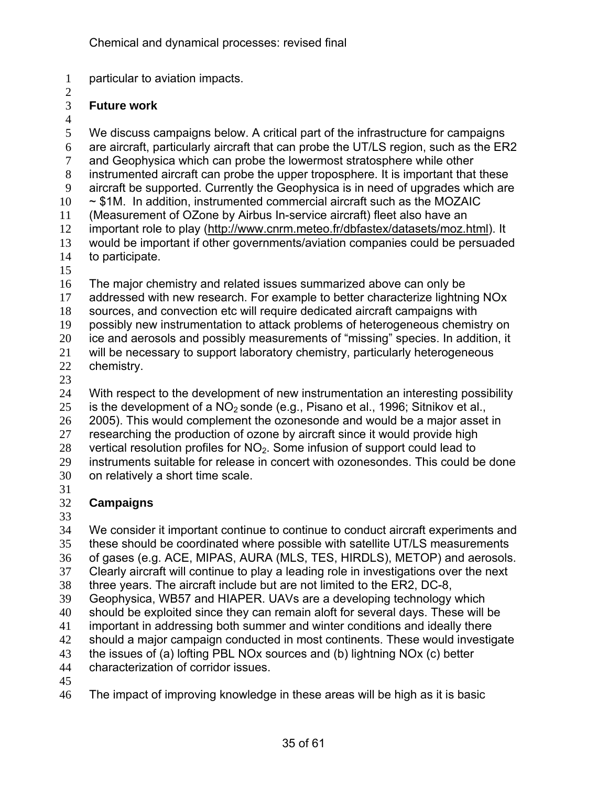- particular to aviation impacts.
- 

#### **Future work**

We discuss campaigns below. A critical part of the infrastructure for campaigns are aircraft, particularly aircraft that can probe the UT/LS region, such as the ER2 and Geophysica which can probe the lowermost stratosphere while other instrumented aircraft can probe the upper troposphere. It is important that these aircraft be supported. Currently the Geophysica is in need of upgrades which are  $10 \sim $1$ M. In addition, instrumented commercial aircraft such as the MOZAIC (Measurement of OZone by Airbus In-service aircraft) fleet also have an important role to play (http://www.cnrm.meteo.fr/dbfastex/datasets/moz.html). It would be important if other governments/aviation companies could be persuaded to participate. The major chemistry and related issues summarized above can only be addressed with new research. For example to better characterize lightning NOx sources, and convection etc will require dedicated aircraft campaigns with

possibly new instrumentation to attack problems of heterogeneous chemistry on

ice and aerosols and possibly measurements of "missing" species. In addition, it will be necessary to support laboratory chemistry, particularly heterogeneous

- chemistry.
- 

With respect to the development of new instrumentation an interesting possibility 25 is the development of a  $NO<sub>2</sub>$  sonde (e.g., Pisano et al., 1996; Sitnikov et al., 2005). This would complement the ozonesonde and would be a major asset in researching the production of ozone by aircraft since it would provide high 28 vertical resolution profiles for  $NO<sub>2</sub>$ . Some infusion of support could lead to instruments suitable for release in concert with ozonesondes. This could be done on relatively a short time scale.

## **Campaigns**

We consider it important continue to continue to conduct aircraft experiments and these should be coordinated where possible with satellite UT/LS measurements of gases (e.g. ACE, MIPAS, AURA (MLS, TES, HIRDLS), METOP) and aerosols. Clearly aircraft will continue to play a leading role in investigations over the next three years. The aircraft include but are not limited to the ER2, DC-8, Geophysica, WB57 and HIAPER. UAVs are a developing technology which should be exploited since they can remain aloft for several days. These will be important in addressing both summer and winter conditions and ideally there should a major campaign conducted in most continents. These would investigate the issues of (a) lofting PBL NOx sources and (b) lightning NOx (c) better characterization of corridor issues.

The impact of improving knowledge in these areas will be high as it is basic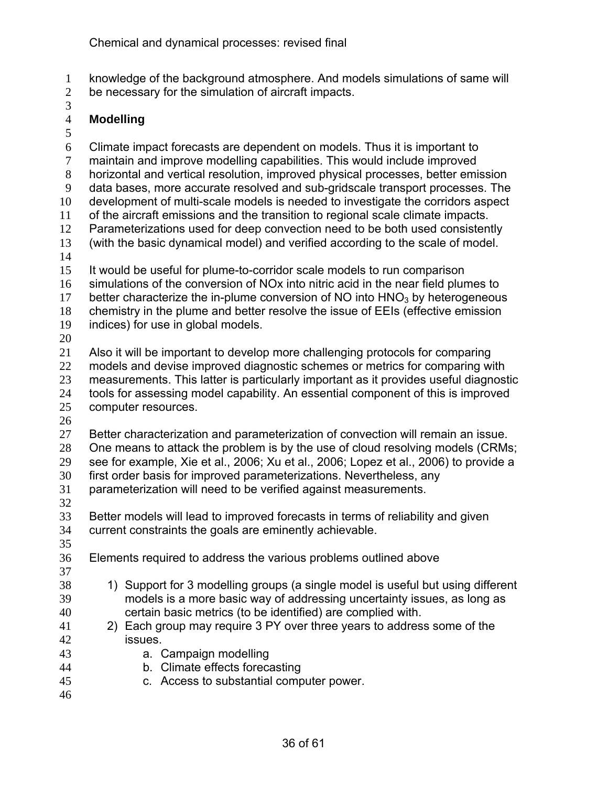knowledge of the background atmosphere. And models simulations of same will

- be necessary for the simulation of aircraft impacts.
- 
- **Modelling**
- 

Climate impact forecasts are dependent on models. Thus it is important to maintain and improve modelling capabilities. This would include improved horizontal and vertical resolution, improved physical processes, better emission data bases, more accurate resolved and sub-gridscale transport processes. The development of multi-scale models is needed to investigate the corridors aspect of the aircraft emissions and the transition to regional scale climate impacts. Parameterizations used for deep convection need to be both used consistently (with the basic dynamical model) and verified according to the scale of model. It would be useful for plume-to-corridor scale models to run comparison simulations of the conversion of NOx into nitric acid in the near field plumes to 17 better characterize the in-plume conversion of NO into  $HNO<sub>3</sub>$  by heterogeneous chemistry in the plume and better resolve the issue of EEIs (effective emission indices) for use in global models. Also it will be important to develop more challenging protocols for comparing models and devise improved diagnostic schemes or metrics for comparing with measurements. This latter is particularly important as it provides useful diagnostic tools for assessing model capability. An essential component of this is improved computer resources. Better characterization and parameterization of convection will remain an issue. One means to attack the problem is by the use of cloud resolving models (CRMs; see for example, Xie et al., 2006; Xu et al., 2006; Lopez et al., 2006) to provide a first order basis for improved parameterizations. Nevertheless, any parameterization will need to be verified against measurements. Better models will lead to improved forecasts in terms of reliability and given current constraints the goals are eminently achievable. Elements required to address the various problems outlined above 1) Support for 3 modelling groups (a single model is useful but using different models is a more basic way of addressing uncertainty issues, as long as certain basic metrics (to be identified) are complied with. 2) Each group may require 3 PY over three years to address some of the issues. a. Campaign modelling b. Climate effects forecasting c. Access to substantial computer power.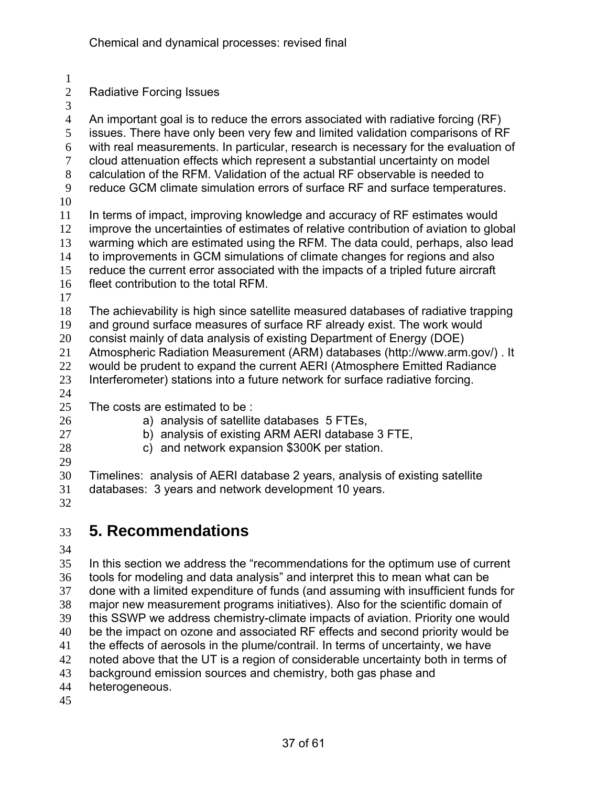#### Radiative Forcing Issues

An important goal is to reduce the errors associated with radiative forcing (RF) issues. There have only been very few and limited validation comparisons of RF with real measurements. In particular, research is necessary for the evaluation of cloud attenuation effects which represent a substantial uncertainty on model calculation of the RFM. Validation of the actual RF observable is needed to reduce GCM climate simulation errors of surface RF and surface temperatures. In terms of impact, improving knowledge and accuracy of RF estimates would improve the uncertainties of estimates of relative contribution of aviation to global warming which are estimated using the RFM. The data could, perhaps, also lead to improvements in GCM simulations of climate changes for regions and also reduce the current error associated with the impacts of a tripled future aircraft fleet contribution to the total RFM. The achievability is high since satellite measured databases of radiative trapping and ground surface measures of surface RF already exist. The work would consist mainly of data analysis of existing Department of Energy (DOE) Atmospheric Radiation Measurement (ARM) databases (http://www.arm.gov/) . It would be prudent to expand the current AERI (Atmosphere Emitted Radiance Interferometer) stations into a future network for surface radiative forcing. The costs are estimated to be : a) analysis of satellite databases 5 FTEs, 27 b) analysis of existing ARM AERI database 3 FTE, c) and network expansion \$300K per station. Timelines: analysis of AERI database 2 years, analysis of existing satellite databases: 3 years and network development 10 years. 

## **5. Recommendations**

In this section we address the "recommendations for the optimum use of current tools for modeling and data analysis" and interpret this to mean what can be done with a limited expenditure of funds (and assuming with insufficient funds for major new measurement programs initiatives). Also for the scientific domain of this SSWP we address chemistry-climate impacts of aviation. Priority one would be the impact on ozone and associated RF effects and second priority would be the effects of aerosols in the plume/contrail. In terms of uncertainty, we have noted above that the UT is a region of considerable uncertainty both in terms of background emission sources and chemistry, both gas phase and heterogeneous.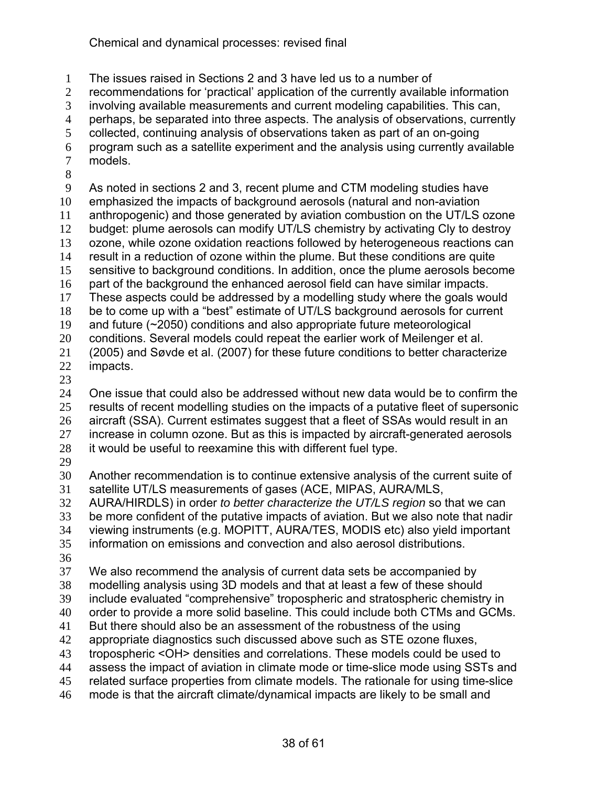The issues raised in Sections 2 and 3 have led us to a number of

recommendations for 'practical' application of the currently available information

involving available measurements and current modeling capabilities. This can,

perhaps, be separated into three aspects. The analysis of observations, currently

collected, continuing analysis of observations taken as part of an on-going

program such as a satellite experiment and the analysis using currently available models.

As noted in sections 2 and 3, recent plume and CTM modeling studies have

emphasized the impacts of background aerosols (natural and non-aviation anthropogenic) and those generated by aviation combustion on the UT/LS ozone

budget: plume aerosols can modify UT/LS chemistry by activating Cly to destroy

ozone, while ozone oxidation reactions followed by heterogeneous reactions can

result in a reduction of ozone within the plume. But these conditions are quite

sensitive to background conditions. In addition, once the plume aerosols become

part of the background the enhanced aerosol field can have similar impacts.

These aspects could be addressed by a modelling study where the goals would

be to come up with a "best" estimate of UT/LS background aerosols for current

and future (~2050) conditions and also appropriate future meteorological

conditions. Several models could repeat the earlier work of Meilenger et al.

(2005) and Søvde et al. (2007) for these future conditions to better characterize impacts.

One issue that could also be addressed without new data would be to confirm the results of recent modelling studies on the impacts of a putative fleet of supersonic aircraft (SSA). Current estimates suggest that a fleet of SSAs would result in an increase in column ozone. But as this is impacted by aircraft-generated aerosols it would be useful to reexamine this with different fuel type.

Another recommendation is to continue extensive analysis of the current suite of satellite UT/LS measurements of gases (ACE, MIPAS, AURA/MLS,

AURA/HIRDLS) in order *to better characterize the UT/LS region* so that we can

be more confident of the putative impacts of aviation. But we also note that nadir

viewing instruments (e.g. MOPITT, AURA/TES, MODIS etc) also yield important

information on emissions and convection and also aerosol distributions.

We also recommend the analysis of current data sets be accompanied by

modelling analysis using 3D models and that at least a few of these should

include evaluated "comprehensive" tropospheric and stratospheric chemistry in

order to provide a more solid baseline. This could include both CTMs and GCMs.

But there should also be an assessment of the robustness of the using

appropriate diagnostics such discussed above such as STE ozone fluxes,

tropospheric <OH> densities and correlations. These models could be used to

assess the impact of aviation in climate mode or time-slice mode using SSTs and

related surface properties from climate models. The rationale for using time-slice

mode is that the aircraft climate/dynamical impacts are likely to be small and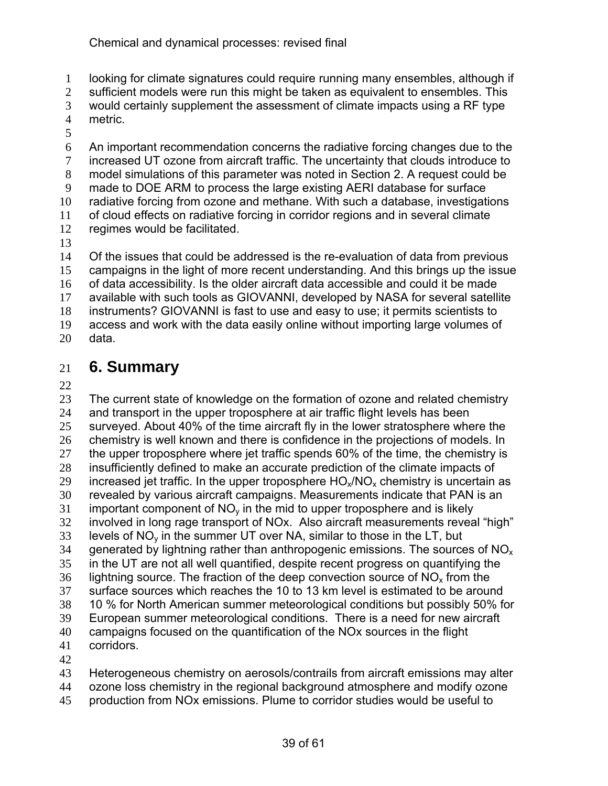looking for climate signatures could require running many ensembles, although if

2 sufficient models were run this might be taken as equivalent to ensembles. This

- would certainly supplement the assessment of climate impacts using a RF type metric.
- 

An important recommendation concerns the radiative forcing changes due to the increased UT ozone from aircraft traffic. The uncertainty that clouds introduce to model simulations of this parameter was noted in Section 2. A request could be made to DOE ARM to process the large existing AERI database for surface radiative forcing from ozone and methane. With such a database, investigations of cloud effects on radiative forcing in corridor regions and in several climate regimes would be facilitated. Of the issues that could be addressed is the re-evaluation of data from previous campaigns in the light of more recent understanding. And this brings up the issue of data accessibility. Is the older aircraft data accessible and could it be made available with such tools as GIOVANNI, developed by NASA for several satellite

- instruments? GIOVANNI is fast to use and easy to use; it permits scientists to
- access and work with the data easily online without importing large volumes of
- data.

## **6. Summary**

The current state of knowledge on the formation of ozone and related chemistry and transport in the upper troposphere at air traffic flight levels has been surveyed. About 40% of the time aircraft fly in the lower stratosphere where the chemistry is well known and there is confidence in the projections of models. In 27 the upper troposphere where jet traffic spends 60% of the time, the chemistry is insufficiently defined to make an accurate prediction of the climate impacts of 29 increased jet traffic. In the upper troposphere  $HO_x/NO_x$  chemistry is uncertain as revealed by various aircraft campaigns. Measurements indicate that PAN is an 31 important component of  $NO<sub>v</sub>$  in the mid to upper troposphere and is likely involved in long rage transport of NOx. Also aircraft measurements reveal "high" 33 levels of  $NO<sub>v</sub>$  in the summer UT over NA, similar to those in the LT, but 34 generated by lightning rather than anthropogenic emissions. The sources of  $NO<sub>x</sub>$ <br>35 in the UT are not all well quantified, despite recent progress on quantifying the in the UT are not all well quantified, despite recent progress on quantifying the 36 lightning source. The fraction of the deep convection source of  $NO<sub>x</sub>$  from the surface sources which reaches the 10 to 13 km level is estimated to be around 10 % for North American summer meteorological conditions but possibly 50% for European summer meteorological conditions. There is a need for new aircraft campaigns focused on the quantification of the NOx sources in the flight corridors.

Heterogeneous chemistry on aerosols/contrails from aircraft emissions may alter

- ozone loss chemistry in the regional background atmosphere and modify ozone
- production from NOx emissions. Plume to corridor studies would be useful to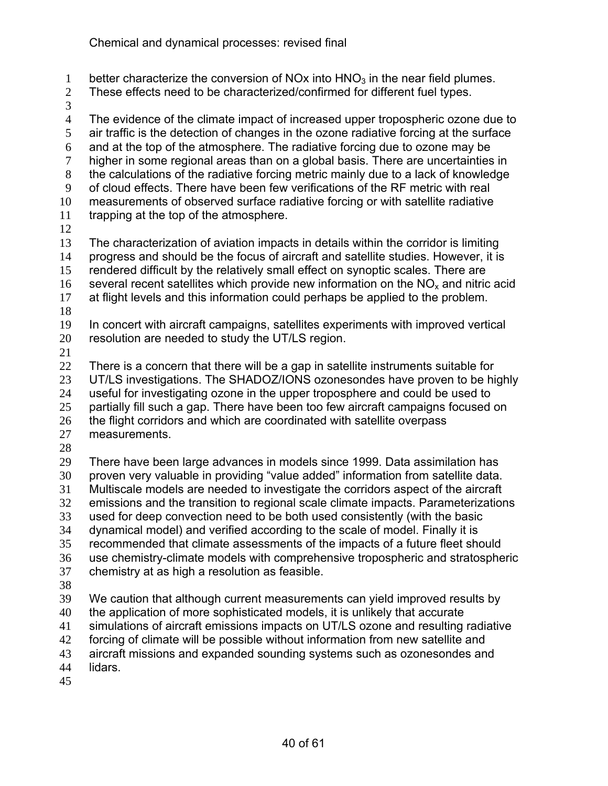1 better characterize the conversion of NOx into  $HNO<sub>3</sub>$  in the near field plumes. These effects need to be characterized/confirmed for different fuel types. The evidence of the climate impact of increased upper tropospheric ozone due to air traffic is the detection of changes in the ozone radiative forcing at the surface and at the top of the atmosphere. The radiative forcing due to ozone may be higher in some regional areas than on a global basis. There are uncertainties in the calculations of the radiative forcing metric mainly due to a lack of knowledge of cloud effects. There have been few verifications of the RF metric with real measurements of observed surface radiative forcing or with satellite radiative trapping at the top of the atmosphere. The characterization of aviation impacts in details within the corridor is limiting progress and should be the focus of aircraft and satellite studies. However, it is rendered difficult by the relatively small effect on synoptic scales. There are 16 several recent satellites which provide new information on the  $NO<sub>x</sub>$  and nitric acid at flight levels and this information could perhaps be applied to the problem. In concert with aircraft campaigns, satellites experiments with improved vertical resolution are needed to study the UT/LS region. There is a concern that there will be a gap in satellite instruments suitable for UT/LS investigations. The SHADOZ/IONS ozonesondes have proven to be highly useful for investigating ozone in the upper troposphere and could be used to partially fill such a gap. There have been too few aircraft campaigns focused on 26 the flight corridors and which are coordinated with satellite overpass measurements. There have been large advances in models since 1999. Data assimilation has proven very valuable in providing "value added" information from satellite data. Multiscale models are needed to investigate the corridors aspect of the aircraft emissions and the transition to regional scale climate impacts. Parameterizations used for deep convection need to be both used consistently (with the basic dynamical model) and verified according to the scale of model. Finally it is recommended that climate assessments of the impacts of a future fleet should use chemistry-climate models with comprehensive tropospheric and stratospheric chemistry at as high a resolution as feasible. We caution that although current measurements can yield improved results by the application of more sophisticated models, it is unlikely that accurate simulations of aircraft emissions impacts on UT/LS ozone and resulting radiative forcing of climate will be possible without information from new satellite and aircraft missions and expanded sounding systems such as ozonesondes and lidars.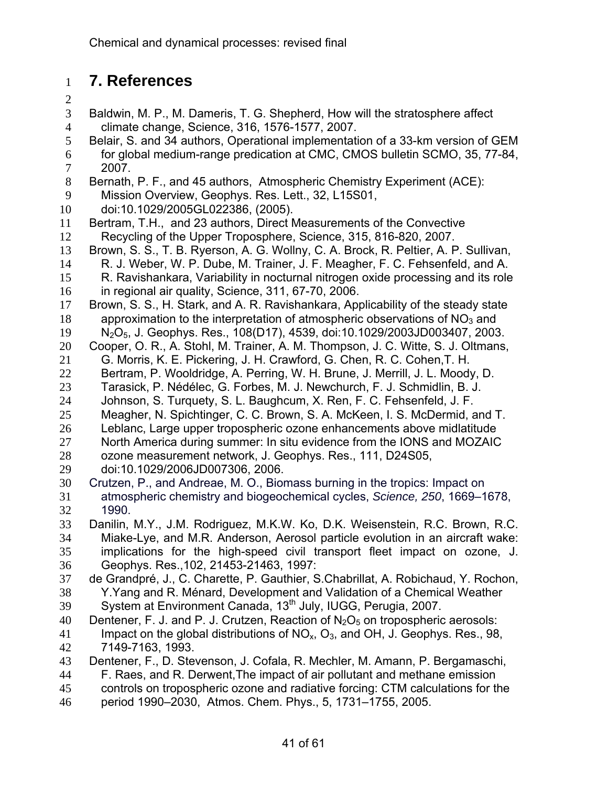## **7. References**

- 
- Baldwin, M. P., M. Dameris, T. G. Shepherd, How will the stratosphere affect climate change, Science, 316, 1576-1577, 2007.
- Belair, S. and 34 authors, Operational implementation of a 33-km version of GEM
- for global medium-range predication at CMC, CMOS bulletin SCMO, 35, 77-84, 2007.
- Bernath, P. F., and 45 authors, Atmospheric Chemistry Experiment (ACE):
- Mission Overview, Geophys. Res. Lett., 32, L15S01,
- doi:10.1029/2005GL022386, (2005).

Bertram, T.H., and 23 authors, Direct Measurements of the Convective Recycling of the Upper Troposphere, Science, 315, 816-820, 2007.

- Brown, S. S., T. B. Ryerson, A. G. Wollny, C. A. Brock, R. Peltier, A. P. Sullivan,
- R. J. Weber, W. P. Dube, M. Trainer, J. F. Meagher, F. C. Fehsenfeld, and A.
- R. Ravishankara, Variability in nocturnal nitrogen oxide processing and its role in regional air quality, Science, 311, 67-70, 2006.
- Brown, S. S., H. Stark, and A. R. Ravishankara, Applicability of the steady state 18 approximation to the interpretation of atmospheric observations of  $NO<sub>3</sub>$  and
- N2O5, J. Geophys. Res., 108(D17), 4539, doi:10.1029/2003JD003407, 2003.
- Cooper, O. R., A. Stohl, M. Trainer, A. M. Thompson, J. C. Witte, S. J. Oltmans, G. Morris, K. E. Pickering, J. H. Crawford, G. Chen, R. C. Cohen,T. H.
- Bertram, P. Wooldridge, A. Perring, W. H. Brune, J. Merrill, J. L. Moody, D.
- Tarasick, P. Nédélec, G. Forbes, M. J. Newchurch, F. J. Schmidlin, B. J.
- Johnson, S. Turquety, S. L. Baughcum, X. Ren, F. C. Fehsenfeld, J. F.
- Meagher, N. Spichtinger, C. C. Brown, S. A. McKeen, I. S. McDermid, and T.
- Leblanc, Large upper tropospheric ozone enhancements above midlatitude
- 27 North America during summer: In situ evidence from the IONS and MOZAIC
- ozone measurement network, J. Geophys. Res., 111, D24S05,
- doi:10.1029/2006JD007306, 2006.
- Crutzen, P., and Andreae, M. O., Biomass burning in the tropics: Impact on atmospheric chemistry and biogeochemical cycles, *Science, 250*, 1669–1678, 1990.
- Danilin, M.Y., J.M. Rodriguez, M.K.W. Ko, D.K. Weisenstein, R.C. Brown, R.C. Miake-Lye, and M.R. Anderson, Aerosol particle evolution in an aircraft wake: implications for the high-speed civil transport fleet impact on ozone, J.
- Geophys. Res.,102, 21453-21463, 1997:
- de Grandpré, J., C. Charette, P. Gauthier, S.Chabrillat, A. Robichaud, Y. Rochon, Y.Yang and R. Ménard, Development and Validation of a Chemical Weather 39 System at Environment Canada, 13<sup>th</sup> July, IUGG, Perugia, 2007.
- 40 Dentener, F. J. and P. J. Crutzen, Reaction of  $N_2O_5$  on tropospheric aerosols:
- 41 Impact on the global distributions of  $NO_x$ ,  $O_3$ , and OH, J. Geophys. Res., 98, 7149-7163, 1993.
- Dentener, F., D. Stevenson, J. Cofala, R. Mechler, M. Amann, P. Bergamaschi,
- F. Raes, and R. Derwent,The impact of air pollutant and methane emission
- controls on tropospheric ozone and radiative forcing: CTM calculations for the
- period 1990–2030, Atmos. Chem. Phys., 5, 1731–1755, 2005.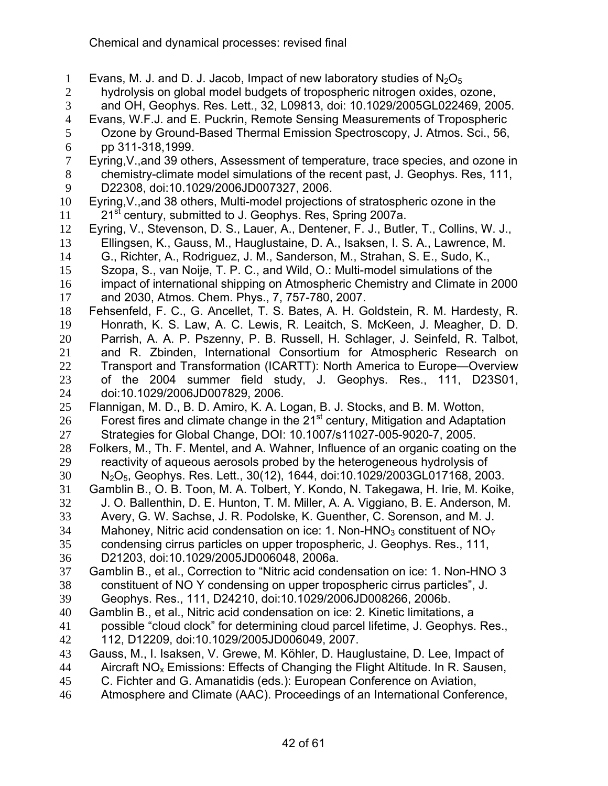| $\mathbf{1}$   | Evans, M. J. and D. J. Jacob, Impact of new laboratory studies of $N_2O_5$                         |
|----------------|----------------------------------------------------------------------------------------------------|
| $\mathbf{2}$   | hydrolysis on global model budgets of tropospheric nitrogen oxides, ozone,                         |
| 3              | and OH, Geophys. Res. Lett., 32, L09813, doi: 10.1029/2005GL022469, 2005.                          |
| $\overline{4}$ | Evans, W.F.J. and E. Puckrin, Remote Sensing Measurements of Tropospheric                          |
| 5              | Ozone by Ground-Based Thermal Emission Spectroscopy, J. Atmos. Sci., 56,                           |
| 6              | pp 311-318,1999.                                                                                   |
| 7              | Eyring, V., and 39 others, Assessment of temperature, trace species, and ozone in                  |
| 8              | chemistry-climate model simulations of the recent past, J. Geophys. Res, 111,                      |
| 9              | D22308, doi:10.1029/2006JD007327, 2006.                                                            |
| 10             | Eyring, V., and 38 others, Multi-model projections of stratospheric ozone in the                   |
| 11             | 21 <sup>st</sup> century, submitted to J. Geophys. Res, Spring 2007a.                              |
| 12             | Eyring, V., Stevenson, D. S., Lauer, A., Dentener, F. J., Butler, T., Collins, W. J.,              |
| 13             | Ellingsen, K., Gauss, M., Hauglustaine, D. A., Isaksen, I. S. A., Lawrence, M.                     |
| 14             | G., Richter, A., Rodriguez, J. M., Sanderson, M., Strahan, S. E., Sudo, K.,                        |
| 15             | Szopa, S., van Noije, T. P. C., and Wild, O.: Multi-model simulations of the                       |
| 16             | impact of international shipping on Atmospheric Chemistry and Climate in 2000                      |
| 17             | and 2030, Atmos. Chem. Phys., 7, 757-780, 2007.                                                    |
| 18             | Fehsenfeld, F. C., G. Ancellet, T. S. Bates, A. H. Goldstein, R. M. Hardesty, R.                   |
| 19             | Honrath, K. S. Law, A. C. Lewis, R. Leaitch, S. McKeen, J. Meagher, D. D.                          |
| 20             | Parrish, A. A. P. Pszenny, P. B. Russell, H. Schlager, J. Seinfeld, R. Talbot,                     |
| 21             | and R. Zbinden, International Consortium for Atmospheric Research on                               |
| 22             | Transport and Transformation (ICARTT): North America to Europe-Overview                            |
| 23             | of the 2004 summer field study, J. Geophys. Res., 111, D23S01,                                     |
| 24             | doi:10.1029/2006JD007829, 2006.                                                                    |
| 25             | Flannigan, M. D., B. D. Amiro, K. A. Logan, B. J. Stocks, and B. M. Wotton,                        |
| 26             | Forest fires and climate change in the 21 <sup>st</sup> century, Mitigation and Adaptation         |
| 27             | Strategies for Global Change, DOI: 10.1007/s11027-005-9020-7, 2005.                                |
| 28             | Folkers, M., Th. F. Mentel, and A. Wahner, Influence of an organic coating on the                  |
| 29             | reactivity of aqueous aerosols probed by the heterogeneous hydrolysis of                           |
| 30             | N <sub>2</sub> O <sub>5</sub> , Geophys. Res. Lett., 30(12), 1644, doi:10.1029/2003GL017168, 2003. |
| 31             | Gamblin B., O. B. Toon, M. A. Tolbert, Y. Kondo, N. Takegawa, H. Irie, M. Koike,                   |
| 32             | J. O. Ballenthin, D. E. Hunton, T. M. Miller, A. A. Viggiano, B. E. Anderson, M.                   |
| 33             | Avery, G. W. Sachse, J. R. Podolske, K. Guenther, C. Sorenson, and M. J.                           |
| 34             | Mahoney, Nitric acid condensation on ice: 1. Non-HNO <sub>3</sub> constituent of NO <sub>Y</sub>   |
| 35             | condensing cirrus particles on upper tropospheric, J. Geophys. Res., 111,                          |
| 36             | D21203, doi:10.1029/2005JD006048, 2006a.                                                           |
| 37             | Gamblin B., et al., Correction to "Nitric acid condensation on ice: 1. Non-HNO 3                   |
| 38             | constituent of NO Y condensing on upper tropospheric cirrus particles", J.                         |
| 39             | Geophys. Res., 111, D24210, doi:10.1029/2006JD008266, 2006b.                                       |
| 40             | Gamblin B., et al., Nitric acid condensation on ice: 2. Kinetic limitations, a                     |
| 41             | possible "cloud clock" for determining cloud parcel lifetime, J. Geophys. Res.,                    |
| 42             | 112, D12209, doi:10.1029/2005JD006049, 2007.                                                       |
| 43             | Gauss, M., I. Isaksen, V. Grewe, M. Köhler, D. Hauglustaine, D. Lee, Impact of                     |
| 44             | Aircraft $NOx$ Emissions: Effects of Changing the Flight Altitude. In R. Sausen,                   |
| 45             | C. Fichter and G. Amanatidis (eds.): European Conference on Aviation,                              |
| 46             | Atmosphere and Climate (AAC). Proceedings of an International Conference,                          |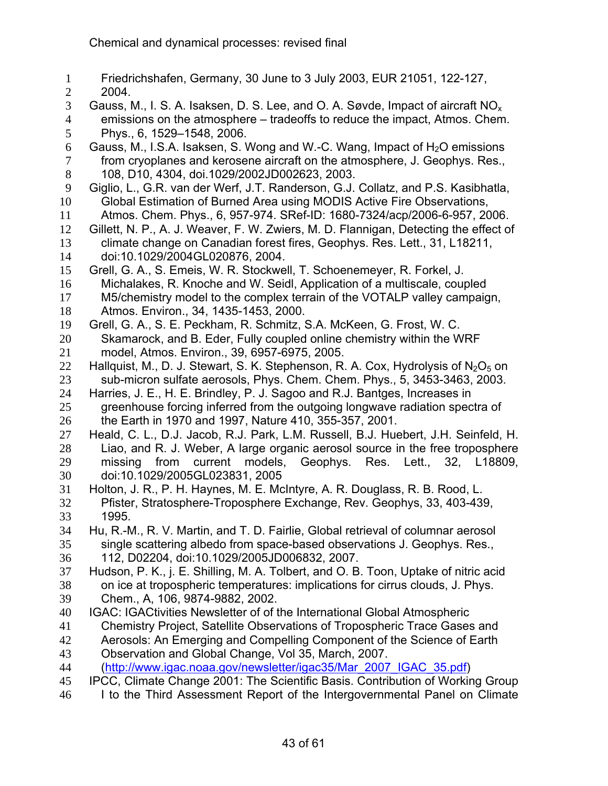Friedrichshafen, Germany, 30 June to 3 July 2003, EUR 21051, 122-127, 2004. 3 Gauss, M., I. S. A. Isaksen, D. S. Lee, and O. A. Søvde, Impact of aircraft  $NO<sub>x</sub>$ emissions on the atmosphere – tradeoffs to reduce the impact, Atmos. Chem. Phys., 6, 1529–1548, 2006. 6 Gauss, M., I.S.A. Isaksen, S. Wong and W.-C. Wang, Impact of  $H_2O$  emissions from cryoplanes and kerosene aircraft on the atmosphere, J. Geophys. Res., 108, D10, 4304, doi.1029/2002JD002623, 2003. Giglio, L., G.R. van der Werf, J.T. Randerson, G.J. Collatz, and P.S. Kasibhatla, Global Estimation of Burned Area using MODIS Active Fire Observations, Atmos. Chem. Phys., 6, 957-974. SRef-ID: 1680-7324/acp/2006-6-957, 2006. Gillett, N. P., A. J. Weaver, F. W. Zwiers, M. D. Flannigan, Detecting the effect of climate change on Canadian forest fires, Geophys. Res. Lett., 31, L18211, doi:10.1029/2004GL020876, 2004. Grell, G. A., S. Emeis, W. R. Stockwell, T. Schoenemeyer, R. Forkel, J. Michalakes, R. Knoche and W. Seidl, Application of a multiscale, coupled M5/chemistry model to the complex terrain of the VOTALP valley campaign, Atmos. Environ., 34, 1435-1453, 2000. Grell, G. A., S. E. Peckham, R. Schmitz, S.A. McKeen, G. Frost, W. C. Skamarock, and B. Eder, Fully coupled online chemistry within the WRF model, Atmos. Environ., 39, 6957-6975, 2005. 22 Hallquist, M., D. J. Stewart, S. K. Stephenson, R. A. Cox, Hydrolysis of  $N_2O_5$  on sub-micron sulfate aerosols, Phys. Chem. Chem. Phys., 5, 3453-3463, 2003. Harries, J. E., H. E. Brindley, P. J. Sagoo and R.J. Bantges, Increases in greenhouse forcing inferred from the outgoing longwave radiation spectra of the Earth in 1970 and 1997, Nature 410, 355-357, 2001. Heald, C. L., D.J. Jacob, R.J. Park, L.M. Russell, B.J. Huebert, J.H. Seinfeld, H. Liao, and R. J. Weber, A large organic aerosol source in the free troposphere missing from current models, Geophys. Res. Lett., 32, L18809, doi:10.1029/2005GL023831, 2005 Holton, J. R., P. H. Haynes, M. E. McIntyre, A. R. Douglass, R. B. Rood, L. Pfister, Stratosphere-Troposphere Exchange, Rev. Geophys, 33, 403-439, 1995. Hu, R.-M., R. V. Martin, and T. D. Fairlie, Global retrieval of columnar aerosol single scattering albedo from space-based observations J. Geophys. Res., 112, D02204, doi:10.1029/2005JD006832, 2007. Hudson, P. K., j. E. Shilling, M. A. Tolbert, and O. B. Toon, Uptake of nitric acid on ice at tropospheric temperatures: implications for cirrus clouds, J. Phys. Chem., A, 106, 9874-9882, 2002. IGAC: IGACtivities Newsletter of of the International Global Atmospheric Chemistry Project, Satellite Observations of Tropospheric Trace Gases and Aerosols: An Emerging and Compelling Component of the Science of Earth Observation and Global Change, Vol 35, March, 2007. (http://www.igac.noaa.gov/newsletter/igac35/Mar\_2007\_IGAC\_35.pdf) IPCC, Climate Change 2001: The Scientific Basis. Contribution of Working Group I to the Third Assessment Report of the Intergovernmental Panel on Climate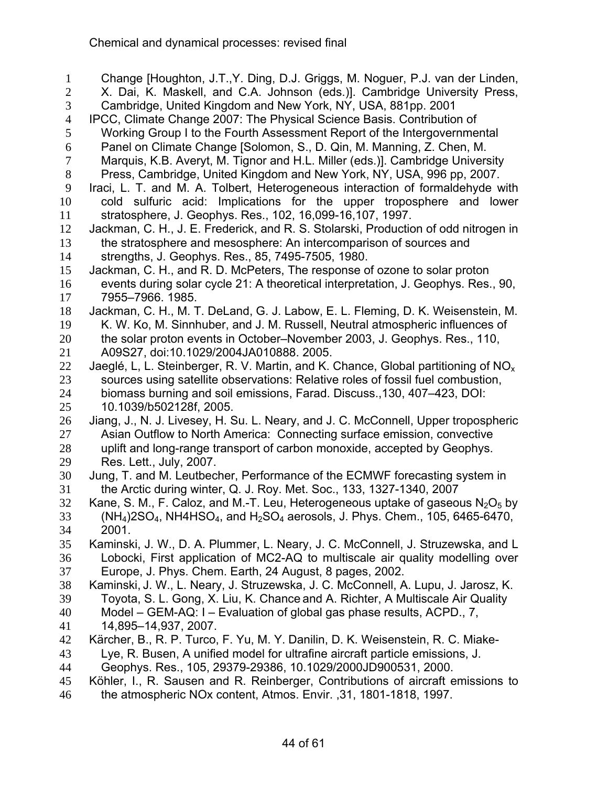Change [Houghton, J.T.,Y. Ding, D.J. Griggs, M. Noguer, P.J. van der Linden, X. Dai, K. Maskell, and C.A. Johnson (eds.)]. Cambridge University Press, Cambridge, United Kingdom and New York, NY, USA, 881pp. 2001 IPCC, Climate Change 2007: The Physical Science Basis. Contribution of Working Group I to the Fourth Assessment Report of the Intergovernmental Panel on Climate Change [Solomon, S., D. Qin, M. Manning, Z. Chen, M. Marquis, K.B. Averyt, M. Tignor and H.L. Miller (eds.)]. Cambridge University Press, Cambridge, United Kingdom and New York, NY, USA, 996 pp, 2007. Iraci, L. T. and M. A. Tolbert, Heterogeneous interaction of formaldehyde with cold sulfuric acid: Implications for the upper troposphere and lower stratosphere, J. Geophys. Res., 102, 16,099-16,107, 1997. Jackman, C. H., J. E. Frederick, and R. S. Stolarski, Production of odd nitrogen in the stratosphere and mesosphere: An intercomparison of sources and strengths, J. Geophys. Res., 85, 7495-7505, 1980. Jackman, C. H., and R. D. McPeters, The response of ozone to solar proton events during solar cycle 21: A theoretical interpretation, J. Geophys. Res., 90, 7955–7966. 1985. Jackman, C. H., M. T. DeLand, G. J. Labow, E. L. Fleming, D. K. Weisenstein, M. K. W. Ko, M. Sinnhuber, and J. M. Russell, Neutral atmospheric influences of 20 the solar proton events in October–November 2003, J. Geophys. Res., 110, A09S27, doi:10.1029/2004JA010888. 2005. 22 Jaeglé, L, L. Steinberger, R. V. Martin, and K. Chance, Global partitioning of  $NO<sub>x</sub>$ sources using satellite observations: Relative roles of fossil fuel combustion, biomass burning and soil emissions, Farad. Discuss.,130, 407–423, DOI: 10.1039/b502128f, 2005. Jiang, J., N. J. Livesey, H. Su. L. Neary, and J. C. McConnell, Upper tropospheric Asian Outflow to North America: Connecting surface emission, convective uplift and long-range transport of carbon monoxide, accepted by Geophys. Res. Lett., July, 2007. Jung, T. and M. Leutbecher, Performance of the ECMWF forecasting system in the Arctic during winter, Q. J. Roy. Met. Soc., 133, 1327-1340, 2007 32 Kane, S. M., F. Caloz, and M.-T. Leu, Heterogeneous uptake of gaseous  $N_2O_5$  by (NH<sub>4</sub>)2SO<sub>4</sub>, NH4HSO<sub>4</sub>, and H<sub>2</sub>SO<sub>4</sub> aerosols, J. Phys. Chem., 105, 6465-6470, 2001. Kaminski, J. W., D. A. Plummer, L. Neary, J. C. McConnell, J. Struzewska, and L Lobocki, First application of MC2-AQ to multiscale air quality modelling over Europe, J. Phys. Chem. Earth, 24 August, 8 pages, 2002. Kaminski, J. W., L. Neary, J. Struzewska, J. C. McConnell, A. Lupu, J. Jarosz, K. Toyota, S. L. Gong, X. Liu, K. Chance and A. Richter, A Multiscale Air Quality Model – GEM-AQ: I – Evaluation of global gas phase results, ACPD., 7, 14,895–14,937, 2007. Kärcher, B., R. P. Turco, F. Yu, M. Y. Danilin, D. K. Weisenstein, R. C. Miake-Lye, R. Busen, A unified model for ultrafine aircraft particle emissions, J. Geophys. Res., 105, 29379-29386, 10.1029/2000JD900531, 2000. Köhler, I., R. Sausen and R. Reinberger, Contributions of aircraft emissions to the atmospheric NOx content, Atmos. Envir. ,31, 1801-1818, 1997.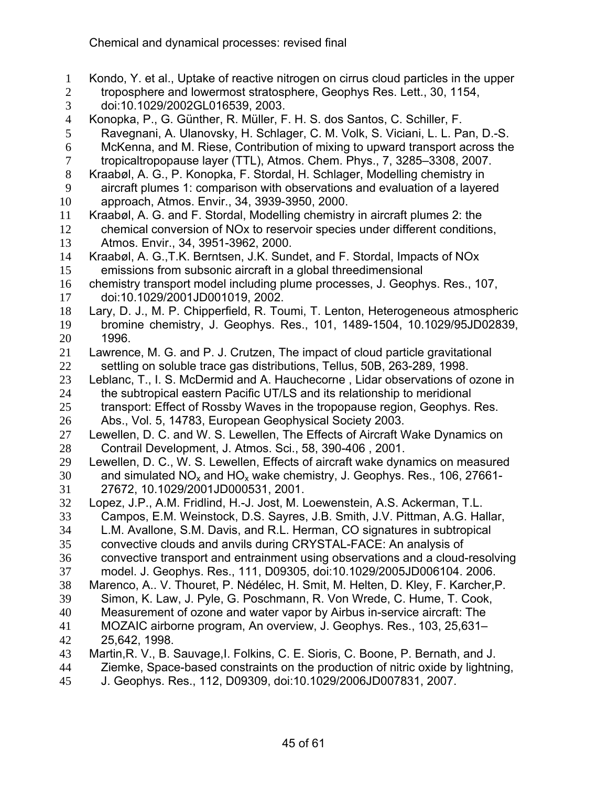Kondo, Y. et al., Uptake of reactive nitrogen on cirrus cloud particles in the upper 2 troposphere and lowermost stratosphere, Geophys Res. Lett., 30, 1154, doi:10.1029/2002GL016539, 2003. Konopka, P., G. Günther, R. Müller, F. H. S. dos Santos, C. Schiller, F. Ravegnani, A. Ulanovsky, H. Schlager, C. M. Volk, S. Viciani, L. L. Pan, D.-S. McKenna, and M. Riese, Contribution of mixing to upward transport across the tropicaltropopause layer (TTL), Atmos. Chem. Phys., 7, 3285–3308, 2007. Kraabøl, A. G., P. Konopka, F. Stordal, H. Schlager, Modelling chemistry in aircraft plumes 1: comparison with observations and evaluation of a layered approach, Atmos. Envir., 34, 3939-3950, 2000. Kraabøl, A. G. and F. Stordal, Modelling chemistry in aircraft plumes 2: the chemical conversion of NOx to reservoir species under different conditions, Atmos. Envir., 34, 3951-3962, 2000. Kraabøl, A. G.,T.K. Berntsen, J.K. Sundet, and F. Stordal, Impacts of NOx emissions from subsonic aircraft in a global threedimensional chemistry transport model including plume processes, J. Geophys. Res., 107, doi:10.1029/2001JD001019, 2002. Lary, D. J., M. P. Chipperfield, R. Toumi, T. Lenton, Heterogeneous atmospheric bromine chemistry, J. Geophys. Res., 101, 1489-1504, 10.1029/95JD02839, 1996. Lawrence, M. G. and P. J. Crutzen, The impact of cloud particle gravitational settling on soluble trace gas distributions, Tellus, 50B, 263-289, 1998. Leblanc, T., I. S. McDermid and A. Hauchecorne , Lidar observations of ozone in 24 the subtropical eastern Pacific UT/LS and its relationship to meridional transport: Effect of Rossby Waves in the tropopause region, Geophys. Res. Abs., Vol. 5, 14783, European Geophysical Society 2003. Lewellen, D. C. and W. S. Lewellen, The Effects of Aircraft Wake Dynamics on Contrail Development, J. Atmos. Sci., 58, 390-406 , 2001. Lewellen, D. C., W. S. Lewellen, Effects of aircraft wake dynamics on measured 30 and simulated  $NO_x$  and  $HO_x$  wake chemistry, J. Geophys. Res., 106, 27661-27672, 10.1029/2001JD000531, 2001. Lopez, J.P., A.M. Fridlind, H.-J. Jost, M. Loewenstein, A.S. Ackerman, T.L. Campos, E.M. Weinstock, D.S. Sayres, J.B. Smith, J.V. Pittman, A.G. Hallar, L.M. Avallone, S.M. Davis, and R.L. Herman, CO signatures in subtropical convective clouds and anvils during CRYSTAL-FACE: An analysis of convective transport and entrainment using observations and a cloud-resolving model. J. Geophys. Res., 111, D09305, doi:10.1029/2005JD006104. 2006. Marenco, A.. V. Thouret, P. Nédélec, H. Smit, M. Helten, D. Kley, F. Karcher,P. Simon, K. Law, J. Pyle, G. Poschmann, R. Von Wrede, C. Hume, T. Cook, Measurement of ozone and water vapor by Airbus in-service aircraft: The MOZAIC airborne program, An overview, J. Geophys. Res., 103, 25,631– 25,642, 1998. Martin,R. V., B. Sauvage,I. Folkins, C. E. Sioris, C. Boone, P. Bernath, and J. Ziemke, Space-based constraints on the production of nitric oxide by lightning, J. Geophys. Res., 112, D09309, doi:10.1029/2006JD007831, 2007.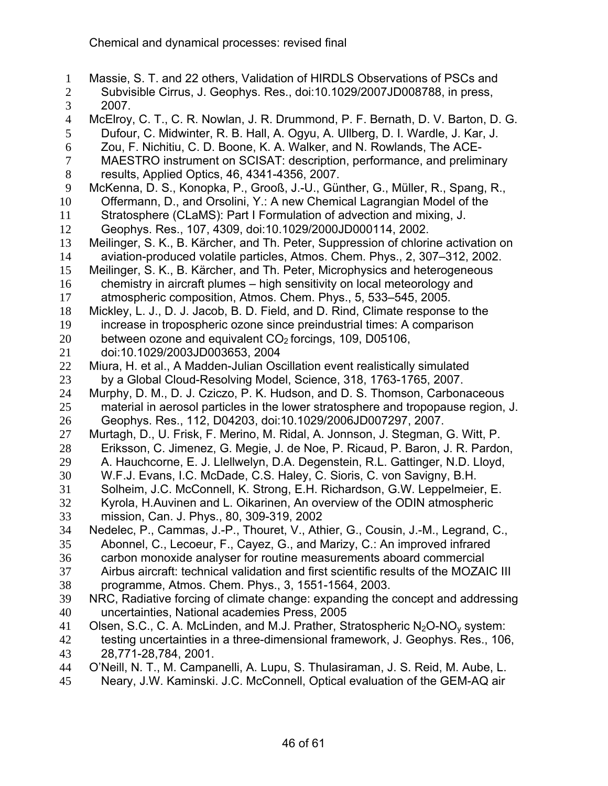Massie, S. T. and 22 others, Validation of HIRDLS Observations of PSCs and Subvisible Cirrus, J. Geophys. Res., doi:10.1029/2007JD008788, in press, 2007. McElroy, C. T., C. R. Nowlan, J. R. Drummond, P. F. Bernath, D. V. Barton, D. G. Dufour, C. Midwinter, R. B. Hall, A. Ogyu, A. Ullberg, D. I. Wardle, J. Kar, J. Zou, F. Nichitiu, C. D. Boone, K. A. Walker, and N. Rowlands, The ACE-MAESTRO instrument on SCISAT: description, performance, and preliminary results, Applied Optics, 46, 4341-4356, 2007. McKenna, D. S., Konopka, P., Grooß, J.-U., Günther, G., Müller, R., Spang, R., Offermann, D., and Orsolini, Y.: A new Chemical Lagrangian Model of the Stratosphere (CLaMS): Part I Formulation of advection and mixing, J. Geophys. Res., 107, 4309, doi:10.1029/2000JD000114, 2002. Meilinger, S. K., B. Kärcher, and Th. Peter, Suppression of chlorine activation on aviation-produced volatile particles, Atmos. Chem. Phys., 2, 307–312, 2002. Meilinger, S. K., B. Kärcher, and Th. Peter, Microphysics and heterogeneous chemistry in aircraft plumes – high sensitivity on local meteorology and atmospheric composition, Atmos. Chem. Phys., 5, 533–545, 2005. Mickley, L. J., D. J. Jacob, B. D. Field, and D. Rind, Climate response to the increase in tropospheric ozone since preindustrial times: A comparison 20 between ozone and equivalent  $CO<sub>2</sub>$  forcings, 109, D05106, doi:10.1029/2003JD003653, 2004 Miura, H. et al., A Madden-Julian Oscillation event realistically simulated by a Global Cloud-Resolving Model, Science, 318, 1763-1765, 2007. Murphy, D. M., D. J. Cziczo, P. K. Hudson, and D. S. Thomson, Carbonaceous material in aerosol particles in the lower stratosphere and tropopause region, J. Geophys. Res., 112, D04203, doi:10.1029/2006JD007297, 2007. Murtagh, D., U. Frisk, F. Merino, M. Ridal, A. Jonnson, J. Stegman, G. Witt, P. Eriksson, C. Jimenez, G. Megie, J. de Noe, P. Ricaud, P. Baron, J. R. Pardon, A. Hauchcorne, E. J. Llellwelyn, D.A. Degenstein, R.L. Gattinger, N.D. Lloyd, W.F.J. Evans, I.C. McDade, C.S. Haley, C. Sioris, C. von Savigny, B.H. Solheim, J.C. McConnell, K. Strong, E.H. Richardson, G.W. Leppelmeier, E. Kyrola, H.Auvinen and L. Oikarinen, An overview of the ODIN atmospheric mission, Can. J. Phys., 80, 309-319, 2002 Nedelec, P., Cammas, J.-P., Thouret, V., Athier, G., Cousin, J.-M., Legrand, C., Abonnel, C., Lecoeur, F., Cayez, G., and Marizy, C.: An improved infrared carbon monoxide analyser for routine measurements aboard commercial Airbus aircraft: technical validation and first scientific results of the MOZAIC III programme, Atmos. Chem. Phys., 3, 1551-1564, 2003. NRC, Radiative forcing of climate change: expanding the concept and addressing uncertainties, National academies Press, 2005 41 Olsen, S.C., C. A. McLinden, and M.J. Prather, Stratospheric  $N_2O-NO_v$  system: testing uncertainties in a three-dimensional framework, J. Geophys. Res., 106, 28,771-28,784, 2001. O'Neill, N. T., M. Campanelli, A. Lupu, S. Thulasiraman, J. S. Reid, M. Aube, L. Neary, J.W. Kaminski. J.C. McConnell, Optical evaluation of the GEM-AQ air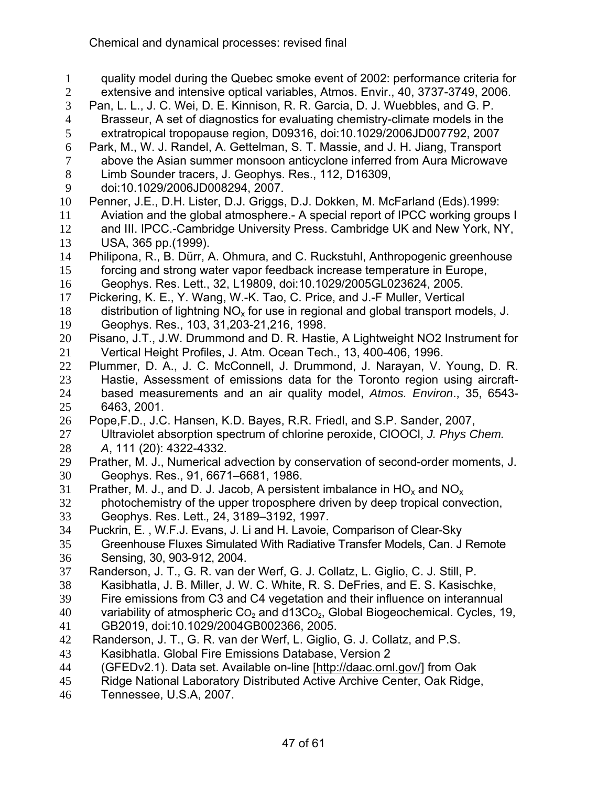- quality model during the Quebec smoke event of 2002: performance criteria for extensive and intensive optical variables, Atmos. Envir., 40, 3737-3749, 2006. Pan, L. L., J. C. Wei, D. E. Kinnison, R. R. Garcia, D. J. Wuebbles, and G. P. Brasseur, A set of diagnostics for evaluating chemistry-climate models in the extratropical tropopause region, D09316, doi:10.1029/2006JD007792, 2007 Park, M., W. J. Randel, A. Gettelman, S. T. Massie, and J. H. Jiang, Transport above the Asian summer monsoon anticyclone inferred from Aura Microwave Limb Sounder tracers, J. Geophys. Res., 112, D16309, doi:10.1029/2006JD008294, 2007. Penner, J.E., D.H. Lister, D.J. Griggs, D.J. Dokken, M. McFarland (Eds).1999: Aviation and the global atmosphere.- A special report of IPCC working groups I 12 and III. IPCC.-Cambridge University Press. Cambridge UK and New York, NY, USA, 365 pp.(1999). Philipona, R., B. Dürr, A. Ohmura, and C. Ruckstuhl, Anthropogenic greenhouse forcing and strong water vapor feedback increase temperature in Europe, Geophys. Res. Lett., 32, L19809, doi:10.1029/2005GL023624, 2005. Pickering, K. E., Y. Wang, W.-K. Tao, C. Price, and J.-F Muller, Vertical 18 distribution of lightning  $NO_x$  for use in regional and global transport models, J. Geophys. Res., 103, 31,203-21,216, 1998. Pisano, J.T., J.W. Drummond and D. R. Hastie, A Lightweight NO2 Instrument for Vertical Height Profiles, J. Atm. Ocean Tech., 13, 400-406, 1996. Plummer, D. A., J. C. McConnell, J. Drummond, J. Narayan, V. Young, D. R. Hastie, Assessment of emissions data for the Toronto region using aircraft-based measurements and an air quality model, *Atmos. Environ*., 35, 6543- 6463, 2001. Pope,F.D., J.C. Hansen, K.D. Bayes, R.R. Friedl, and S.P. Sander, 2007, Ultraviolet absorption spectrum of chlorine peroxide, ClOOCl, *J. Phys Chem. A*, 111 (20): 4322-4332. Prather, M. J., Numerical advection by conservation of second-order moments, J. Geophys. Res., 91, 6671–6681, 1986. 31 Prather, M. J., and D. J. Jacob, A persistent imbalance in  $HO_x$  and  $NO_x$ photochemistry of the upper troposphere driven by deep tropical convection, Geophys. Res. Lett.*,* 24, 3189–3192, 1997. Puckrin, E. , W.F.J. Evans, J. Li and H. Lavoie, Comparison of Clear-Sky Greenhouse Fluxes Simulated With Radiative Transfer Models, Can. J Remote Sensing, 30, 903-912, 2004. Randerson, J. T., G. R. van der Werf, G. J. Collatz, L. Giglio, C. J. Still, P. Kasibhatla, J. B. Miller, J. W. C. White, R. S. DeFries, and E. S. Kasischke, Fire emissions from C3 and C4 vegetation and their influence on interannual 40 variability of atmospheric  $CO<sub>2</sub>$  and d13CO<sub>2</sub>, Global Biogeochemical. Cycles, 19, GB2019, doi:10.1029/2004GB002366, 2005. Randerson, J. T., G. R. van der Werf, L. Giglio, G. J. Collatz, and P.S. Kasibhatla. Global Fire Emissions Database, Version 2 (GFEDv2.1). Data set. Available on-line [http://daac.ornl.gov/] from Oak Ridge National Laboratory Distributed Active Archive Center, Oak Ridge,
- Tennessee, U.S.A, 2007.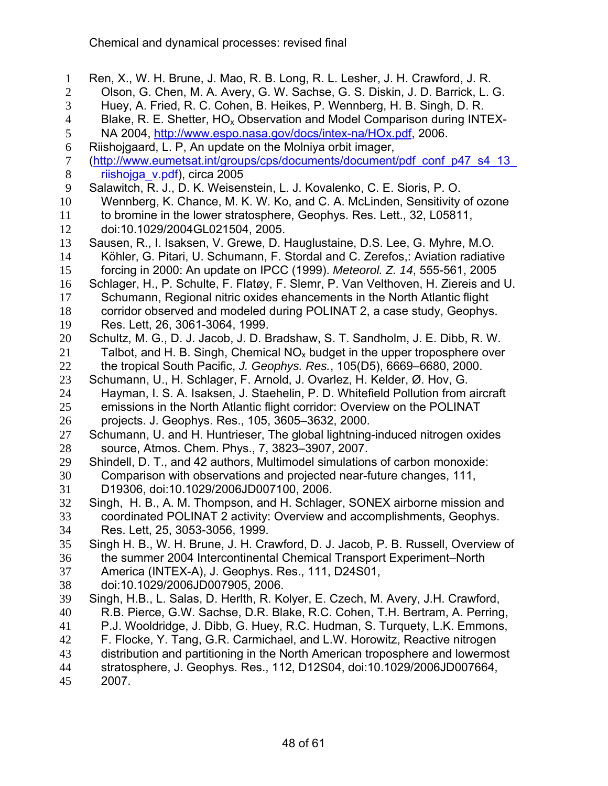Ren, X., W. H. Brune, J. Mao, R. B. Long, R. L. Lesher, J. H. Crawford, J. R. Olson, G. Chen, M. A. Avery, G. W. Sachse, G. S. Diskin, J. D. Barrick, L. G. Huey, A. Fried, R. C. Cohen, B. Heikes, P. Wennberg, H. B. Singh, D. R. 4 Blake, R. E. Shetter, HO<sub>x</sub> Observation and Model Comparison during INTEX-<br>5 NA 2004, http://www.espo.nasa.gov/docs/intex-na/HOx.pdf, 2006. NA 2004, http://www.espo.nasa.gov/docs/intex-na/HOx.pdf, 2006. Riishojgaard, L. P, An update on the Molniya orbit imager, 7 (http://www.eumetsat.int/groups/cps/documents/document/pdf\_conf\_p47\_s4\_13 8 riishojga v.pdf), circa 2005 Salawitch, R. J., D. K. Weisenstein, L. J. Kovalenko, C. E. Sioris, P. O. Wennberg, K. Chance, M. K. W. Ko, and C. A. McLinden, Sensitivity of ozone to bromine in the lower stratosphere, Geophys. Res. Lett., 32, L05811, doi:10.1029/2004GL021504, 2005. Sausen, R., I. Isaksen, V. Grewe, D. Hauglustaine, D.S. Lee, G. Myhre, M.O. Köhler, G. Pitari, U. Schumann, F. Stordal and C. Zerefos,: Aviation radiative forcing in 2000: An update on IPCC (1999). *Meteorol. Z. 14*, 555-561, 2005 Schlager, H., P. Schulte, F. Flatøy, F. Slemr, P. Van Velthoven, H. Ziereis and U. Schumann, Regional nitric oxides ehancements in the North Atlantic flight corridor observed and modeled during POLINAT 2, a case study, Geophys. Res. Lett, 26, 3061-3064, 1999. Schultz, M. G., D. J. Jacob, J. D. Bradshaw, S. T. Sandholm, J. E. Dibb, R. W. 21 Talbot, and H. B. Singh, Chemical  $NO_x$  budget in the upper troposphere over the tropical South Pacific, *J. Geophys. Res.*, 105(D5), 6669–6680, 2000. Schumann, U., H. Schlager, F. Arnold, J. Ovarlez, H. Kelder, Ø. Hov, G. Hayman, I. S. A. Isaksen, J. Staehelin, P. D. Whitefield Pollution from aircraft emissions in the North Atlantic flight corridor: Overview on the POLINAT projects. J. Geophys. Res., 105, 3605–3632, 2000. Schumann, U. and H. Huntrieser, The global lightning-induced nitrogen oxides source, Atmos. Chem. Phys., 7, 3823–3907, 2007. Shindell, D. T., and 42 authors, Multimodel simulations of carbon monoxide: Comparison with observations and projected near-future changes, 111, D19306, doi:10.1029/2006JD007100, 2006. Singh, H. B., A. M. Thompson, and H. Schlager, SONEX airborne mission and coordinated POLINAT 2 activity: Overview and accomplishments, Geophys. Res. Lett, 25, 3053-3056, 1999. Singh H. B., W. H. Brune, J. H. Crawford, D. J. Jacob, P. B. Russell, Overview of the summer 2004 Intercontinental Chemical Transport Experiment–North America (INTEX-A), J. Geophys. Res., 111, D24S01, doi:10.1029/2006JD007905, 2006. Singh, H.B., L. Salas, D. Herlth, R. Kolyer, E. Czech, M. Avery, J.H. Crawford, R.B. Pierce, G.W. Sachse, D.R. Blake, R.C. Cohen, T.H. Bertram, A. Perring, P.J. Wooldridge, J. Dibb, G. Huey, R.C. Hudman, S. Turquety, L.K. Emmons, F. Flocke, Y. Tang, G.R. Carmichael, and L.W. Horowitz, Reactive nitrogen distribution and partitioning in the North American troposphere and lowermost stratosphere, J. Geophys. Res., 112, D12S04, doi:10.1029/2006JD007664, 2007.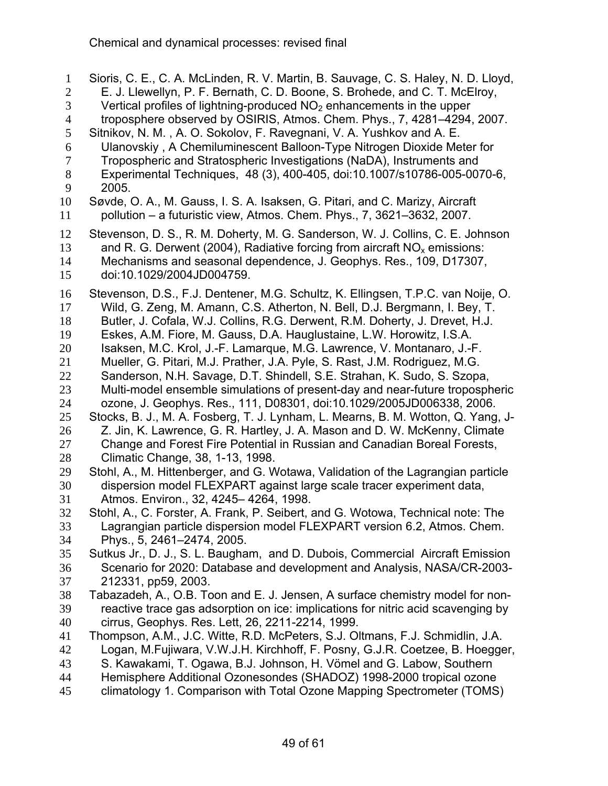Sioris, C. E., C. A. McLinden, R. V. Martin, B. Sauvage, C. S. Haley, N. D. Lloyd, E. J. Llewellyn, P. F. Bernath, C. D. Boone, S. Brohede, and C. T. McElroy, Vertical profiles of lightning-produced  $NO<sub>2</sub>$  enhancements in the upper troposphere observed by OSIRIS, Atmos. Chem. Phys., 7, 4281–4294, 2007. Sitnikov, N. M. , A. O. Sokolov, F. Ravegnani, V. A. Yushkov and A. E. Ulanovskiy , A Chemiluminescent Balloon-Type Nitrogen Dioxide Meter for Tropospheric and Stratospheric Investigations (NaDA), Instruments and Experimental Techniques, 48 (3), 400-405, doi:10.1007/s10786-005-0070-6, 2005. Søvde, O. A., M. Gauss, I. S. A. Isaksen, G. Pitari, and C. Marizy, Aircraft pollution – a futuristic view, Atmos. Chem. Phys., 7, 3621–3632, 2007. Stevenson, D. S., R. M. Doherty, M. G. Sanderson, W. J. Collins, C. E. Johnson 13 and R. G. Derwent (2004), Radiative forcing from aircraft  $NO<sub>x</sub>$  emissions: Mechanisms and seasonal dependence, J. Geophys. Res., 109, D17307, doi:10.1029/2004JD004759. Stevenson, D.S., F.J. Dentener, M.G. Schultz, K. Ellingsen, T.P.C. van Noije, O. Wild, G. Zeng, M. Amann, C.S. Atherton, N. Bell, D.J. Bergmann, I. Bey, T. Butler, J. Cofala, W.J. Collins, R.G. Derwent, R.M. Doherty, J. Drevet, H.J. Eskes, A.M. Fiore, M. Gauss, D.A. Hauglustaine, L.W. Horowitz, I.S.A. Isaksen, M.C. Krol, J.-F. Lamarque, M.G. Lawrence, V. Montanaro, J.-F. Mueller, G. Pitari, M.J. Prather, J.A. Pyle, S. Rast, J.M. Rodriguez, M.G. Sanderson, N.H. Savage, D.T. Shindell, S.E. Strahan, K. Sudo, S. Szopa, Multi-model ensemble simulations of present-day and near-future tropospheric ozone, J. Geophys. Res., 111, D08301, doi:10.1029/2005JD006338, 2006. Stocks, B. J., M. A. Fosberg, T. J. Lynham, L. Mearns, B. M. Wotton, Q. Yang, J-26 Z. Jin, K. Lawrence, G. R. Hartley, J. A. Mason and D. W. McKenny, Climate Change and Forest Fire Potential in Russian and Canadian Boreal Forests, Climatic Change, 38, 1-13, 1998. Stohl, A., M. Hittenberger, and G. Wotawa, Validation of the Lagrangian particle dispersion model FLEXPART against large scale tracer experiment data, Atmos. Environ., 32, 4245– 4264, 1998. Stohl, A., C. Forster, A. Frank, P. Seibert, and G. Wotowa, Technical note: The Lagrangian particle dispersion model FLEXPART version 6.2, Atmos. Chem. Phys., 5, 2461–2474, 2005. Sutkus Jr., D. J., S. L. Baugham, and D. Dubois, Commercial Aircraft Emission Scenario for 2020: Database and development and Analysis, NASA/CR-2003- 212331, pp59, 2003. Tabazadeh, A., O.B. Toon and E. J. Jensen, A surface chemistry model for non-reactive trace gas adsorption on ice: implications for nitric acid scavenging by cirrus, Geophys. Res. Lett, 26, 2211-2214, 1999. Thompson, A.M., J.C. Witte, R.D. McPeters, S.J. Oltmans, F.J. Schmidlin, J.A. Logan, M.Fujiwara, V.W.J.H. Kirchhoff, F. Posny, G.J.R. Coetzee, B. Hoegger, S. Kawakami, T. Ogawa, B.J. Johnson, H. Vömel and G. Labow, Southern Hemisphere Additional Ozonesondes (SHADOZ) 1998-2000 tropical ozone climatology 1. Comparison with Total Ozone Mapping Spectrometer (TOMS)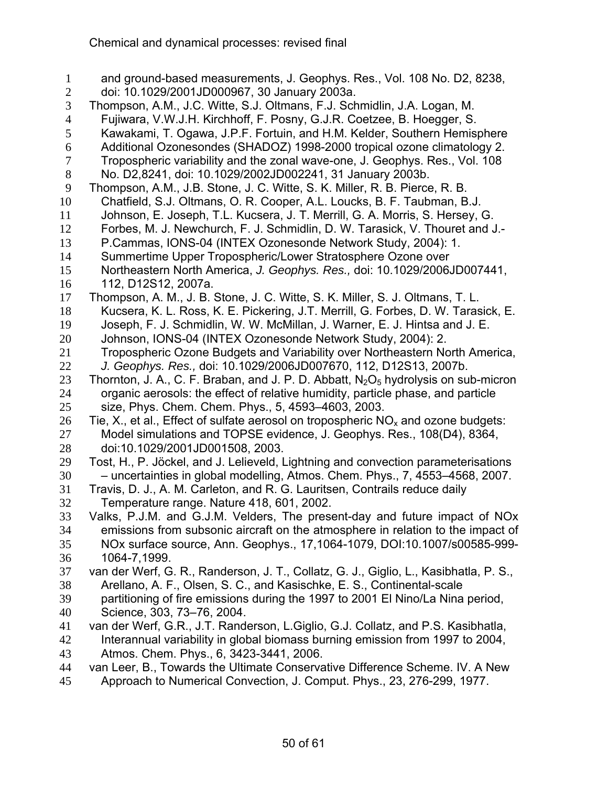| $\mathbf{1}$     | and ground-based measurements, J. Geophys. Res., Vol. 108 No. D2, 8238,               |
|------------------|---------------------------------------------------------------------------------------|
| $\mathbf{2}$     | doi: 10.1029/2001JD000967, 30 January 2003a.                                          |
| 3                | Thompson, A.M., J.C. Witte, S.J. Oltmans, F.J. Schmidlin, J.A. Logan, M.              |
| $\overline{4}$   | Fujiwara, V.W.J.H. Kirchhoff, F. Posny, G.J.R. Coetzee, B. Hoegger, S.                |
| 5                | Kawakami, T. Ogawa, J.P.F. Fortuin, and H.M. Kelder, Southern Hemisphere              |
| 6                | Additional Ozonesondes (SHADOZ) 1998-2000 tropical ozone climatology 2.               |
| $\boldsymbol{7}$ | Tropospheric variability and the zonal wave-one, J. Geophys. Res., Vol. 108           |
| $8\,$            | No. D2,8241, doi: 10.1029/2002JD002241, 31 January 2003b.                             |
| 9                | Thompson, A.M., J.B. Stone, J. C. Witte, S. K. Miller, R. B. Pierce, R. B.            |
| 10               | Chatfield, S.J. Oltmans, O. R. Cooper, A.L. Loucks, B. F. Taubman, B.J.               |
| 11               | Johnson, E. Joseph, T.L. Kucsera, J. T. Merrill, G. A. Morris, S. Hersey, G.          |
| 12               | Forbes, M. J. Newchurch, F. J. Schmidlin, D. W. Tarasick, V. Thouret and J.-          |
| 13               | P.Cammas, IONS-04 (INTEX Ozonesonde Network Study, 2004): 1.                          |
| 14               | Summertime Upper Tropospheric/Lower Stratosphere Ozone over                           |
| 15               | Northeastern North America, J. Geophys. Res., doi: 10.1029/2006JD007441,              |
| 16               | 112, D12S12, 2007a.                                                                   |
| 17               | Thompson, A. M., J. B. Stone, J. C. Witte, S. K. Miller, S. J. Oltmans, T. L.         |
| 18               | Kucsera, K. L. Ross, K. E. Pickering, J.T. Merrill, G. Forbes, D. W. Tarasick, E.     |
| 19               | Joseph, F. J. Schmidlin, W. W. McMillan, J. Warner, E. J. Hintsa and J. E.            |
| 20               | Johnson, IONS-04 (INTEX Ozonesonde Network Study, 2004): 2.                           |
| 21               | Tropospheric Ozone Budgets and Variability over Northeastern North America,           |
| 22               | J. Geophys. Res., doi: 10.1029/2006JD007670, 112, D12S13, 2007b.                      |
| 23               | Thornton, J. A., C. F. Braban, and J. P. D. Abbatt, $N_2O_5$ hydrolysis on sub-micron |
| 24               | organic aerosols: the effect of relative humidity, particle phase, and particle       |
| 25               | size, Phys. Chem. Chem. Phys., 5, 4593-4603, 2003.                                    |
| 26               | Tie, X., et al., Effect of sulfate aerosol on tropospheric $NOx$ and ozone budgets:   |
| 27               | Model simulations and TOPSE evidence, J. Geophys. Res., 108(D4), 8364,                |
| 28               | doi:10.1029/2001JD001508, 2003.                                                       |
| 29               | Tost, H., P. Jöckel, and J. Lelieveld, Lightning and convection parameterisations     |
| 30               | - uncertainties in global modelling, Atmos. Chem. Phys., 7, 4553-4568, 2007.          |
| 31               | Travis, D. J., A. M. Carleton, and R. G. Lauritsen, Contrails reduce daily            |
| 32               | Temperature range. Nature 418, 601, 2002.                                             |
| 33               | Valks, P.J.M. and G.J.M. Velders, The present-day and future impact of NOx            |
| 34               | emissions from subsonic aircraft on the atmosphere in relation to the impact of       |
| 35               | NOx surface source, Ann. Geophys., 17,1064-1079, DOI:10.1007/s00585-999-              |
| 36               | 1064-7,1999.                                                                          |
| 37               | van der Werf, G. R., Randerson, J. T., Collatz, G. J., Giglio, L., Kasibhatla, P. S., |
| 38               | Arellano, A. F., Olsen, S. C., and Kasischke, E. S., Continental-scale                |
| 39               | partitioning of fire emissions during the 1997 to 2001 El Nino/La Nina period,        |
| 40               | Science, 303, 73-76, 2004.                                                            |
| 41               | van der Werf, G.R., J.T. Randerson, L.Giglio, G.J. Collatz, and P.S. Kasibhatla,      |
| 42               | Interannual variability in global biomass burning emission from 1997 to 2004,         |
| 43               | Atmos. Chem. Phys., 6, 3423-3441, 2006.                                               |
| 44               | van Leer, B., Towards the Ultimate Conservative Difference Scheme. IV. A New          |
| 45               | Approach to Numerical Convection, J. Comput. Phys., 23, 276-299, 1977.                |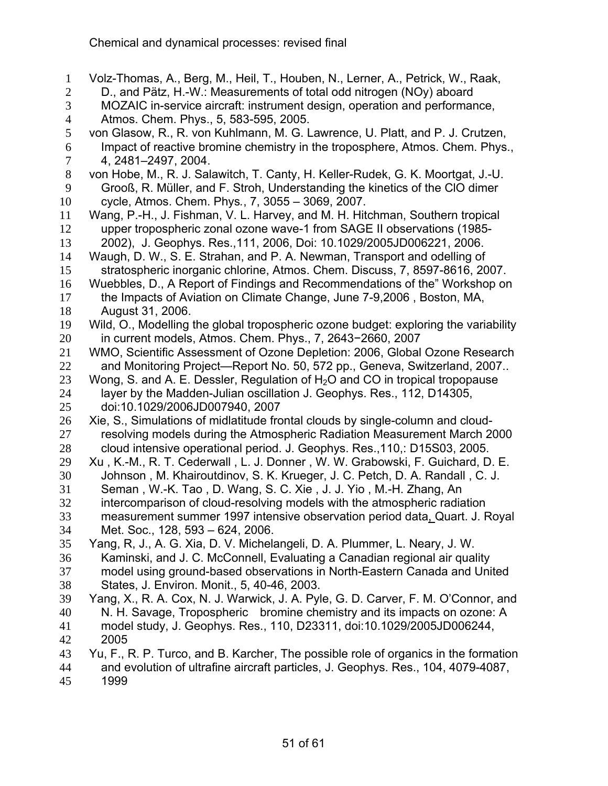Volz-Thomas, A., Berg, M., Heil, T., Houben, N., Lerner, A., Petrick, W., Raak, D., and Pätz, H.-W.: Measurements of total odd nitrogen (NOy) aboard MOZAIC in-service aircraft: instrument design, operation and performance, Atmos. Chem. Phys., 5, 583-595, 2005. von Glasow, R., R. von Kuhlmann, M. G. Lawrence, U. Platt, and P. J. Crutzen, Impact of reactive bromine chemistry in the troposphere, Atmos. Chem. Phys., 4, 2481–2497, 2004. von Hobe, M., R. J. Salawitch, T. Canty, H. Keller-Rudek, G. K. Moortgat, J.-U. Grooß, R. Müller, and F. Stroh, Understanding the kinetics of the ClO dimer cycle, Atmos. Chem. Phys*.*, 7, 3055 – 3069, 2007. Wang, P.-H., J. Fishman, V. L. Harvey, and M. H. Hitchman, Southern tropical upper tropospheric zonal ozone wave-1 from SAGE II observations (1985- 2002), J. Geophys. Res.,111, 2006, Doi: 10.1029/2005JD006221, 2006. Waugh, D. W., S. E. Strahan, and P. A. Newman, Transport and odelling of stratospheric inorganic chlorine, Atmos. Chem. Discuss, 7, 8597-8616, 2007. Wuebbles, D., A Report of Findings and Recommendations of the" Workshop on the Impacts of Aviation on Climate Change, June 7-9,2006 , Boston, MA, August 31, 2006. Wild, O., Modelling the global tropospheric ozone budget: exploring the variability in current models, Atmos. Chem. Phys., 7, 2643−2660, 2007 WMO, Scientific Assessment of Ozone Depletion: 2006, Global Ozone Research and Monitoring Project—Report No. 50, 572 pp., Geneva, Switzerland, 2007.. 23 Wong, S. and A. E. Dessler, Regulation of  $H_2O$  and CO in tropical tropopause layer by the Madden-Julian oscillation J. Geophys. Res., 112, D14305, doi:10.1029/2006JD007940, 2007 Xie, S., Simulations of midlatitude frontal clouds by single-column and cloud-resolving models during the Atmospheric Radiation Measurement March 2000 cloud intensive operational period. J. Geophys. Res.,110,: D15S03, 2005. Xu , K.-M., R. T. Cederwall , L. J. Donner , W. W. Grabowski, F. Guichard, D. E. Johnson , M. Khairoutdinov, S. K. Krueger, J. C. Petch, D. A. Randall , C. J. Seman , W.-K. Tao , D. Wang, S. C. Xie , J. J. Yio , M.-H. Zhang, An intercomparison of cloud-resolving models with the atmospheric radiation measurement summer 1997 intensive observation period data, Quart. J. Royal Met. Soc., 128, 593 – 624, 2006. Yang, R, J., A. G. Xia, D. V. Michelangeli, D. A. Plummer, L. Neary, J. W. Kaminski, and J. C. McConnell, Evaluating a Canadian regional air quality model using ground-based observations in North-Eastern Canada and United States, J. Environ. Monit., 5, 40-46, 2003. Yang, X., R. A. Cox, N. J. Warwick, J. A. Pyle, G. D. Carver, F. M. O'Connor, and N. H. Savage, Tropospheric bromine chemistry and its impacts on ozone: A model study, J. Geophys. Res., 110, D23311, doi:10.1029/2005JD006244, 2005 Yu, F., R. P. Turco, and B. Karcher, The possible role of organics in the formation and evolution of ultrafine aircraft particles, J. Geophys. Res., 104, 4079-4087, 1999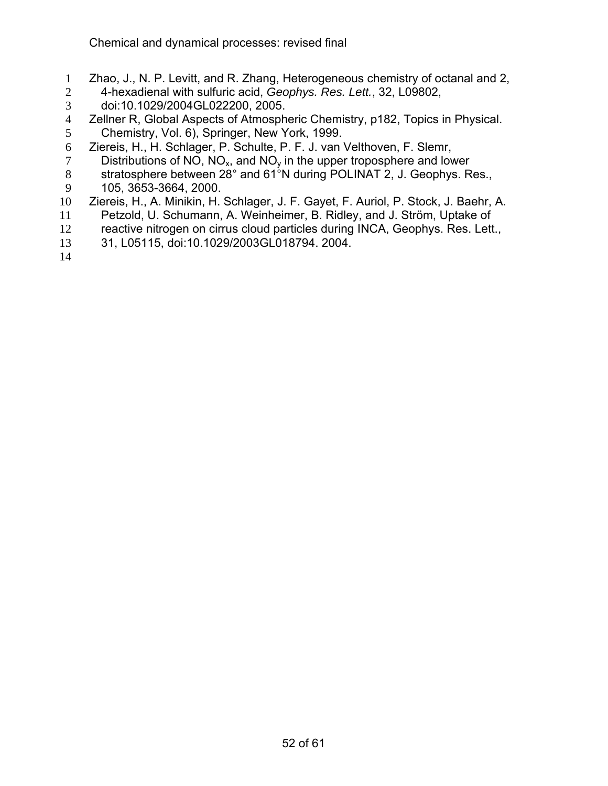- Zhao, J., N. P. Levitt, and R. Zhang, Heterogeneous chemistry of octanal and 2,
- 4-hexadienal with sulfuric acid, *Geophys. Res. Lett.*, 32, L09802,
- doi:10.1029/2004GL022200, 2005.
- Zellner R, Global Aspects of Atmospheric Chemistry, p182, Topics in Physical. Chemistry, Vol. 6), Springer, New York, 1999.
- Ziereis, H., H. Schlager, P. Schulte, P. F. J. van Velthoven, F. Slemr,
- 7 Distributions of NO, NO<sub>x</sub>, and NO<sub>y</sub> in the upper troposphere and lower
- stratosphere between 28° and 61°N during POLINAT 2, J. Geophys. Res.,
- 105, 3653-3664, 2000.
- Ziereis, H., A. Minikin, H. Schlager, J. F. Gayet, F. Auriol, P. Stock, J. Baehr, A.
- Petzold, U. Schumann, A. Weinheimer, B. Ridley, and J. Ström, Uptake of
- reactive nitrogen on cirrus cloud particles during INCA, Geophys. Res. Lett.,
- 31, L05115, doi:10.1029/2003GL018794. 2004.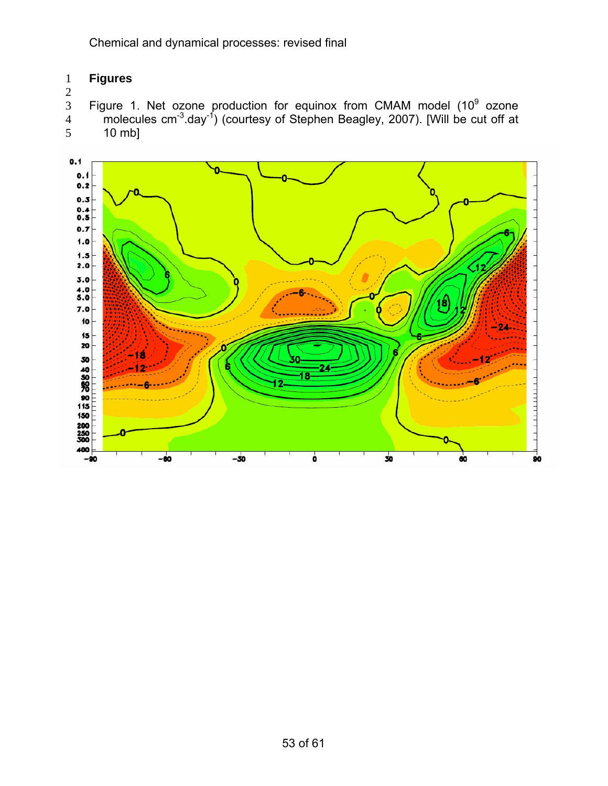### 1 **Figures**

 $\frac{2}{3}$ 

3 Figure 1. Net ozone production for equinox from CMAM model (10 $9$  ozone

- 4 molecules  $cm^{-3}$  day<sup>-1</sup>) (courtesy of Stephen Beagley, 2007). [Will be cut off at
- 5 10 mb]

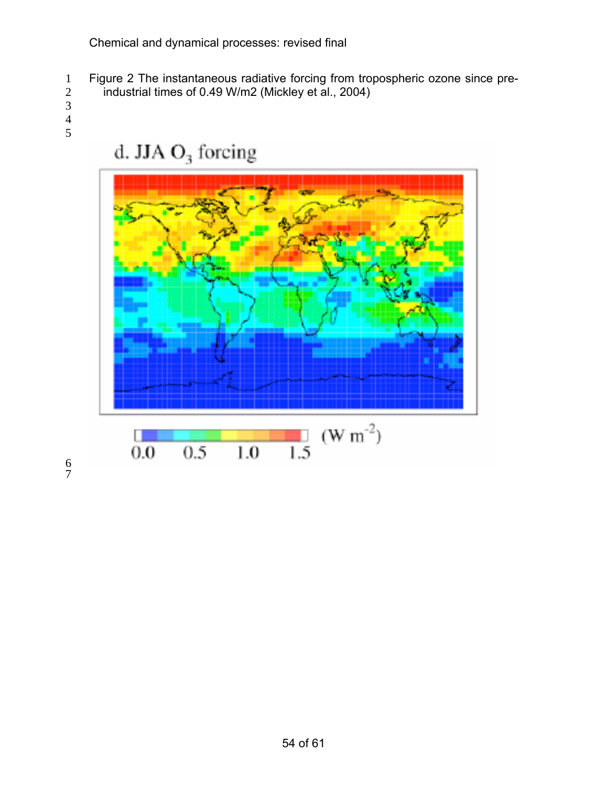- Figure 2 The instantaneous radiative forcing from tropospheric ozone since pre-industrial times of 0.49 W/m2 (Mickley et al., 2004)
- 
- 

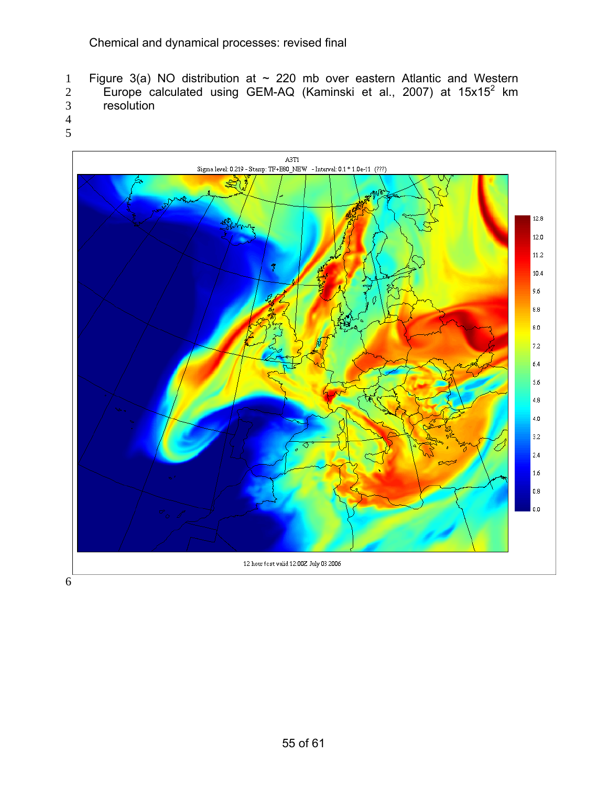1 Figure 3(a) NO distribution at  $\sim$  220 mb over eastern Atlantic and Western 2 Europe calculated using GEM-AQ (Kaminski et al., 2007) at 15x15<sup>2</sup> km

- Europe calculated using GEM-AQ (Kaminski et al., 2007) at  $15x15^2$  km 3 resolution
- 4
- 5

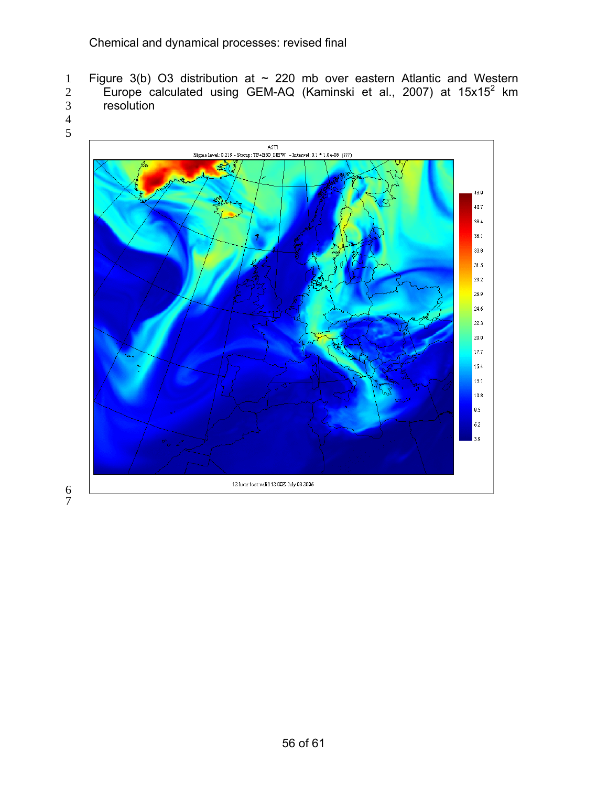- 1 Figure 3(b) O3 distribution at  $\sim$  220 mb over eastern Atlantic and Western 2 Europe calculated using GEM-AQ (Kaminski et al., 2007) at 15x15<sup>2</sup> km Europe calculated using GEM-AQ (Kaminski et al., 2007) at  $15x15^2$  km<br>3 resolution resolution
- 4
- 5

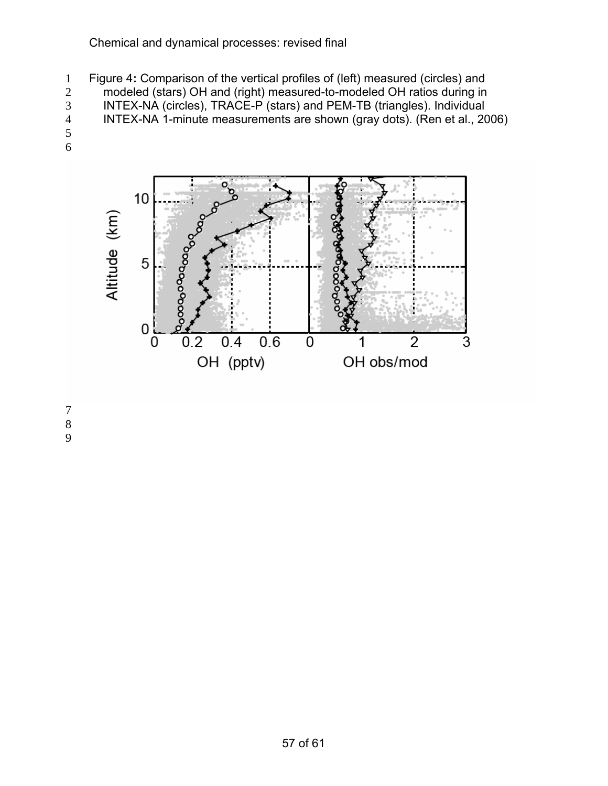- 1 Figure 4: Comparison of the vertical profiles of (left) measured (circles) and<br>2 modeled (stars) OH and (right) measured-to-modeled OH ratios during in
- 2 modeled (stars) OH and (right) measured-to-modeled OH ratios during in<br>
13 INTEX-NA (circles), TRACE-P (stars) and PEM-TB (triangles). Individual
	- INTEX-NA (circles), TRACE-P (stars) and PEM-TB (triangles). Individual
- 4 INTEX-NA 1-minute measurements are shown (gray dots). (Ren et al., 2006)
- 5
- 6



7 8 9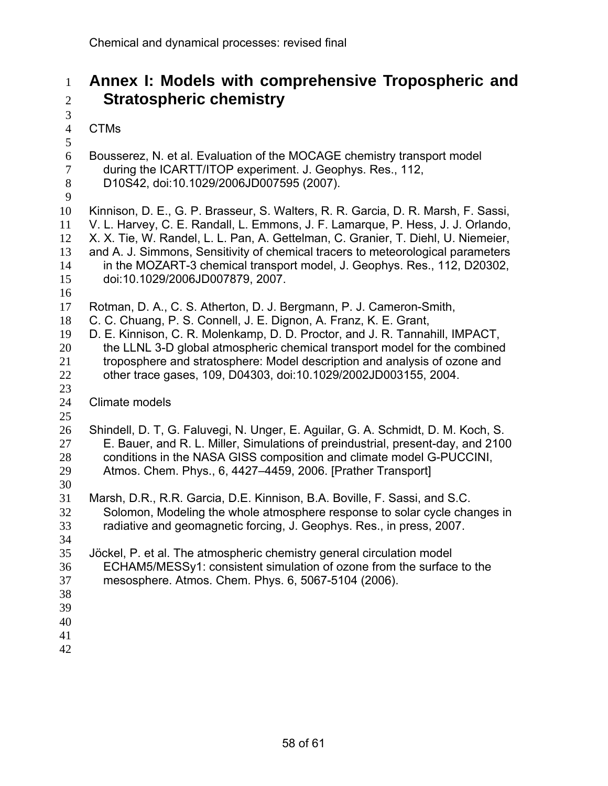## **Annex I: Models with comprehensive Tropospheric and Stratospheric chemistry**

- CTMs Climate models
- Bousserez, N. et al. Evaluation of the MOCAGE chemistry transport model during the ICARTT/ITOP experiment. J. Geophys. Res., 112, D10S42, doi:10.1029/2006JD007595 (2007). Kinnison, D. E., G. P. Brasseur, S. Walters, R. R. Garcia, D. R. Marsh, F. Sassi,
- V. L. Harvey, C. E. Randall, L. Emmons, J. F. Lamarque, P. Hess, J. J. Orlando, X. X. Tie, W. Randel, L. L. Pan, A. Gettelman, C. Granier, T. Diehl, U. Niemeier, and A. J. Simmons, Sensitivity of chemical tracers to meteorological parameters in the MOZART-3 chemical transport model, J. Geophys. Res., 112, D20302, doi:10.1029/2006JD007879, 2007.
- Rotman, D. A., C. S. Atherton, D. J. Bergmann, P. J. Cameron-Smith,
- C. C. Chuang, P. S. Connell, J. E. Dignon, A. Franz, K. E. Grant,
- D. E. Kinnison, C. R. Molenkamp, D. D. Proctor, and J. R. Tannahill, IMPACT,
- 20 the LLNL 3-D global atmospheric chemical transport model for the combined troposphere and stratosphere: Model description and analysis of ozone and other trace gases, 109, D04303, doi:10.1029/2002JD003155, 2004.
- 
- 
- Shindell, D. T, G. Faluvegi, N. Unger, E. Aguilar, G. A. Schmidt, D. M. Koch, S. E. Bauer, and R. L. Miller, Simulations of preindustrial, present-day, and 2100 conditions in the NASA GISS composition and climate model G-PUCCINI, Atmos. Chem. Phys., 6, 4427–4459, 2006. [Prather Transport]
- Marsh, D.R., R.R. Garcia, D.E. Kinnison, B.A. Boville, F. Sassi, and S.C. Solomon, Modeling the whole atmosphere response to solar cycle changes in radiative and geomagnetic forcing, J. Geophys. Res., in press, 2007.
- Jöckel, P. et al. The atmospheric chemistry general circulation model ECHAM5/MESSy1: consistent simulation of ozone from the surface to the mesosphere. Atmos. Chem. Phys. 6, 5067-5104 (2006).
- 
- 
- 
-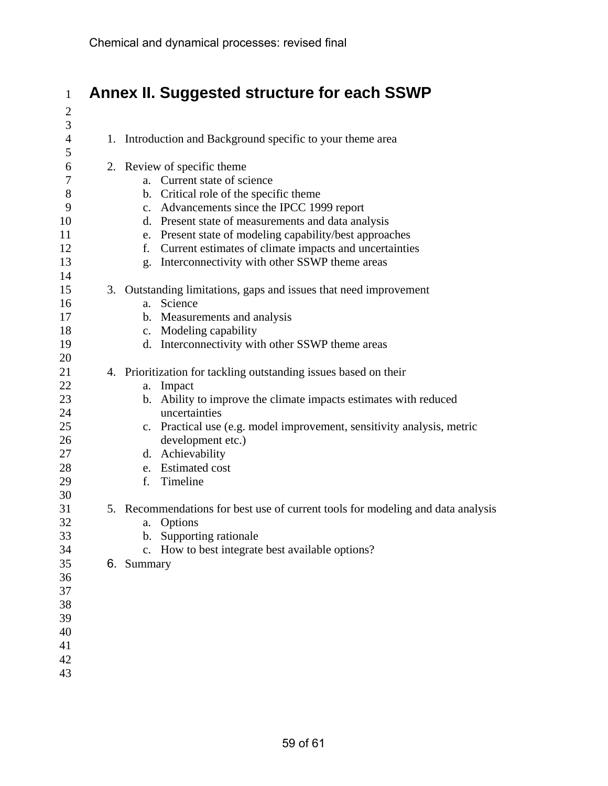| $\mathbf{1}$   | Annex II. Suggested structure for each SSWP                                     |
|----------------|---------------------------------------------------------------------------------|
| $\overline{2}$ |                                                                                 |
| 3              |                                                                                 |
| $\overline{4}$ | 1. Introduction and Background specific to your theme area                      |
| 5              |                                                                                 |
| 6              | 2. Review of specific theme                                                     |
| 7              | a. Current state of science                                                     |
| 8              | b. Critical role of the specific theme                                          |
| 9              | c. Advancements since the IPCC 1999 report                                      |
| 10             | d. Present state of measurements and data analysis                              |
| 11             | e. Present state of modeling capability/best approaches                         |
| 12             | f. Current estimates of climate impacts and uncertainties                       |
| 13             | Interconnectivity with other SSWP theme areas<br>$g_{\rm{}}$ .                  |
| 14             |                                                                                 |
| 15             | 3. Outstanding limitations, gaps and issues that need improvement               |
| 16             | a. Science                                                                      |
| 17             | b. Measurements and analysis                                                    |
| 18             | c. Modeling capability                                                          |
| 19             | d. Interconnectivity with other SSWP theme areas                                |
| 20             |                                                                                 |
| 21             | 4. Prioritization for tackling outstanding issues based on their                |
| 22             | a. Impact                                                                       |
| 23             | b. Ability to improve the climate impacts estimates with reduced                |
| 24             | uncertainties                                                                   |
| 25             | c. Practical use (e.g. model improvement, sensitivity analysis, metric          |
| 26             | development etc.)                                                               |
| 27             | d. Achievability                                                                |
| 28             | e. Estimated cost                                                               |
| 29             | f. Timeline                                                                     |
| 30             |                                                                                 |
| 31<br>32       | 5. Recommendations for best use of current tools for modeling and data analysis |
|                | Options<br>a.<br>Supporting rationale                                           |
| 33<br>34       | $\mathbf{b}$ .                                                                  |
| 35             | c. How to best integrate best available options?                                |
| 36             | 6. Summary                                                                      |
| 37             |                                                                                 |
| 38             |                                                                                 |
| 39             |                                                                                 |
| 40             |                                                                                 |
| 41             |                                                                                 |
| 42             |                                                                                 |
| 43             |                                                                                 |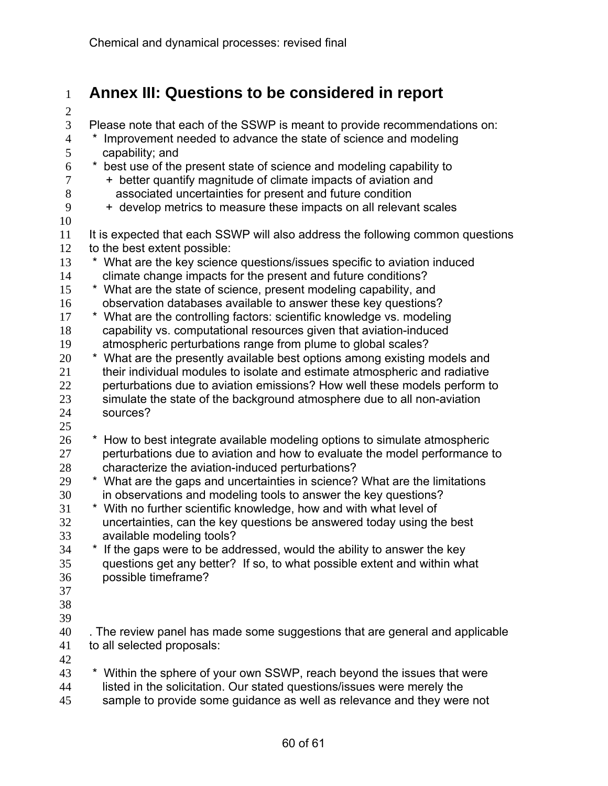# **Annex III: Questions to be considered in report**

| $\overline{2}$                   |                                                                                                                                              |
|----------------------------------|----------------------------------------------------------------------------------------------------------------------------------------------|
| $\overline{3}$<br>$\overline{4}$ | Please note that each of the SSWP is meant to provide recommendations on:<br>Improvement needed to advance the state of science and modeling |
| 5                                | capability; and                                                                                                                              |
| 6<br>$\tau$                      | * best use of the present state of science and modeling capability to                                                                        |
|                                  | + better quantify magnitude of climate impacts of aviation and                                                                               |
| $8\,$                            | associated uncertainties for present and future condition                                                                                    |
| 9                                | + develop metrics to measure these impacts on all relevant scales                                                                            |
| 10                               |                                                                                                                                              |
| 11                               | It is expected that each SSWP will also address the following common questions                                                               |
| 12                               | to the best extent possible:                                                                                                                 |
| 13                               | * What are the key science questions/issues specific to aviation induced                                                                     |
| 14                               | climate change impacts for the present and future conditions?                                                                                |
| 15                               | * What are the state of science, present modeling capability, and                                                                            |
| 16                               | observation databases available to answer these key questions?                                                                               |
| 17                               | * What are the controlling factors: scientific knowledge vs. modeling                                                                        |
| 18                               | capability vs. computational resources given that aviation-induced                                                                           |
| 19                               | atmospheric perturbations range from plume to global scales?                                                                                 |
| 20                               | * What are the presently available best options among existing models and                                                                    |
| 21                               | their individual modules to isolate and estimate atmospheric and radiative                                                                   |
| 22                               | perturbations due to aviation emissions? How well these models perform to                                                                    |
| 23                               | simulate the state of the background atmosphere due to all non-aviation                                                                      |
| 24                               | sources?                                                                                                                                     |
| 25                               |                                                                                                                                              |
| 26                               | * How to best integrate available modeling options to simulate atmospheric                                                                   |
| 27                               | perturbations due to aviation and how to evaluate the model performance to                                                                   |
| 28                               | characterize the aviation-induced perturbations?                                                                                             |
| 29                               | * What are the gaps and uncertainties in science? What are the limitations                                                                   |
| 30                               | in observations and modeling tools to answer the key questions?                                                                              |
| 31                               | * With no further scientific knowledge, how and with what level of                                                                           |
| 32                               | uncertainties, can the key questions be answered today using the best                                                                        |
| 33                               | available modeling tools?                                                                                                                    |
| 34                               | * If the gaps were to be addressed, would the ability to answer the key                                                                      |
| 35                               | questions get any better? If so, to what possible extent and within what                                                                     |
| 36                               | possible timeframe?                                                                                                                          |
| 37                               |                                                                                                                                              |
| 38                               |                                                                                                                                              |
| 39                               |                                                                                                                                              |
| 40                               | . The review panel has made some suggestions that are general and applicable                                                                 |
| 41                               | to all selected proposals:                                                                                                                   |
| 42                               |                                                                                                                                              |
| 43                               | * Within the sphere of your own SSWP, reach beyond the issues that were                                                                      |
| 44                               | listed in the solicitation. Our stated questions/issues were merely the                                                                      |
| 45                               | sample to provide some guidance as well as relevance and they were not                                                                       |